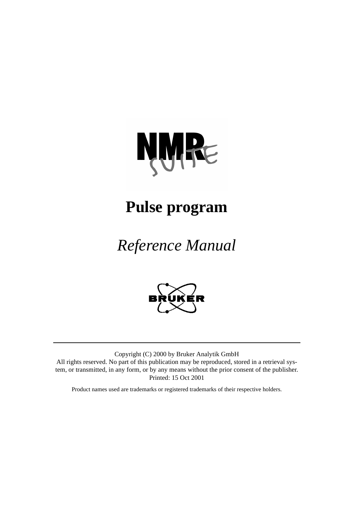# **NWRE**

## **Pulse program**

## *Reference Manual*



Copyright (C) 2000 by Bruker Analytik GmbH All rights reserved. No part of this publication may be reproduced, stored in a retrieval system, or transmitted, in any form, or by any means without the prior consent of the publisher. Printed: 15 Oct 2001

Product names used are trademarks or registered trademarks of their respective holders.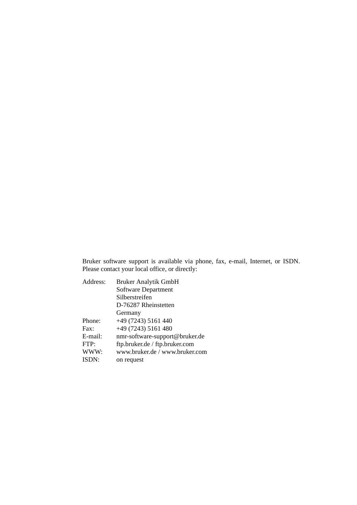Bruker software support is available via phone, fax, e-mail, Internet, or ISDN. Please contact your local office, or directly:

| Address: | <b>Bruker Analytik GmbH</b>    |
|----------|--------------------------------|
|          | Software Department            |
|          | Silberstreifen                 |
|          | D-76287 Rheinstetten           |
|          | Germany                        |
| Phone:   | +49 (7243) 5161 440            |
| Fax:     | $+49(7243)$ 5161 480           |
| E-mail:  | nmr-software-support@bruker.de |
| FTP:     | ftp.bruker.de / ftp.bruker.com |
| WWW:     | www.bruker.de / www.bruker.com |
| ISDN:    | on request                     |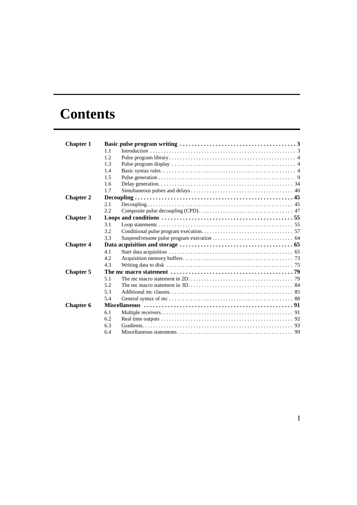### **Contents**

| <b>Chapter 1</b> |      |                                                                                                                                                                   |  |
|------------------|------|-------------------------------------------------------------------------------------------------------------------------------------------------------------------|--|
|                  | 1.1  |                                                                                                                                                                   |  |
|                  | 1.2. |                                                                                                                                                                   |  |
|                  | 1.3  |                                                                                                                                                                   |  |
|                  | 1.4  |                                                                                                                                                                   |  |
|                  | 1.5  |                                                                                                                                                                   |  |
|                  | 1.6  |                                                                                                                                                                   |  |
|                  | 1.7  |                                                                                                                                                                   |  |
| <b>Chapter 2</b> |      |                                                                                                                                                                   |  |
|                  | 2.1  |                                                                                                                                                                   |  |
|                  | 2.2. |                                                                                                                                                                   |  |
| <b>Chapter 3</b> |      |                                                                                                                                                                   |  |
|                  | 3.1  |                                                                                                                                                                   |  |
|                  | 3.2  |                                                                                                                                                                   |  |
|                  | 3.3  |                                                                                                                                                                   |  |
| <b>Chapter 4</b> |      |                                                                                                                                                                   |  |
|                  | 4.1  |                                                                                                                                                                   |  |
|                  | 4.2. |                                                                                                                                                                   |  |
|                  | 4.3  | Writing data to disk $\ldots$ , $\ldots$ , $\ldots$ , $\ldots$ , $\ldots$ , $\ldots$ , $\ldots$ , $\ldots$ , $\ldots$ , $\ldots$ , $\ldots$ , $\ldots$ , $\ldots$ |  |
| <b>Chapter 5</b> |      |                                                                                                                                                                   |  |
|                  | 5.1  |                                                                                                                                                                   |  |
|                  | 5.2  |                                                                                                                                                                   |  |
|                  | 5.3  |                                                                                                                                                                   |  |
|                  | 5.4  |                                                                                                                                                                   |  |
| <b>Chapter 6</b> |      |                                                                                                                                                                   |  |
|                  | 6.1  |                                                                                                                                                                   |  |
|                  | 6.2  |                                                                                                                                                                   |  |
|                  | 6.3  |                                                                                                                                                                   |  |
|                  | 6.4  |                                                                                                                                                                   |  |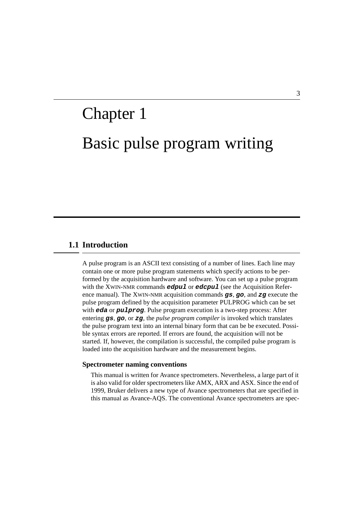## <span id="page-4-0"></span>Basic pulse program writing Chapter 1

#### <span id="page-4-1"></span>**1.1 Introduction**

A pulse program is an ASCII text consisting of a number of lines. Each line may contain one or more pulse program statements which specify actions to be performed by the acquisition hardware and software. You can set up a pulse program with the XWIN-NMR commands **edpul** or **edcpul** (see the Acquisition Reference manual). The XWIN-NMR acquisition commands **gs**, **go**, and **zg** execute the pulse program defined by the acquisition parameter PULPROG which can be set with **eda** or **pulprog**. Pulse program execution is a two-step process: After entering **gs**, **go**, or **zg**, the *pulse program compiler* is invoked which translates the pulse program text into an internal binary form that can be be executed. Possible syntax errors are reported. If errors are found, the acquisition will not be started. If, however, the compilation is successful, the compiled pulse program is loaded into the acquisition hardware and the measurement begins.

#### **Spectrometer naming conventions**

This manual is written for Avance spectrometers. Nevertheless, a large part of it is also valid for older spectrometers like AMX, ARX and ASX. Since the end of 1999, Bruker delivers a new type of Avance spectrometers that are specified in this manual as Avance-AQS. The conventional Avance spectrometers are spec-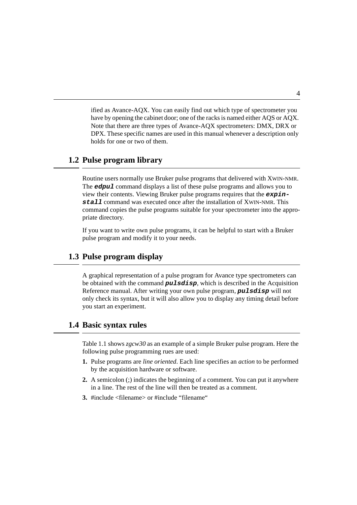$\mathbf{D}$ Note that there are three types of Avance-AQX spectrometers: DMX, DRX or holds for one or two of them. ified as Avance-AQX. You can easily find out which type of spectrometer you have by opening the cabinet door; one of the racks is named either AQS or AQX. DPX. These specific names are used in this manual whenever a description only

#### <span id="page-5-0"></span>**1.2 Pulse program library**

Routine users normally use Bruker pulse programs that delivered with XWIN-NMR. The **edpul** command displays a list of these pulse programs and allows you to view their contents. Viewing Bruker pulse programs requires that the **expinstall** command was executed once after the installation of XWIN-NMR. This command copies the pulse programs suitable for your spectrometer into the appropriate directory.

If you want to write own pulse programs, it can be helpful to start with a Bruker pulse program and modify it to your needs.

#### <span id="page-5-1"></span>**1.3 Pulse program display**

A graphical representation of a pulse program for Avance type spectrometers can be obtained with the command **pulsdisp**, which is described in the Acquisition Reference manual. After writing your own pulse program, **pulsdisp** will not only check its syntax, but it will also allow you to display any timing detail before you start an experiment.

#### <span id="page-5-2"></span>**1.4 Basic syntax rules**

[Table 1.1](#page-6-0) shows *zgcw30* as an example of a simple Bruker pulse program. Here the following pulse programming rues are used:

- **1.** Pulse programs are *line oriented*. Each line specifies an *action* to be performed by the acquisition hardware or software.
- **2.** A semicolon (;) indicates the beginning of a comment. You can put it anywhere in a line. The rest of the line will then be treated as a comment.
- **3.** #include <filename> or #include "filename"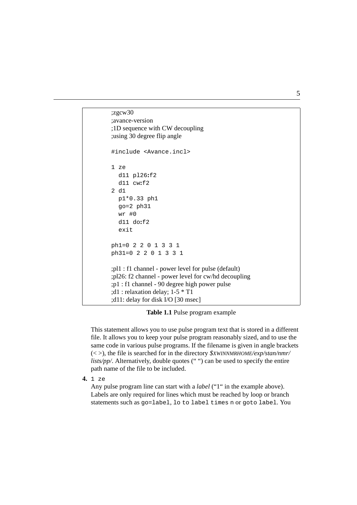```
using 30 degree flip angle;
;1D sequence with CW decoupling
;zgcw30
;avance-version
#include <Avance.incl>
1 ze
  d11 pl26:f2
  d11 cw:f2
2 d1
  p1*0.33 ph1
  go=2 ph31
  wr #0
  d11 do:f2
  exit
ph1=02201331
ph31=0 2 2 01331
;pl1 : f1 channel - power level for pulse (default)
;pl26: f2 channel - power level for cw/hd decoupling
;p1 : f1 channel - 90 degree high power pulse
;d1 : relaxation delay; 1-5 * T1
;d11: delay for disk I/O [30 msec]
```
**Table 1.1** Pulse program example

<span id="page-6-0"></span>This statement allows you to use pulse program text that is stored in a different file. It allows you to keep your pulse program reasonably sized, and to use the same code in various pulse programs. If the filename is given in angle brackets (< >), the file is searched for in the directory *\$XWINNMRHOME/exp/stan/nmr/ lists/pp/*. Alternatively, double quotes ("") can be used to specify the entire path name of the file to be included.

**4.** 1 ze

Any pulse program line can start with a *label* ("1" in the example above). Labels are only required for lines which must be reached by loop or branch statements such as go=label, lo to label times n or goto label. You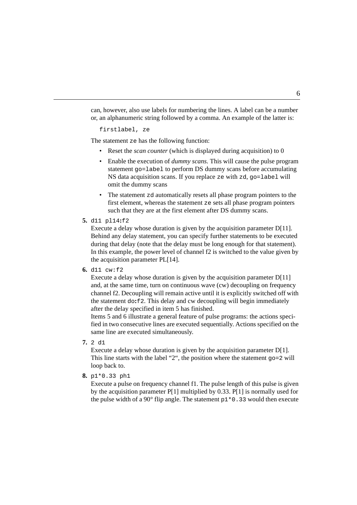can, however, also use labels for numbering the lines. A label can be a number or, an alphanumeric string followed by a comma. An example of the latter is:

```
firstlabel, ze
```
The statement ze has the following function:

- Reset the *scan counter* (which is displayed during acquisition) to 0
- Enable the execution of *dummy scans.* This will cause the pulse program statement go=label to perform DS dummy scans before accumulating NS data acquisition scans. If you replace ze with zd, go=label will omit the dummy scans
- The statement zd automatically resets all phase program pointers to the first element, whereas the statement ze sets all phase program pointers such that they are at the first element after DS dummy scans.
- <span id="page-7-0"></span>**5.** d11 pl14**:**f2

Execute a delay whose duration is given by the acquisition parameter D[11]. Behind any delay statement, you can specify further statements to be executed during that delay (note that the delay must be long enough for that statement). In this example, the power level of channel f2 is switched to the value given by the acquisition parameter PL[14].

<span id="page-7-1"></span>**6.** d11 cw:f2

Execute a delay whose duration is given by the acquisition parameter D[11] and, at the same time, turn on continuous wave (cw) decoupling on frequency channel f2. Decoupling will remain active until it is explicitly switched off with the statement do**:**f2. This delay and cw decoupling will begin immediately after the delay specified in item [5](#page-7-0) has finished.

Items [5](#page-7-0) and [6](#page-7-1) illustrate a general feature of pulse programs: the actions specified in two consecutive lines are executed sequentially. Actions specified on the same line are executed simultaneously.

**7.** 2 d1

Execute a delay whose duration is given by the acquisition parameter D[1]. This line starts with the label "2", the position where the statement go=2 will loop back to.

#### **8.** p1\*0.33 ph1

Execute a pulse on frequency channel f1. The pulse length of this pulse is given by the acquisition parameter P[1] multiplied by 0.33. P[1] is normally used for the pulse width of a 90 $^{\circ}$  flip angle. The statement  $p1*0.33$  would then execute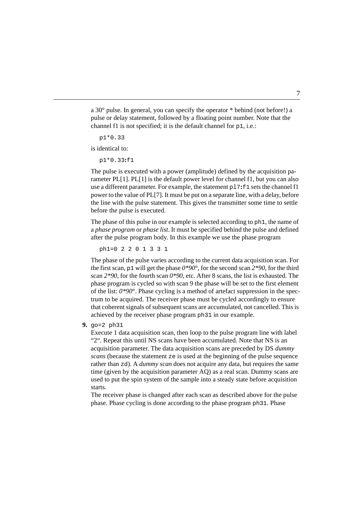channel f1 is not specified; it is the default channel for  $p1$ , i.e.: a 30° pulse. In general, you can specify the operator \* behind (not before!) a pulse or delay statement, followed by a floating point number. Note that the

 $\mathbf{I}$ p1\*0.33

is identical to:

p1\*0.33**:**f1

The pulse is executed with a power (amplitude) defined by the acquisition parameter PL[1]. PL[1] is the default power level for channel f1, but you can also use a different parameter. For example, the statement pl7**:**f1 sets the channel f1 power to the value of PL[7]. It must be put on a separate line, with a delay, before the line with the pulse statement. This gives the transmitter some time to settle before the pulse is executed.

The phase of this pulse in our example is selected according to ph1, the name of a *phase program* or *phase list*. It must be specified behind the pulse and defined after the pulse program body. In this example we use the phase program

ph1=02201331

The phase of the pulse varies according to the current data acquisition scan. For the first scan, p1 will get the phase  $0*90^\circ$ , for the second scan  $2*90$ , for the third scan *2\*90*, for the fourth scan *0\*90,* etc. After 8 scans, the list is exhausted. The phase program is cycled so with scan 9 the phase will be set to the first element of the list:  $0*90^\circ$ . Phase cycling is a method of artefact suppression in the spectrum to be acquired. The receiver phase must be cycled accordingly to ensure that coherent signals of subsequent scans are accumulated, not cancelled. This is achieved by the receiver phase program ph31 in our example.

**9.** go=2 ph31

Execute 1 data acquisition scan, then loop to the pulse program line with label "2". Repeat this until NS scans have been accumulated. Note that NS is an acquisition parameter. The data acquisition scans are preceded by DS *dummy scans* (because the statement ze is used at the beginning of the pulse sequence rather than zd). A *dummy scan* does not acquire any data, but requires the same time (given by the acquisition parameter AQ) as a real scan. Dummy scans are used to put the spin system of the sample into a steady state before acquisition starts.

The receiver phase is changed after each scan as described above for the pulse phase. Phase cycling is done according to the phase program ph31. Phase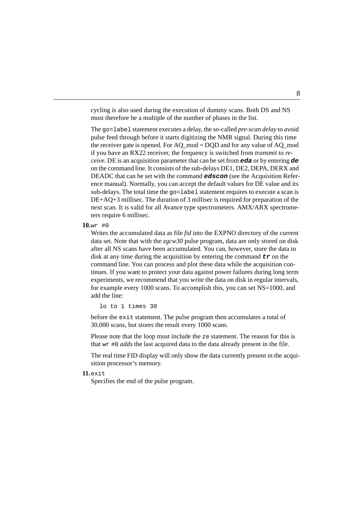cycling is also used during the execution of dummy scans. Both DS and NS must therefore be a multiple of the number of phases in the list.

pulse feed through before it starts digitizing the NMR signal. During this time The go=label statement executes a delay, the so-called *pre-scan delay* to avoid the receiver gate is opened. For AQ\_mod = DQD and for any value of AQ\_mod if you have an RX22 receiver, the frequency is switched from *transmit* to *receive*. DE is an acquisition parameter that can be set from **eda** or by entering **de** on the command line. It consists of the sub-delays DE1, DE2, DEPA, DERX and DEADC that can be set with the command **edscon** (see the Acquisition Reference manual). Normally, you can accept the default values for DE value and its sub-delays. The total time the  $qo=$  label statement requires to execute a scan is DE+AQ+3 millisec. The duration of 3 millisec is required for preparation of the next scan. It is valid for all Avance type spectrometers. AMX/ARX spectrometers require 6 millisec.

**10.**wr #0

Writes the accumulated data as file *fid* into the EXPNO directory of the current data set. Note that with the *zgcw30* pulse program, data are only stored on disk after all NS scans have been accumulated. You can, however, store the data to disk at any time during the acquisition by entering the command  $tr$  on the command line. You can process and plot these data while the acquisition continues. If you want to protect your data against power failures during long term experiments, we recommend that you write the data on disk in regular intervals, for example every 1000 scans. To accomplish this, you can set NS=1000, and add the line:

lo to 1 times 30

before the exit statement. The pulse program then accumulates a total of 30.000 scans, but stores the result every 1000 scans.

Please note that the loop must include the ze statement. The reason for this is that wr #0 *adds* the last acquired data to the data already present in the file.

The real time FID display will only show the data currently present in the acquisition processor's memory.

**11.**exit

Specifies the end of the pulse program.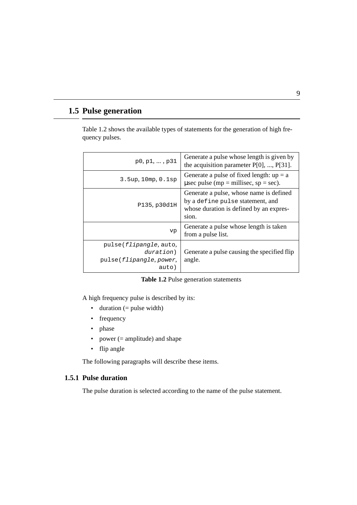#### <span id="page-10-0"></span>**1.5 Pulse generation**

[Table 1.2](#page-10-1) shows the available types of statements for the generation of high frequency pulses.

| $p0, p1, \ldots, p31$                                                   | Generate a pulse whose length is given by<br>the acquisition parameter $P[0]$ , , $P[31]$ .                                        |
|-------------------------------------------------------------------------|------------------------------------------------------------------------------------------------------------------------------------|
| 3.5up, 10mp, 0.1sp                                                      | Generate a pulse of fixed length: $up = a$<br>usec pulse (mp = millisec, sp = sec).                                                |
| P135.p30d1H                                                             | Generate a pulse, whose name is defined<br>by a define pulse statement, and<br>whose duration is defined by an expres-<br>$S1$ On. |
| vp                                                                      | Generate a pulse whose length is taken<br>from a pulse list.                                                                       |
| pulse(flipangle, auto,<br>duration)<br>pulse(flipangle, power,<br>auto) | Generate a pulse causing the specified flip<br>angle.                                                                              |

#### **Table 1.2** Pulse generation statements

<span id="page-10-1"></span>A high frequency pulse is described by its:

- duration  $(=$  pulse width)
- frequency
- phase
- power  $(=$  amplitude) and shape
- flip angle

The following paragraphs will describe these items.

#### **1.5.1 Pulse duration**

The pulse duration is selected according to the name of the pulse statement.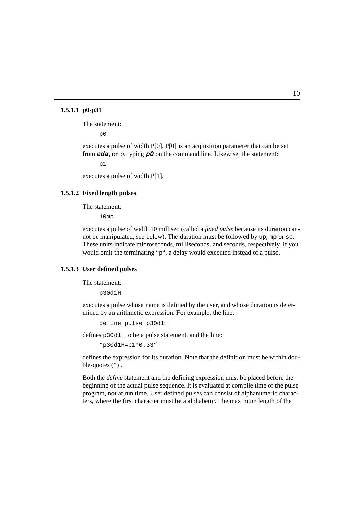#### **1.5.1.1 p0-p31**

The statement:

p0

executes a pulse of width P[0]. P[0] is an acquisition parameter that can be set from **eda**, or by typing **p0** on the command line. Likewise, the statement:

p1

executes a pulse of width P[1].

#### **1.5.1.2 Fixed length pulses**

The statement:

10mp

executes a pulse of width 10 millisec (called a *fixed pulse* because its duration cannot be manipulated, see below). The duration must be followed by up, mp or sp. These units indicate microseconds, milliseconds, and seconds, respectively. If you would omit the terminating "p", a delay would executed instead of a pulse.

#### <span id="page-11-0"></span>**1.5.1.3 User defined pulses**

The statement:

p30d1H

executes a pulse whose name is defined by the user, and whose duration is determined by an arithmetic expression. For example, the line:

define pulse p30d1H

defines p30d1H to be a pulse statement, and the line:

```
"p30d1H=p1*0.33"
```
defines the expression for its duration. Note that the definition must be within double-quotes  $"$ ).

Both the *define* statement and the defining expression must be placed before the beginning of the actual pulse sequence. It is evaluated at compile time of the pulse program, not at run time. User defined pulses can consist of alphanumeric characters, where the first character must be a alphabetic. The maximum length of the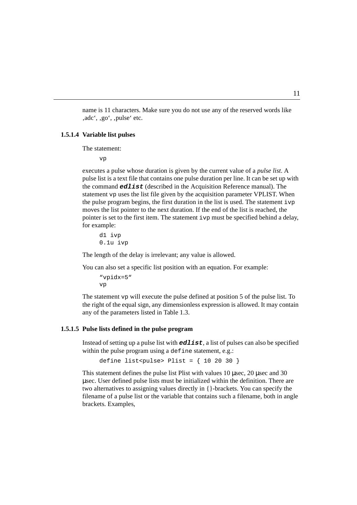name is 11 characters. Make sure you do not use any of the reserved words like , adc', .go', .pulse' etc.

#### **1.5.1.4 Variable list pulses**

The statement:

vp

executes a pulse whose duration is given by the current value of a *pulse list*. A pulse list is a text file that contains one pulse duration per line. It can be set up with the command **edlist** (described in the Acquisition Reference manual). The statement vp uses the list file given by the acquisition parameter VPLIST. When the pulse program begins, the first duration in the list is used. The statement ivp moves the list pointer to the next duration. If the end of the list is reached, the pointer is set to the first item. The statement ivp must be specified behind a delay, for example:

d1 ivp 0.1u ivp

The length of the delay is irrelevant; any value is allowed.

You can also set a specific list position with an equation. For example:

```
"vpidx=5"
vp
```
The statement vp will execute the pulse defined at position 5 of the pulse list. To the right of the equal sign, any dimensionless expression is allowed. It may contain any of the parameters listed in [Table 1.3.](#page-16-0)

#### **1.5.1.5 Pulse lists defined in the pulse program**

Instead of setting up a pulse list with **edlist**, a list of pulses can also be specified within the pulse program using a define statement, e.g.:

```
define list<pulse> Plist = \{ 10, 20, 30 \}
```
This statement defines the pulse list Plist with values 10 µsec, 20 µsec and 30 µsec. User defined pulse lists must be initialized within the definition. There are two alternatives to assigning values directly in {}-brackets. You can specify the filename of a pulse list or the variable that contains such a filename, both in angle brackets. Examples,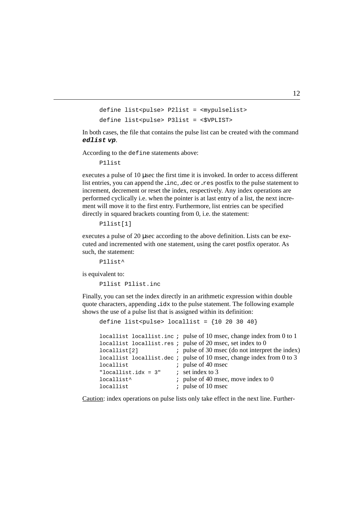```
define list<pulse> P2list = <mypulselist>
define list<pulse> P3list = <$VPLIST>
```
 $\overline{a}$ In both cases, the file that contains the pulse list can be created with the command **edlist vp**.

According to the define statements above:

P1list

executes a pulse of 10 µsec the first time it is invoked. In order to access different list entries, you can append the **.**inc, **.**dec or **.**res postfix to the pulse statement to increment, decrement or reset the index, respectively. Any index operations are performed cyclically i.e. when the pointer is at last entry of a list, the next increment will move it to the first entry. Furthermore, list entries can be specified directly in squared brackets counting from 0, i.e. the statement:

```
P1list[1]
```
executes a pulse of 20 µsec according to the above definition. Lists can be executed and incremented with one statement, using the caret postfix operator. As such, the statement:

P1list^

is equivalent to:

P1list P1list.inc

Finally, you can set the index directly in an arithmetic expression within double quote characters, appending **.**idx to the pulse statement. The following example shows the use of a pulse list that is assigned within its definition:

```
define list<pulse> locallist = {10\ 20\ 30\ 40}locallist locallist.inc ; pulse of 10 msec, change index from 0 to 1
locallist locallist.res ; pulse of 20 msec, set index to 0
locallist[2] ; pulse of 30 msec (do not interpret the index)
locallist locallist.dec ; pulse of 10 msec, change index from 0 to 3
locallist ; pulse of 40 msec
"locallist.idx = 3" ; set index to 3
locallist^* ; pulse of 40 msec, move index to 0
locallist ; pulse of 10 msec
```
Caution: index operations on pulse lists only take effect in the next line. Further-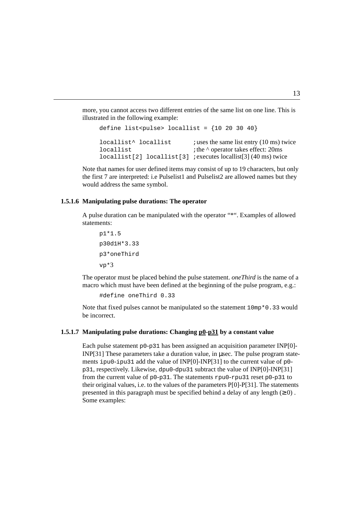more, you cannot access two different entries of the same list on one line. This is illustrated in the following example:

```
st^ locallist
define list<pulse> locallist = {10\ 20\ 30\ 40}i uses the same list entry (10 ms) twice
locallist \qquad \qquad ; the \land operator takes effect: 20ms
locallist[2] locallist[3] ;executes locallist[3] (40 ms) twice
```
Note that names for user defined items may consist of up to 19 characters, but only the first 7 are interpreted: i.e Pulselist1 and Pulselist2 are allowed names but they would address the same symbol.

#### **1.5.1.6 Manipulating pulse durations: The operator**

A pulse duration can be manipulated with the operator "\*". Examples of allowed statements:

```
p1*1.5
p30d1H*3.33
p3*oneThird
vp*3
```
The operator must be placed behind the pulse statement. *oneThird* is the name of a macro which must have been defined at the beginning of the pulse program, e.g.:

```
#define oneThird 0.33
```
Note that fixed pulses cannot be manipulated so the statement  $10mp*0.33$  would be incorrect.

#### **1.5.1.7 Manipulating pulse durations: Changing p0-p31 by a constant value**

Each pulse statement  $p_0$ -p31 has been assigned an acquisition parameter INP[0]-INP[31] These parameters take a duration value, in µsec. The pulse program statements ipu0-ipu31 add the value of INP[0]-INP[31] to the current value of p0 p31, respectively. Likewise, dpu0-dpu31 subtract the value of INP[0]-INP[31] from the current value of p0-p31. The statements rpu0-rpu31 reset p0-p31 to their original values, i.e. to the values of the parameters P[0]-P[31]. The statements presented in this paragraph must be specified behind a delay of any length  $(≥ 0)$ . Some examples: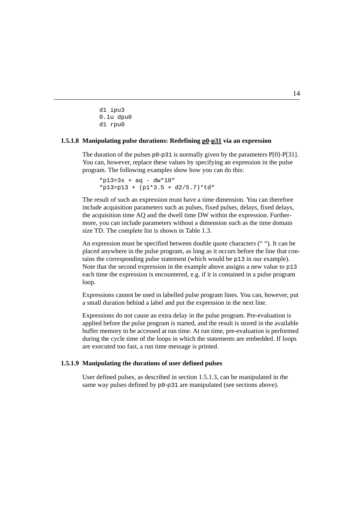$\overline{\phantom{a}}$ d1 ipu3 0.1u dpu0 d1 rpu0

#### 1.5.1.8 Manipulating pulse durations: Redefining p0-p31 via an expression

The duration of the pulses p0-p31 is normally given by the parameters P[0]-P[31]. You can, however, replace these values by specifying an expression in the pulse program. The following examples show how you can do this:

 $"p13=3s + aq - dw*10"$ "p13=p13 + (p1\*3.5 + d2/5.7)\*td"

The result of such an expression must have a time dimension. You can therefore include acquisition parameters such as pulses, fixed pulses, delays, fixed delays, the acquisition time AQ and the dwell time DW within the expression. Furthermore, you can include parameters without a dimension such as the time domain size TD. The complete list is shown in [Table 1.3.](#page-16-0)

An expression must be specified between double quote characters (" "). It can be placed anywhere in the pulse program, as long as it occurs before the line that contains the corresponding pulse statement (which would be p13 in our example). Note that the second expression in the example above assigns a new value to p13 each time the expression is encountered, e.g. if it is contained in a pulse program loop.

Expressions cannot be used in labelled pulse program lines. You can, however, put a small duration behind a label and put the expression in the next line.

Expressions do not cause an extra delay in the pulse program. Pre-evaluation is applied before the pulse program is started, and the result is stored in the available buffer memory to be accessed at run time. At run time, pre-evaluation is performed during the cycle time of the loops in which the statements are embedded. If loops are executed too fast, a run time message is printed.

#### **1.5.1.9 Manipulating the durations of user defined pulses**

User defined pulses, as described in section [1.5.1.3,](#page-11-0) can be manipulated in the same way pulses defined by  $p0-p31$  are manipulated (see sections above).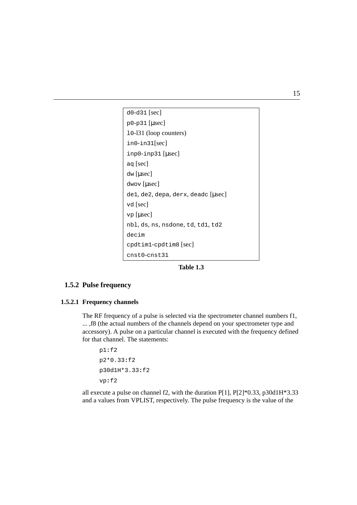```
DONE
p0-p31 [\musec]
INDEX
in0-in31[sec]
d0-d31 [sec]
l0-l31 (loop counters)
inp0-inp31 [µsec]
aq [sec]
dw [µsec]
dwov [µsec]
de1, de2, depa, derx, deadc [µsec]
vd [sec]
vp [µsec]
nbl, ds, ns, nsdone, td, td1, td2
decim
 cpdtim1-cpdtim8 [sec]
 cnst0-cnst31
```
**Table 1.3**

#### <span id="page-16-0"></span>**1.5.2 Pulse frequency**

#### **1.5.2.1 Frequency channels**

The RF frequency of a pulse is selected via the spectrometer channel numbers f1, ... ,f8 (the actual numbers of the channels depend on your spectrometer type and accessory). A pulse on a particular channel is executed with the frequency defined for that channel. The statements:

p1**:**f2 p2\*0.33**:**f2 p30d1H\*3.33**:**f2 vp**:**f2

all execute a pulse on channel f2, with the duration P[1], P[2]\*0.33, p30d1H\*3.33 and a values from VPLIST, respectively. The pulse frequency is the value of the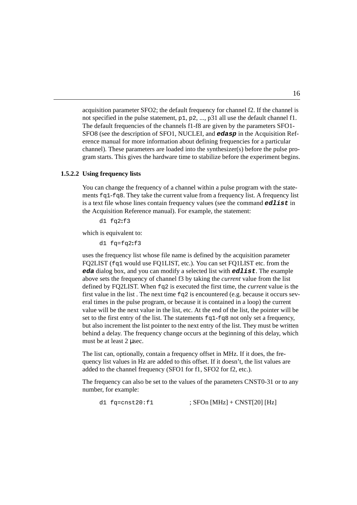erence manual for more information about defining frequencies for a particular The default frequencies of the channels f1-f8 are given by the parameters SFO1acquisition parameter SFO2; the default frequency for channel f2. If the channel is not specified in the pulse statement, p1, p2, ..., p31 all use the default channel f1. SFO8 (see the description of SFO1, NUCLEI, and **edasp** in the Acquisition Refchannel). These parameters are loaded into the synthesizer(s) before the pulse program starts. This gives the hardware time to stabilize before the experiment begins.

#### **1.5.2.2 Using frequency lists**

You can change the frequency of a channel within a pulse program with the statements  $f \sigma_1 - f \sigma_2$ . They take the current value from a frequency list. A frequency list is a text file whose lines contain frequency values (see the command **edlist** in the Acquisition Reference manual). For example, the statement:

d1 fq2**:**f3

which is equivalent to:

d1 fq=fq2**:**f3

uses the frequency list whose file name is defined by the acquisition parameter FQ2LIST (fq1 would use FQ1LIST, etc.). You can set FQ1LIST etc. from the **eda** dialog box, and you can modify a selected list with **edlist**. The example above sets the frequency of channel f3 by taking the *current* value from the list defined by FQ2LIST. When fq2 is executed the first time, the *current* value is the first value in the list. The next time  $f \circ g2$  is encountered (e.g. because it occurs several times in the pulse program, or because it is contained in a loop) the current value will be the next value in the list, etc. At the end of the list, the pointer will be set to the first entry of the list. The statements  $f \sigma_1 - f \sigma_8$  not only set a frequency, but also increment the list pointer to the next entry of the list. They must be written behind a delay. The frequency change occurs at the beginning of this delay, which must be at least 2 µsec.

The list can, optionally, contain a frequency offset in MHz. If it does, the frequency list values in Hz are added to this offset. If it doesn't, the list values are added to the channel frequency (SFO1 for f1, SFO2 for f2, etc.).

The frequency can also be set to the values of the parameters CNST0-31 or to any number, for example:

d1  $fq=cnst20:f1$  ;  $SFOn$  [MHz] +  $CNST[20]$  [Hz]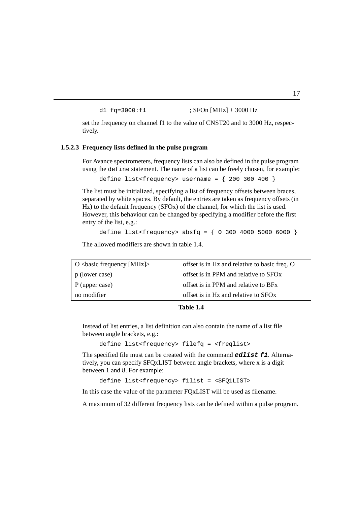```
d1 fq=3000:f1 ; SFOn [MHz] + 3000 Hz
```
set the frequency on channel f1 to the value of CNST20 and to 3000 Hz, respectively. tively.

#### **1.5.2.3 Frequency lists defined in the pulse program**

For Avance spectrometers, frequency lists can also be defined in the pulse program using the define statement. The name of a list can be freely chosen, for example:

```
define list<frequency> username = \{200, 300, 400\}
```
The list must be initialized, specifying a list of frequency offsets between braces, separated by white spaces. By default, the entries are taken as frequency offsets (in Hz) to the default frequency (SFOx) of the channel, for which the list is used. However, this behaviour can be changed by specifying a modifier before the first entry of the list, e.g.:

```
define list<frequency> absfq = { 0 300 4000 5000 6000 }
```
The allowed modifiers are shown in table [1.4](#page-18-0).

| O $\langle$ basic frequency [MHz] $\rangle$ | offset is in Hz and relative to basic freq. O     |
|---------------------------------------------|---------------------------------------------------|
| p (lower case)                              | offset is in PPM and relative to SFO <sub>x</sub> |
| P (upper case)                              | offset is in PPM and relative to BFx              |
| no modifier                                 | offset is in Hz and relative to SFOx              |

#### **Table 1.4**

<span id="page-18-0"></span>Instead of list entries, a list definition can also contain the name of a list file between angle brackets, e.g.:

```
define list<frequency> filefq = <freqlist>
```
The specified file must can be created with the command **edlist f1**. Alternatively, you can specify \$FQxLIST between angle brackets, where x is a digit between 1 and 8. For example:

```
define list<frequency> f1list = <$FQ1LIST>
```
In this case the value of the parameter FQxLIST will be used as filename.

A maximum of 32 different frequency lists can be defined within a pulse program.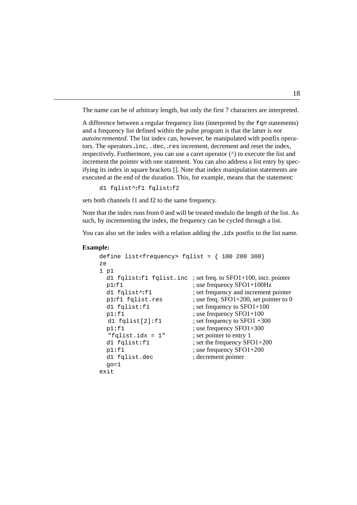The name can be of arbitrary length, but only the first 7 characters are interpreted.

autoincremented. The list index can, however, be manipulated with postfix opera-In difference between a regular frequency fists (interpreted by the Eq. is stated<br>and a frequency list defined within the pulse program is that the latter is *not* A difference between a regular frequency lists (interpreted by the  $fqn$  statements) tors. The operators **.**inc, .dec, **.**res increment, decrement and reset the index, respectively. Furthermore, you can use a caret operator  $(^\wedge)$  to execute the list and increment the pointer with one statement. You can also address a list entry by specifying its index in square brackets []. Note that index manipulation statements are executed at the end of the duration. This, for example, means that the statement:

```
d1 fqlist^:f1 fqlist:f2
```
sets both channels f1 and f2 to the same frequency.

Note that the index runs from 0 and will be treated modulo the length of the list. As such, by incrementing the index, the frequency can be cycled through a list.

You can also set the index with a relation adding the **.**idx postfix to the list name.

#### **Example:**

```
define list<frequency> fqlist = \{100, 200, 300\}ze
1 p1
 d1 fqlist:f1 fqlist.inc ; set freq. to SFO1+100, incr. pointer
 p1:f1 : use frequency SFO1+100Hz
 d1 fqlist^:f1 ; set frequency and increment pointer
 p1:f1 fqlist.res ; use freq. SFO1+200, set pointer to 0
 d1 fqlist:f1 ; set frequency to SFO1+100
 p1:f1 ; use frequency SFO1+100
 d1 fqlist[2]:f1 ; set frequency to SFO1 + 300p1:f1 ; use frequency SFO1+300
  "fqlist.idx = 1" ; set pointer to entry 1
 d1 fqlist:f1 ; set the frequency SFO1+200
 p1:f1 ; use frequency SFO1+200
 d1 fqlist.dec ; decrement pointer
 go=1exit
```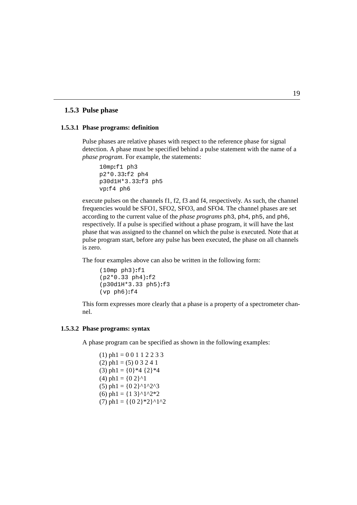#### **1.5.3 Pulse phase**

#### 1.5.3.1 Phase programs: definition

Pulse phases are relative phases with respect to the reference phase for signal detection. A phase must be specified behind a pulse statement with the name of a *phase program*. For example, the statements:

10mp**:**f1 ph3 p2\*0.33**:**f2 ph4 p30d1H\*3.33**:**f3 ph5 vp**:**f4 ph6

execute pulses on the channels f1, f2, f3 and f4, respectively. As such, the channel frequencies would be SFO1, SFO2, SFO3, and SFO4. The channel phases are set according to the current value of the *phase programs* ph3, ph4, ph5, and ph6, respectively. If a pulse is specified without a phase program, it will have the last phase that was assigned to the channel on which the pulse is executed. Note that at pulse program start, before any pulse has been executed, the phase on all channels is zero.

The four examples above can also be written in the following form:

```
(10mp ph3):f1
(p2*0.33 ph4):f2
(p30d1H*3.33 ph5):f3
(vp ph6):f4
```
This form expresses more clearly that a phase is a property of a spectrometer channel.

#### **1.5.3.2 Phase programs: syntax**

A phase program can be specified as shown in the following examples:

 $(1)$  ph1 = 0 0 1 1 2 2 3 3  $(2)$  ph1 = (5) 0 3 2 4 1  $(3)$  ph1 =  $\{0\}$  \*4  $\{2\}$  \*4  $(4)$  ph1 =  $\{0\ 2\}^{\wedge}1$ (5) ph1 =  ${02}^1$ <sup>^1^2^3</sup> (6) ph1 =  $\{1\ 3\}^{\wedge}1^{\wedge}2^*2$ (7) ph1 =  $\{\{0\ 2\}^*2\}^{\wedge}1^{\wedge}2$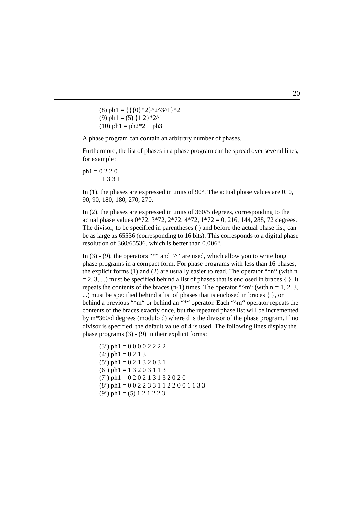$(10)$  ph1 = ph2\*2 + ph3  $(8)$  ph1 = {{{0}\*2}^2^3^1}^2 (9) ph1 = (5)  $\{1\ 2\}$  \*2^1

A phase program can contain an arbitrary number of phases.

Furthermore, the list of phases in a phase program can be spread over several lines, for example:

ph1 = 0 2 2 0 1331

In (1), the phases are expressed in units of  $90^\circ$ . The actual phase values are 0, 0, 90, 90, 180, 180, 270, 270.

In (2), the phases are expressed in units of 360/5 degrees, corresponding to the actual phase values  $0*72$ ,  $3*72$ ,  $2*72$ ,  $4*72$ ,  $1*72 = 0$ , 216, 144, 288, 72 degrees. The divisor, to be specified in parentheses ( ) and before the actual phase list, can be as large as 65536 (corresponding to 16 bits). This corresponds to a digital phase resolution of 360/65536, which is better than 0.006°.

In  $(3)$  -  $(9)$ , the operators "\*" and " $\wedge$ " are used, which allow you to write long phase programs in a compact form. For phase programs with less than 16 phases, the explicit forms (1) and (2) are usually easier to read. The operator "\*n" (with n  $= 2, 3, ...$ ) must be specified behind a list of phases that is enclosed in braces { }. It repeats the contents of the braces (n-1) times. The operator " $\gamma$ m" (with n = 1, 2, 3, ...) must be specified behind a list of phases that is enclosed in braces { }, or behind a previous "<sup> $\gamma$ m" or behind an "\*" operator. Each " $\gamma$ m" operator repeats the</sup> contents of the braces exactly once, but the repeated phase list will be incremented by m\*360/d degrees (modulo d) where d is the divisor of the phase program. If no divisor is specified, the default value of 4 is used. The following lines display the phase programs (3) - (9) in their explicit forms:

```
(3') ph1 = 0 0 0 0 2 2 2 2
(4') ph1 = 0 2 1 3
(5') ph1 = 0 2 1 3 2 0 3 1
(6') ph1 = 1 3 2 0 3 1 1 3
(7') ph1 = 0 2 0 2 1 3 1 3 2 0 2 0
(8') ph1 = 0 0 2 2 3 3 1 1 2 2 0 0 1 1 3 3
(9') ph1 = (5) 1 2 1 2 2 3
```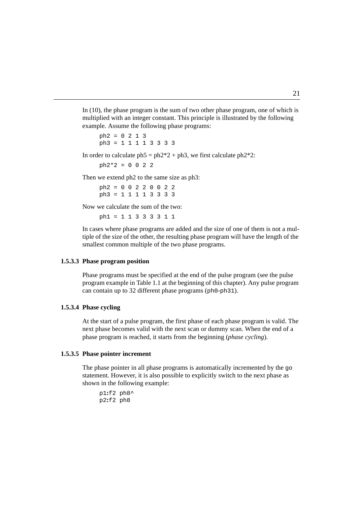example. Assume the following phase programs: In (10), the phase program is the sum of two other phase program, one of which is multiplied with an integer constant. This principle is illustrated by the following

```
ph3 = 1 1 1 1 3 3 3 3
ph2 = 0 2 1 3
```
In order to calculate  $ph5 = ph2*2 + ph3$ , we first calculate  $ph2*2$ :

 $ph2*2 = 0 0 2 2$ 

Then we extend ph2 to the same size as ph3:

ph2 = 0 0 2 2 0 0 2 2 ph3 = 1 1 1 1 3 3 3 3

Now we calculate the sum of the two:

ph1 = 1 1 3 3 3 3 1 1

In cases where phase programs are added and the size of one of them is not a multiple of the size of the other, the resulting phase program will have the length of the smallest common multiple of the two phase programs.

#### **1.5.3.3 Phase program position**

Phase programs must be specified at the end of the pulse program (see the pulse program example in [Table 1.1](#page-6-0) at the beginning of this chapter). Any pulse program can contain up to 32 different phase programs (ph0-ph31).

#### **1.5.3.4 Phase cycling**

At the start of a pulse program, the first phase of each phase program is valid. The next phase becomes valid with the next scan or dummy scan. When the end of a phase program is reached, it starts from the beginning (*phase cycling*).

#### **1.5.3.5 Phase pointer increment**

The phase pointer in all phase programs is automatically incremented by the go statement. However, it is also possible to explicitly switch to the next phase as shown in the following example:

p1**:**f2 ph8^ p2**:**f2 ph8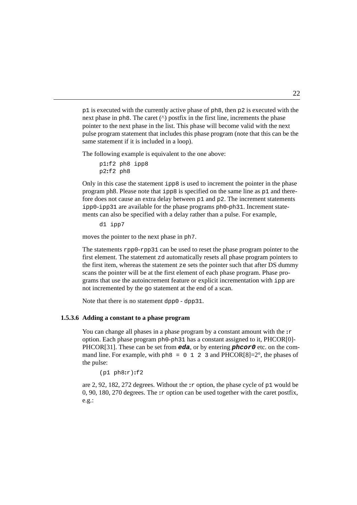same statement if it is included in a loop). pointer to the next phase in the list. This phase will become valid with the next  $p1$  is executed with the currently active phase of  $p18$ , then  $p2$  is executed with the next phase in  $ph8$ . The caret  $(^{\wedge})$  postfix in the first line, increments the phase pulse program statement that includes this phase program (note that this can be the

The following example is equivalent to the one above:

```
p1:f2 ph8 ipp8
p2:f2 ph8
```
Only in this case the statement ipp8 is used to increment the pointer in the phase program ph8. Please note that ipp8 is specified on the same line as p1 and therefore does not cause an extra delay between  $p1$  and  $p2$ . The increment statements ipp0-ipp31 are available for the phase programs ph0-ph31. Increment statements can also be specified with a delay rather than a pulse. For example,

d1 ipp7

moves the pointer to the next phase in ph7.

The statements rpp0-rpp31 can be used to reset the phase program pointer to the first element. The statement zd automatically resets all phase program pointers to the first item, whereas the statement ze sets the pointer such that after DS dummy scans the pointer will be at the first element of each phase program. Phase programs that use the autoincrement feature or explicit incrementation with ipp are not incremented by the go statement at the end of a scan.

Note that there is no statement dpp0 - dpp31.

#### **1.5.3.6 Adding a constant to a phase program**

You can change all phases in a phase program by a constant amount with the **:**r option. Each phase program ph0-ph31 has a constant assigned to it, PHCOR[0]- PHCOR[31]. These can be set from **eda**, or by entering **phcor0** etc. on the command line. For example, with  $ph8 = 0 \quad 1 \quad 2 \quad 3$  and PHCOR[8]=2°, the phases of the pulse:

(p1 ph8**:**r)**:**f2

are 2, 92, 182, 272 degrees. Without the **:**r option, the phase cycle of p1 would be 0, 90, 180, 270 degrees. The **:**r option can be used together with the caret postfix, e.g.: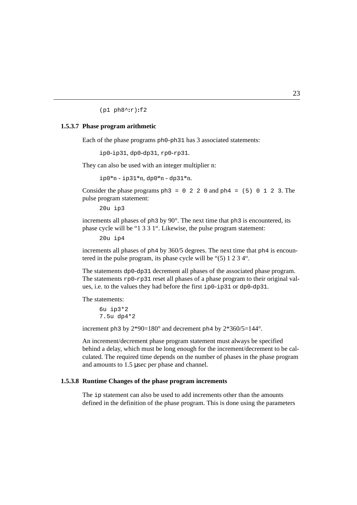(p1 ph8^**:**r)**:**f2

#### 1.5.3.7 Phase program arithmetic

Each of the phase programs ph0-ph31 has 3 associated statements:

ip0-ip31, dp0-dp31, rp0-rp31.

They can also be used with an integer multiplier n:

 $ip0*n - ip31*n, dp0*n - dp31*n.$ 

Consider the phase programs  $ph3 = 0$  2 2 0 and  $ph4 = (5)$  0 1 2 3. The pulse program statement:

20u ip3

increments all phases of ph3 by 90°. The next time that ph3 is encountered, its phase cycle will be "1 3 3 1". Likewise, the pulse program statement:

20u ip4

increments all phases of ph4 by 360/5 degrees. The next time that ph4 is encountered in the pulse program, its phase cycle will be "(5) 1 2 3 4".

The statements dp0-dp31 decrement all phases of the associated phase program. The statements rp0-rp31 reset all phases of a phase program to their original values, i.e. to the values they had before the first ip0-ip31 or dp0-dp31.

The statements:

6u ip3\*2 7.5u dp4\*2

increment ph3 by  $2*90=180^\circ$  and decrement ph4 by  $2*360/5=144^\circ$ .

An increment/decrement phase program statement must always be specified behind a delay, which must be long enough for the increment/decrement to be calculated. The required time depends on the number of phases in the phase program and amounts to 1.5 µsec per phase and channel.

#### **1.5.3.8 Runtime Changes of the phase program increments**

The ip statement can also be used to add increments other than the amounts defined in the definition of the phase program. This is done using the parameters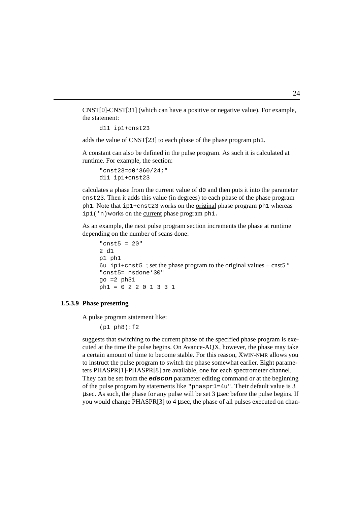CNST[0]-CNST[31] (which can have a positive or negative value). For example, the statement:

d11 ip1+cnst23

adds the value of CNST[23] to each phase of the phase program ph1.

A constant can also be defined in the pulse program. As such it is calculated at runtime. For example, the section:

"cnst23=d0\*360/24;" d11 ip1+cnst23

calculates a phase from the current value of d0 and then puts it into the parameter cnst23. Then it adds this value (in degrees) to each phase of the phase program ph1. Note that ip1+cnst23 works on the original phase program ph1 whereas ip1(\*n)works on the current phase program ph1.

As an example, the next pulse program section increments the phase at runtime depending on the number of scans done:

```
"cnst5 = 20"
2 d1
p1 ph1
6u ip1+cnst5 ; set the phase program to the original values + cnst5\degree"cnst5= nsdone*30"
q_0 = 2 ph31ph1 = 0 2 2 0 1 3 3 1
```
#### **1.5.3.9 Phase presetting**

A pulse program statement like:

```
(p1 ph8):f2
```
suggests that switching to the current phase of the specified phase program is executed at the time the pulse begins. On Avance-AQX, however, the phase may take a certain amount of time to become stable. For this reason, XWIN-NMR allows you to instruct the pulse program to switch the phase somewhat earlier. Eight parameters PHASPR[1]-PHASPR[8] are available, one for each spectrometer channel. They can be set from the **edscon** parameter editing command or at the beginning of the pulse program by statements like "phaspr1=4u". Their default value is 3 µsec. As such, the phase for any pulse will be set 3 µsec before the pulse begins. If you would change PHASPR[3] to 4 µsec, the phase of all pulses executed on chan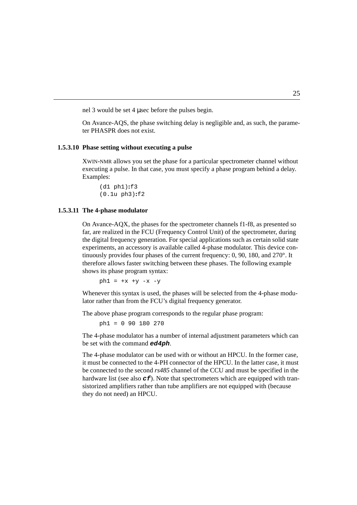nel 3 would be set 4 µsec before the pulses begin.

On *INdex*-*IQS*, the phase<br>ter PHASPR does not exist. On Avance-AQS, the phase switching delay is negligible and, as such, the parame-

#### **1.5.3.10 Phase setting without executing a pulse**

XWIN-NMR allows you set the phase for a particular spectrometer channel without executing a pulse. In that case, you must specify a phase program behind a delay. Examples:

(d1 ph1)**:**f3 (0.1u ph3)**:**f2

#### **1.5.3.11 The 4-phase modulator**

On Avance-AQX, the phases for the spectrometer channels f1-f8, as presented so far, are realized in the FCU (Frequency Control Unit) of the spectrometer, during the digital frequency generation. For special applications such as certain solid state experiments, an accessory is available called 4-phase modulator. This device continuously provides four phases of the current frequency: 0, 90, 180, and 270°. It therefore allows faster switching between these phases. The following example shows its phase program syntax:

 $ph1 = +x +y -x -y$ 

Whenever this syntax is used, the phases will be selected from the 4-phase modulator rather than from the FCU's digital frequency generator.

The above phase program corresponds to the regular phase program:

ph1 = 0 90 180 270

The 4-phase modulator has a number of internal adjustment parameters which can be set with the command **ed4ph**.

The 4-phase modulator can be used with or without an HPCU. In the former case, it must be connected to the 4-PH connector of the HPCU. In the latter case, it must be connected to the second *rs485* channel of the CCU and must be specified in the hardware list (see also  $\sigma f$ ). Note that spectrometers which are equipped with transistorized amplifiers rather than tube amplifiers are not equipped with (because they do not need) an HPCU.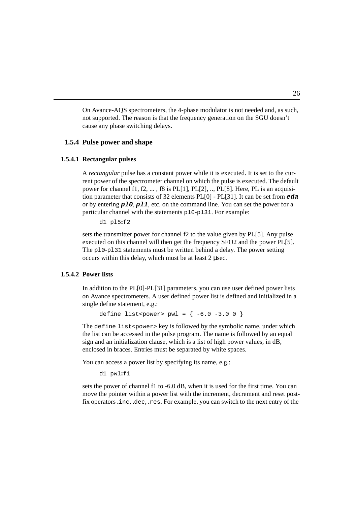cause any phase switching delays. On Avance-AQS spectrometers, the 4-phase modulator is not needed and, as such, not supported. The reason is that the frequency generation on the SGU doesn't

#### 1.5.4 Pulse power and shape

#### **1.5.4.1 Rectangular pulses**

A *rectangular* pulse has a constant power while it is executed. It is set to the current power of the spectrometer channel on which the pulse is executed. The default power for channel f1, f2,  $\dots$ , f8 is PL[1], PL[2],  $\dots$ , PL[8]. Here, PL is an acquisition parameter that consists of 32 elements PL[0] - PL[31]. It can be set from **eda** or by entering **pl0**, **pl1**, etc. on the command line. You can set the power for a particular channel with the statements pl0-pl31. For example:

d1 pl5**:**f2

sets the transmitter power for channel f2 to the value given by PL[5]. Any pulse executed on this channel will then get the frequency SFO2 and the power PL[5]. The pl0-pl31 statements must be written behind a delay. The power setting occurs within this delay, which must be at least 2 µsec.

#### **1.5.4.2 Power lists**

In addition to the PL[0]-PL[31] parameters, you can use user defined power lists on Avance spectrometers. A user defined power list is defined and initialized in a single define statement, e.g.:

```
define list<power> pw1 = \{ -6.0 -3.0 0 \}
```
The define list<power> key is followed by the symbolic name, under which the list can be accessed in the pulse program. The name is followed by an equal sign and an initialization clause, which is a list of high power values, in dB, enclosed in braces. Entries must be separated by white spaces.

You can access a power list by specifying its name, e.g.:

d1 pwl**:**f1

sets the power of channel f1 to -6.0 dB, when it is used for the first time. You can move the pointer within a power list with the increment, decrement and reset postfix operators **.**inc, **.**dec, **.**res. For example, you can switch to the next entry of the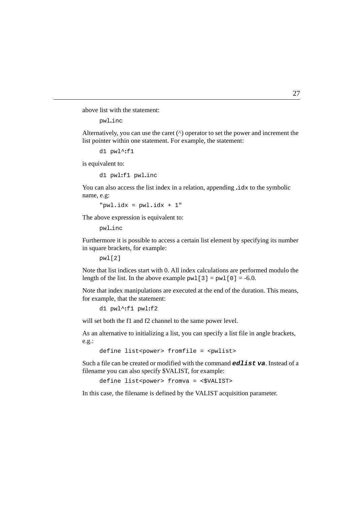above list with the statement:

pwl**.**inc

list pointer within one statement. For example, the statement: Alternatively, you can use the caret (^) operator to set the power and increment the

```
d1 pwl^:f1
```
is equivalent to:

```
d1 pwl:f1 pwl.inc
```
You can also access the list index in a relation, appending **.**idx to the symbolic name, e.g:

"pwl**.**idx = pwl**.**idx + 1"

The above expression is equivalent to:

pwl**.**inc

Furthermore it is possible to access a certain list element by specifying its number in square brackets, for example:

```
pwl[2]
```
Note that list indices start with 0. All index calculations are performed modulo the length of the list. In the above example  $pwl[3] = pwl[0] = -6.0$ .

Note that index manipulations are executed at the end of the duration. This means, for example, that the statement:

d1 pwl^**:**f1 pwl**:**f2

will set both the f1 and f2 channel to the same power level.

As an alternative to initializing a list, you can specify a list file in angle brackets, e.g.:

```
define list<power> fromfile = <pwlist>
```
Such a file can be created or modified with the command **edlist va**. Instead of a filename you can also specify \$VALIST, for example:

define list<power> fromva = <\$VALIST>

In this case, the filename is defined by the VALIST acquisition parameter.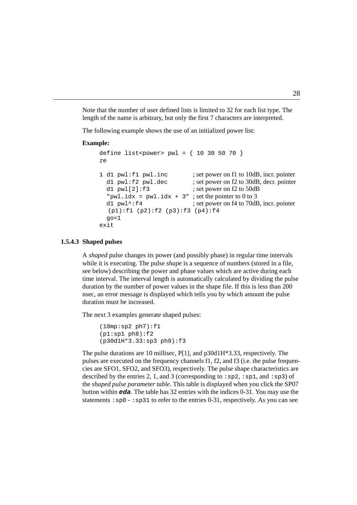Note that the number of user defined lists is limited to 32 for each list type. The length of the name is arbitrary, but only the first 7 characters are interpreted.

The following example shows the use of an initialized power list:

#### **Example:**

```
define list<power> pwl = \{ 10, 30, 50, 70 \}ze
1 d1 pwl:f1 pwl.inc ; set power on f1 to 10dB, incr. pointer
  d1 pw1:12 pwl.dec ; set power on f2 to 30dB, decr. pointer
  d1 pw1[2]:f3 ; set power on f2 to 50dB
  "pwl.idx = pwl.idx + 3"; set the pointer to 0 to 3
  d1 pw1^{\prime}: f4 ; set power on f4 to 70dB, incr. pointer
  (p1):f1 (p2):f2 (p3):f3 (p4):f4
  q<sub>O</sub>=1exit
```
#### **1.5.4.3 Shaped pulses**

A *shaped* pulse changes its power (and possibly phase) in regular time intervals while it is executing. The pulse *shape* is a sequence of numbers (stored in a file, see below) describing the power and phase values which are active during each time interval. The interval length is automatically calculated by dividing the pulse duration by the number of power values in the shape file. If this is less than 200 nsec, an error message is displayed which tells you by which amount the pulse duration must be increased.

The next 3 examples generate shaped pulses:

```
(10mp:sp2 ph7):f1
(p1:sp1 ph8):f2(p30d1H*3.33:sp3 ph9):f3
```
The pulse durations are 10 millisec,  $P[1]$ , and  $p30d1H*3.33$ , respectively. The pulses are executed on the frequency channels f1, f2, and f3 (i.e. the pulse frequencies are SFO1, SFO2, and SFO3), respectively. The pulse shape characteristics are described by the entries 2, 1, and 3 (corresponding to : $sp2$ , : $sp1$ , and : $sp3$ ) of the *shaped pulse parameter table*. This table is displayed when you click the SP07 button within **eda**. The table has 32 entries with the indices 0-31. You may use the statements :  $sp0 - sp31$  to refer to the entries 0-31, respectively. As you can see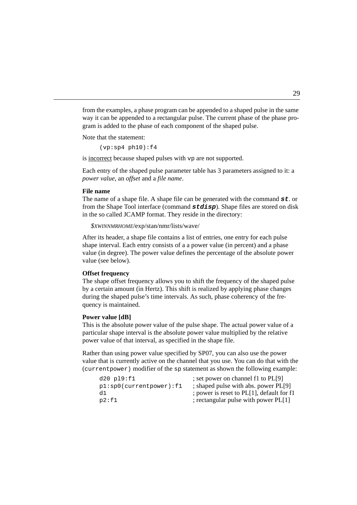gram is added to the phase of each component of the shaped pulse. from the examples, a phase program can be appended to a shaped pulse in the same way it can be appended to a rectangular pulse. The current phase of the phase pro-

Note that the statement:

 $(vp:sp4 ph10):f4$ 

is incorrect because shaped pulses with vp are not supported.

Each entry of the shaped pulse parameter table has 3 parameters assigned to it: a *power value*, an *offset* and a *file name*.

#### **File name**

The name of a shape file. A shape file can be generated with the command **st**. or from the Shape Tool interface (command **stdisp**). Shape files are stored on disk in the so called JCAMP format. They reside in the directory:

*\$XWINNMRHOME*/exp/stan/nmr/lists/wave/

After its header, a shape file contains a list of entries, one entry for each pulse shape interval. Each entry consists of a a power value (in percent) and a phase value (in degree). The power value defines the percentage of the absolute power value (see below).

#### **Offset frequency**

The shape offset frequency allows you to shift the frequency of the shaped pulse by a certain amount (in Hertz). This shift is realized by applying phase changes during the shaped pulse's time intervals. As such, phase coherency of the frequency is maintained.

#### **Power value [dB]**

This is the absolute power value of the pulse shape. The actual power value of a particular shape interval is the absolute power value multiplied by the relative power value of that interval, as specified in the shape file.

Rather than using power value specified by SP07, you can also use the power value that is currently active on the channel that you use. You can do that with the (currentpower) modifier of the sp statement as shown the following example:

| $d20$ $p19:f1$                 | ; set power on channel f1 to PL[9]        |
|--------------------------------|-------------------------------------------|
| $p1:sp0$ (current power): $f1$ | ; shaped pulse with abs. power PL[9]      |
| d1                             | ; power is reset to PL[1], default for f1 |
| p2:f1                          | ; rectangular pulse with power PL[1]      |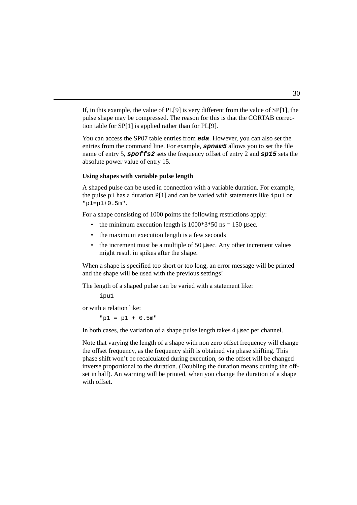tion table for  $SP[1]$  is applied rather than for  $PL[9]$ . If, in this example, the value of PL[9] is very different from the value of SP[1], the pulse shape may be compressed. The reason for this is that the CORTAB correc-

You can access the SP07 table entries from **eda**. However, you can also set the entries from the command line. For example, **spnam5** allows you to set the file name of entry 5, **spoffs2** sets the frequency offset of entry 2 and **sp15** sets the absolute power value of entry 15.

#### **Using shapes with variable pulse length**

A shaped pulse can be used in connection with a variable duration. For example, the pulse  $p1$  has a duration P[1] and can be varied with statements like ipul or "p1=p1+0.5m".

For a shape consisting of 1000 points the following restrictions apply:

- the minimum execution length is  $1000*3*50$  ns = 150 usec.
- the maximum execution length is a few seconds
- the increment must be a multiple of 50 µsec. Any other increment values might result in spikes after the shape.

When a shape is specified too short or too long, an error message will be printed and the shape will be used with the previous settings!

The length of a shaped pulse can be varied with a statement like:

ipu1

or with a relation like:

 $"p1 = p1 + 0.5m"$ 

In both cases, the variation of a shape pulse length takes 4 used per channel.

Note that varying the length of a shape with non zero offset frequency will change the offset frequency, as the frequency shift is obtained via phase shifting. This phase shift won't be recalculated during execution, so the offset will be changed inverse proportional to the duration. (Doubling the duration means cutting the offset in half). An warning will be printed, when you change the duration of a shape with offset.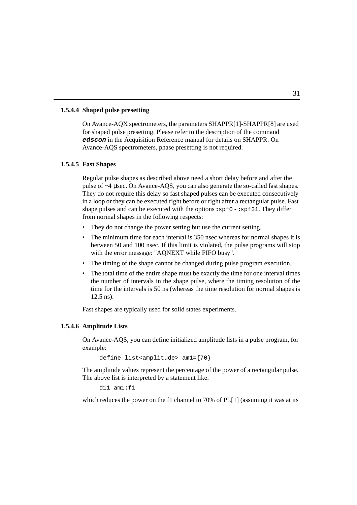#### **1.5.4.4 Shaped pulse presetting**

edscon in the Acquisition Reference manual for details on SHAPPR. On On Avance-AQX spectrometers, the parameters SHAPPR[1]-SHAPPR[8] are used for shaped pulse presetting. Please refer to the description of the command Avance-AQS spectrometers, phase presetting is not required.

#### **1.5.4.5 Fast Shapes**

Regular pulse shapes as described above need a short delay before and after the pulse of ~4 µsec. On Avance-AQS, you can also generate the so-called fast shapes. They do not require this delay so fast shaped pulses can be executed consecutively in a loop or they can be executed right before or right after a rectangular pulse. Fast shape pulses and can be executed with the options **:**spf0 - **:**spf31. They differ from normal shapes in the following respects:

- They do not change the power setting but use the current setting.
- The minimum time for each interval is 350 nsec whereas for normal shapes it is between 50 and 100 nsec. If this limit is violated, the pulse programs will stop with the error message: "AQNEXT while FIFO busy".
- The timing of the shape cannot be changed during pulse program execution.
- The total time of the entire shape must be exactly the time for one interval times the number of intervals in the shape pulse, where the timing resolution of the time for the intervals is 50 ns (whereas the time resolution for normal shapes is 12.5 ns).

Fast shapes are typically used for solid states experiments.

#### **1.5.4.6 Amplitude Lists**

On Avance-AQS, you can define initialized amplitude lists in a pulse program, for example:

```
define list<amplitude> am1={70}
```
The amplitude values represent the percentage of the power of a rectangular pulse. The above list is interpreted by a statement like:

d11 am1:f1

which reduces the power on the f1 channel to 70% of PL[1] (assuming it was at its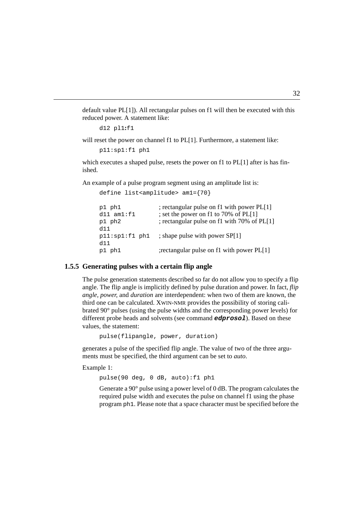default value  $PL[1]$ ). All rectangular pulses on f1 will then be executed with this reduced power. A statement like:

```
d12 pl1:f1
```
will reset the power on channel f1 to PL[1]. Furthermore, a statement like:

p11:sp1:f1 ph1

which executes a shaped pulse, resets the power on f1 to  $PL[1]$  after is has finished.

An example of a pulse program segment using an amplitude list is:

```
define list<amplitude> am1={70}
p1 ph1 ; rectangular pulse on f1 with power PL[1]
d11 am1:11 ; set the power on f1 to 70% of PL[1]
p1 ph2 ; rectangular pulse on f1 with 70% of PL[1]
d11
p11:sp1:fl ph1 ; shape pulse with power SP[1]
d11
p1 ph1 ;rectangular pulse on f1 with power PL[1]
```
#### **1.5.5 Generating pulses with a certain flip angle**

The pulse generation statements described so far do not allow you to specify a flip angle. The flip angle is implicitly defined by pulse duration and power. In fact, *flip angle, power,* and *duration* are interdependent: when two of them are known, the third one can be calculated. XWIN-NMR provides the possibility of storing calibrated 90° pulses (using the pulse widths and the corresponding power levels) for different probe heads and solvents (see command **edprosol**). Based on these values, the statement:

pulse(flipangle, power, duration)

generates a pulse of the specified flip angle. The value of two of the three arguments must be specified, the third argument can be set to *auto*.

Example 1:

pulse(90 deg, 0 dB, auto):f1 ph1

Generate a 90° pulse using a power level of 0 dB. The program calculates the required pulse width and executes the pulse on channel f1 using the phase program ph1. Please note that a space character must be specified before the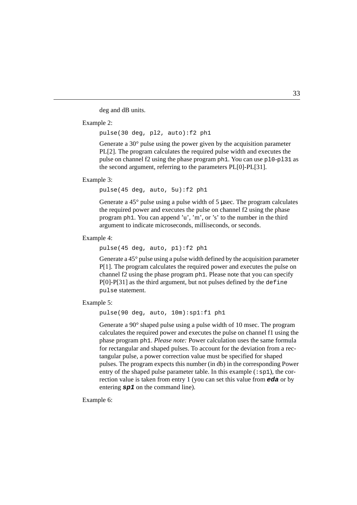deg and dB units.

Example 2:

INDEX pulse(30 deg, pl2, auto):f2 ph1

Generate a 30° pulse using the power given by the acquisition parameter PL[2]. The program calculates the required pulse width and executes the pulse on channel f2 using the phase program  $ph1$ . You can use  $p10-p131$  as the second argument, referring to the parameters PL[0]-PL[31].

Example 3:

pulse(45 deg, auto, 5u):f2 ph1

Generate a  $45^{\circ}$  pulse using a pulse width of 5 µsec. The program calculates the required power and executes the pulse on channel f2 using the phase program ph1. You can append 'u', 'm', or 's' to the number in the third argument to indicate microseconds, milliseconds, or seconds.

Example 4:

pulse(45 deg, auto, p1):f2 ph1

Generate a 45° pulse using a pulse width defined by the acquisition parameter P[1]. The program calculates the required power and executes the pulse on channel f2 using the phase program ph1. Please note that you can specify P[0]-P[31] as the third argument, but not pulses defined by the define pulse statement.

Example 5:

```
pulse(90 deg, auto, 10m):sp1:f1 ph1
```
Generate a 90° shaped pulse using a pulse width of 10 msec. The program calculates the required power and executes the pulse on channel f1 using the phase program ph1. *Please note:* Power calculation uses the same formula for rectangular and shaped pulses. To account for the deviation from a rectangular pulse, a power correction value must be specified for shaped pulses. The program expects this number (in db) in the corresponding Power entry of the shaped pulse parameter table. In this example  $(:sp1)$ , the correction value is taken from entry 1 (you can set this value from **eda** or by entering **sp1** on the command line).

Example 6: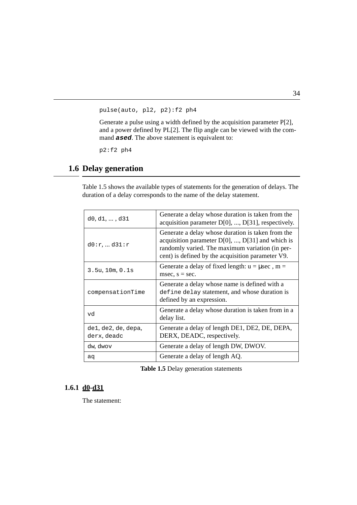pulse(auto, pl2, p2):f2 ph4

mand **ased**. The above statement is equivalent to: and a power defined by PL $[2]$ . The flip angle can be viewed with the com-Generate a pulse using a width defined by the acquisition parameter P[2],

p2:f2 ph4

#### <span id="page-35-0"></span>**1.6 Delay generation**

[Table 1.5](#page-35-1) shows the available types of statements for the generation of delays. The duration of a delay corresponds to the name of the delay statement.

| $d0, d1, \ldots, d31$              | Generate a delay whose duration is taken from the<br>acquisition parameter D[0], , D[31], respectively.                                                                                                            |
|------------------------------------|--------------------------------------------------------------------------------------------------------------------------------------------------------------------------------------------------------------------|
| d0:r,  d31:r                       | Generate a delay whose duration is taken from the<br>acquisition parameter $D[0]$ , , $D[31]$ and which is<br>randomly varied. The maximum variation (in per-<br>cent) is defined by the acquisition parameter V9. |
| 3.5u, 10m, 0.1s                    | Generate a delay of fixed length: $u = \mu \sec$ , m =<br>msec, $s = sec$ .                                                                                                                                        |
| compensationTime                   | Generate a delay whose name is defined with a<br>define delay statement, and whose duration is<br>defined by an expression.                                                                                        |
| bv                                 | Generate a delay whose duration is taken from in a<br>delay list.                                                                                                                                                  |
| de1, de2, de, depa,<br>derx, deadc | Generate a delay of length DE1, DE2, DE, DEPA,<br>DERX, DEADC, respectively.                                                                                                                                       |
| dw, dwov                           | Generate a delay of length DW, DWOV.                                                                                                                                                                               |
| aq                                 | Generate a delay of length AQ.                                                                                                                                                                                     |

**Table 1.5** Delay generation statements

#### <span id="page-35-1"></span>**1.6.1 d0-d31**

The statement: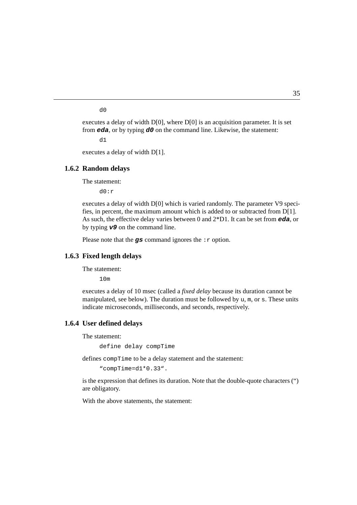d0

From **eda**, or by typing  $d0$  on the command line. Likewise, the statement: executes a delay of width  $D[0]$ , where  $D[0]$  is an acquisition parameter. It is set

 $d1$ 

executes a delay of width D[1].

#### **1.6.2 Random delays**

The statement:

d0:r

executes a delay of width D[0] which is varied randomly. The parameter V9 specifies, in percent, the maximum amount which is added to or subtracted from D[1]. As such, the effective delay varies between 0 and 2\*D1. It can be set from **eda**, or by typing **v9** on the command line.

Please note that the  $\boldsymbol{g}\boldsymbol{s}$  command ignores the :  $\boldsymbol{r}$  option.

### **1.6.3 Fixed length delays**

The statement:

10m

executes a delay of 10 msec (called a *fixed delay* because its duration cannot be manipulated, see below). The duration must be followed by  $u$ ,  $m$ , or s. These units indicate microseconds, milliseconds, and seconds, respectively.

#### **1.6.4 User defined delays**

The statement:

define delay compTime

defines compTime to be a delay statement and the statement:

"compTime=d1\*0.33".

is the expression that defines its duration. Note that the double-quote characters (") are obligatory.

With the above statements, the statement: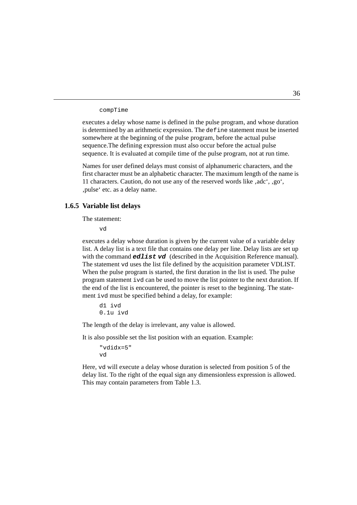compTime

somewhere at the beginning of the pulse program, before the actual pulse is determined by an arithmetic expression. The define statement must be inserted executes a delay whose name is defined in the pulse program, and whose duration sequence.The defining expression must also occur before the actual pulse sequence. It is evaluated at compile time of the pulse program, not at run time.

Names for user defined delays must consist of alphanumeric characters, and the first character must be an alphabetic character. The maximum length of the name is 11 characters. Caution, do not use any of the reserved words like, adc', ,go', 'pulse' etc. as a delay name.

## **1.6.5 Variable list delays**

The statement:

vd

executes a delay whose duration is given by the current value of a variable delay list. A delay list is a text file that contains one delay per line. Delay lists are set up with the command *edlist* vd (described in the Acquisition Reference manual). The statement vd uses the list file defined by the acquisition parameter VDLIST. When the pulse program is started, the first duration in the list is used. The pulse program statement ivd can be used to move the list pointer to the next duration. If the end of the list is encountered, the pointer is reset to the beginning. The statement ivd must be specified behind a delay, for example:

d1 ivd 0.1u ivd

The length of the delay is irrelevant, any value is allowed.

It is also possible set the list position with an equation. Example:

```
"vdidx=5"
vd
```
Here, vd will execute a delay whose duration is selected from position 5 of the delay list. To the right of the equal sign any dimensionless expression is allowed. This may contain parameters from [Table 1.3](#page-16-0).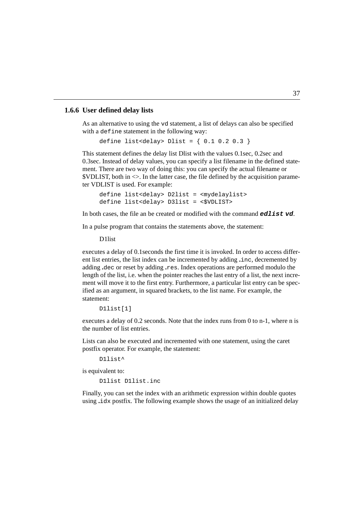## **1.6.6 User defined delay lists**

As an alternative to using the volstatement, a n<br>with a define statement in the following way: As an alternative to using the vd statement, a list of delays can also be specified

```
define list<delay> Dlist = \{ 0.1 0.2 0.3 \}
```
This statement defines the delay list Dlist with the values 0.1sec, 0.2sec and 0.3sec. Instead of delay values, you can specify a list filename in the defined statement. There are two way of doing this: you can specify the actual filename or \$VDLIST, both in <>. In the latter case, the file defined by the acquisition parameter VDLIST is used. For example:

```
define list<delay> D2list = <mydelaylist>
define list<delay> D3list = <$VDLIST>
```
In both cases, the file an be created or modified with the command **edlist vd**.

In a pulse program that contains the statements above, the statement:

D1list

executes a delay of 0.1seconds the first time it is invoked. In order to access different list entries, the list index can be incremented by adding **.**inc, decremented by adding **.**dec or reset by adding **.**res. Index operations are performed modulo the length of the list, i.e. when the pointer reaches the last entry of a list, the next increment will move it to the first entry. Furthermore, a particular list entry can be specified as an argument, in squared brackets, to the list name. For example, the statement:

```
D1list[1]
```
executes a delay of 0.2 seconds. Note that the index runs from 0 to n-1, where n is the number of list entries.

Lists can also be executed and incremented with one statement, using the caret postfix operator. For example, the statement:

```
D1list^
```
is equivalent to:

D1list D1list.inc

Finally, you can set the index with an arithmetic expression within double quotes using **.**idx postfix. The following example shows the usage of an initialized delay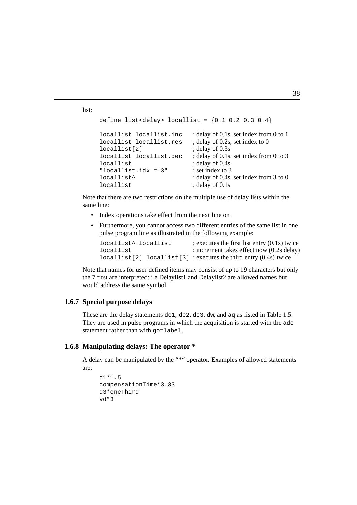```
list:
```

```
locallist locallist.res ; delay of 0.2s, set index to 0
define list<delay> locallist = {0.1, 0.2, 0.3, 0.4}locallist locallist.inc ; delay of 0.1s, set index from 0 to 1
locallist[2] ; delay of 0.3s
locallist locallist.dec ; delay of 0.1s, set index from 0 to 3
locallist ; delay of 0.4s
"locallist.idx = 3" ; set index to 3
locallist<sup>^</sup> ; delay of 0.4s, set index from 3 to 0
locallist ; delay of 0.1s
```
Note that there are two restrictions on the multiple use of delay lists within the same line:

- Index operations take effect from the next line on
- Furthermore, you cannot access two different entries of the same list in one pulse program line as illustrated in the following example:

| locallist^ locallist | ; executes the first list entry $(0.1s)$ twice                        |
|----------------------|-----------------------------------------------------------------------|
| locallist            | ; increment takes effect now (0.2s delay)                             |
|                      | $locallist[2] locallist[3]$ ; executes the third entry $(0.4s)$ twice |

Note that names for user defined items may consist of up to 19 characters but only the 7 first are interpreted: i.e Delaylist1 and Delaylist2 are allowed names but would address the same symbol.

## **1.6.7 Special purpose delays**

These are the delay statements de1, de2, de3, dw, and aq as listed in [Table 1.5](#page-35-0). They are used in pulse programs in which the acquisition is started with the adc statement rather than with  $qo=1$ abel.

## **1.6.8 Manipulating delays: The operator \***

A delay can be manipulated by the "\*" operator. Examples of allowed statements are:

```
d1*1.5
compensationTime*3.33
d3*oneThird
vd*3
```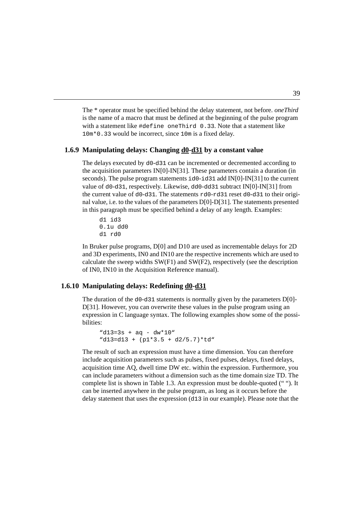with a statement like  $\#$ define oneThird 0.33. Note that a statement like The \* operator must be specified behind the delay statement, not before. *oneThird* is the name of a macro that must be defined at the beginning of the pulse program 10m\*0.33 would be incorrect, since 10m is a fixed delay.

## **1.6.9 Manipulating delays: Changing d0-d31 by a constant value**

The delays executed by d0-d31 can be incremented or decremented according to the acquisition parameters IN[0]-IN[31]. These parameters contain a duration (in seconds). The pulse program statements id0-id31 add IN[0]-IN[31] to the current value of d0-d31, respectively. Likewise, dd0-dd31 subtract IN[0]-IN[31] from the current value of d0-d31. The statements rd0-rd31 reset d0-d31 to their original value, i.e. to the values of the parameters D[0]-D[31]. The statements presented in this paragraph must be specified behind a delay of any length. Examples:

d1 id3 0.1u dd0 d1 rd0

In Bruker pulse programs, D[0] and D10 are used as incrementable delays for 2D and 3D experiments, IN0 and IN10 are the respective increments which are used to calculate the sweep widths  $SW(F1)$  and  $SW(F2)$ , respectively (see the description of IN0, IN10 in the Acquisition Reference manual).

## **1.6.10 Manipulating delays: Redefining d0-d31**

The duration of the  $d0-d31$  statements is normally given by the parameters  $D[0]$ -D[31]. However, you can overwrite these values in the pulse program using an expression in C language syntax. The following examples show some of the possibilities:

```
"d13=3s + aq - dw*10"
"d13=d13 + (p1*3.5 + d2/5.7)*td"
```
The result of such an expression must have a time dimension. You can therefore include acquisition parameters such as pulses, fixed pulses, delays, fixed delays, acquisition time AQ, dwell time DW etc. within the expression. Furthermore, you can include parameters without a dimension such as the time domain size TD. The complete list is shown in [Table 1.3](#page-16-0). An expression must be double-quoted (" "). It can be inserted anywhere in the pulse program, as long as it occurs before the delay statement that uses the expression (d13 in our example). Please note that the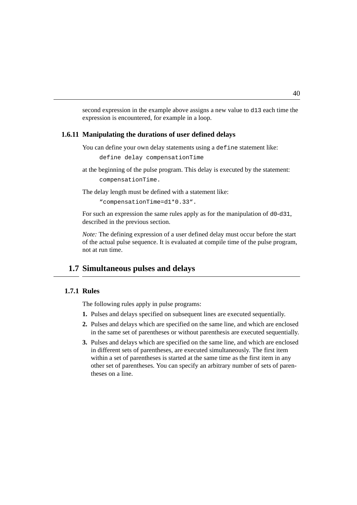second expression in the example above assigns a new value to d13 each time the expression is encountered, for example in a loop.

#### **DO INDEX 1.6.11 Manipulating the durations of user defined delays**

You can define your own delay statements using a define statement like:

```
define delay compensationTime
```
at the beginning of the pulse program. This delay is executed by the statement: compensationTime.

The delay length must be defined with a statement like:

```
"compensationTime=d1*0.33".
```
For such an expression the same rules apply as for the manipulation of d0-d31, described in the previous section.

*Note:* The defining expression of a user defined delay must occur before the start of the actual pulse sequence. It is evaluated at compile time of the pulse program, not at run time.

## **1.7 Simultaneous pulses and delays**

## **1.7.1 Rules**

The following rules apply in pulse programs:

- **1.** Pulses and delays specified on subsequent lines are executed sequentially.
- **2.** Pulses and delays which are specified on the same line, and which are enclosed in the same set of parentheses or without parenthesis are executed sequentially.
- **3.** Pulses and delays which are specified on the same line, and which are enclosed in different sets of parentheses, are executed simultaneously. The first item within a set of parentheses is started at the same time as the first item in any other set of parentheses. You can specify an arbitrary number of sets of parentheses on a line.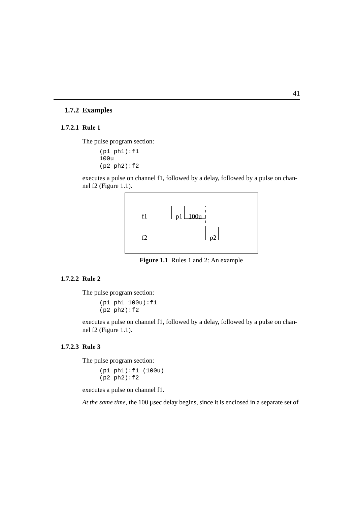## **1.7.2 Examples**

#### **1.7.2.1 Rule 1**

The pulse program section:

```
(p1 ph1):f1
100u
(p2 ph2):f2
```
executes a pulse on channel f1, followed by a delay, followed by a pulse on channel f2 ([Figure 1.1](#page-42-0)).



**Figure 1.1** Rules 1 and 2: An example

#### <span id="page-42-0"></span>**1.7.2.2 Rule 2**

The pulse program section:

(p1 ph1 100u):f1 (p2 ph2):f2

executes a pulse on channel f1, followed by a delay, followed by a pulse on channel f2 ([Figure 1.1](#page-42-0)).

#### **1.7.2.3 Rule 3**

The pulse program section:

(p1 ph1):f1 (100u) (p2 ph2):f2

executes a pulse on channel f1.

*At the same time*, the 100 µsec delay begins, since it is enclosed in a separate set of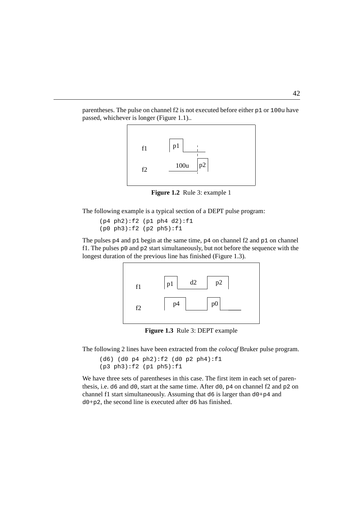parentheses. The pulse on channel f2 is not executed before either p1 or 100u have passed, whichever is longer [\(Figure 1.1](#page-42-0))..



**Figure 1.2** Rule 3: example 1

The following example is a typical section of a DEPT pulse program:

(p4 ph2):f2 (p1 ph4 d2):f1 (p0 ph3):f2 (p2 ph5):f1

The pulses  $p4$  and  $p1$  begin at the same time,  $p4$  on channel f2 and  $p1$  on channel f1. The pulses  $p_0$  and  $p_2$  start simultaneously, but not before the sequence with the longest duration of the previous line has finished [\(Figure 1.3](#page-43-0)).



**Figure 1.3** Rule 3: DEPT example

<span id="page-43-0"></span>The following 2 lines have been extracted from the *colocqf* Bruker pulse program.

```
(d6) (d0 p4 ph2):f2 (d0 p2 ph4):f1
(p3 ph3):f2 (p1 ph5):f1
```
We have three sets of parentheses in this case. The first item in each set of parenthesis, i.e.  $d6$  and  $d0$ , start at the same time. After  $d0$ ,  $p4$  on channel f2 and  $p2$  on channel f1 start simultaneously. Assuming that  $d6$  is larger than  $d0+p4$  and d0+p2, the second line is executed after d6 has finished.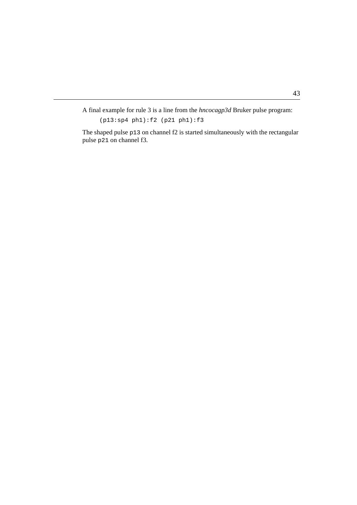A final example for rule 3 is a line from the *hncocagp3d* Bruker pulse program:

(p13:sp4 ph1):f2 (p21 ph1):f3

INDEX pulse p21 on channel f3. The shaped pulse p13 on channel f2 is started simultaneously with the rectangular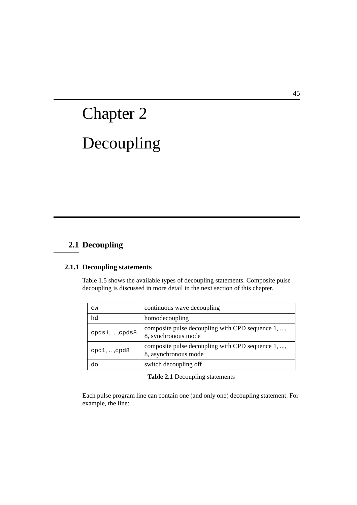# Decoupling Chapter 2

# **2.1 Decoupling**

## **2.1.1 Decoupling statements**

[Table 1.5](#page-35-0) shows the available types of decoupling statements. Composite pulse decoupling is discussed in more detail in the next section of this chapter.

| <b>CW</b>                 | continuous wave decoupling                                                |
|---------------------------|---------------------------------------------------------------------------|
| hd                        | homodecoupling                                                            |
| $cpds1, \ldots$ , $cpds8$ | composite pulse decoupling with CPD sequence 1, ,<br>8, synchronous mode  |
| $cpd1, \ldots$ , cpd8     | composite pulse decoupling with CPD sequence 1, ,<br>8, asynchronous mode |
| do                        | switch decoupling off                                                     |

#### **Table 2.1** Decoupling statements

Each pulse program line can contain one (and only one) decoupling statement. For example, the line: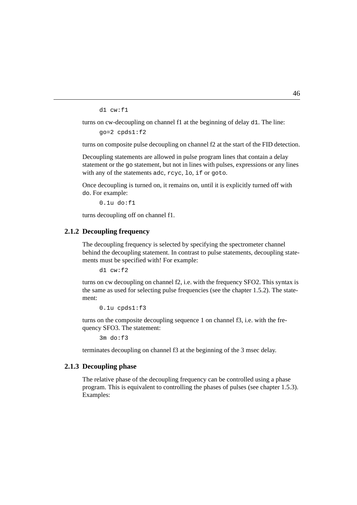d1 cw:f1

turns on cw-decoupling on channel f1 at the beginning of delay d1. The line:

mew decouping<br>go=2 cpds1:f2

turns on composite pulse decoupling on channel f2 at the start of the FID detection.

Decoupling statements are allowed in pulse program lines that contain a delay statement or the go statement, but not in lines with pulses, expressions or any lines with any of the statements adc, rcyc, lo, if or goto.

Once decoupling is turned on, it remains on, until it is explicitly turned off with do. For example:

```
0.1u do:f1
```
turns decoupling off on channel f1.

## **2.1.2 Decoupling frequency**

The decoupling frequency is selected by specifying the spectrometer channel behind the decoupling statement. In contrast to pulse statements, decoupling statements must be specified with! For example:

d1 cw:f2

turns on cw decoupling on channel f2, i.e. with the frequency SFO2. This syntax is the same as used for selecting pulse frequencies (see the chapter [1.5.2\)](#page-16-1). The statement:

0.1u cpds1:f3

turns on the composite decoupling sequence 1 on channel f3, i.e. with the frequency SFO3. The statement:

3m do:f3

terminates decoupling on channel f3 at the beginning of the 3 msec delay.

## **2.1.3 Decoupling phase**

The relative phase of the decoupling frequency can be controlled using a phase program. This is equivalent to controlling the phases of pulses (see chapter [1.5.3\)](#page-20-0). Examples: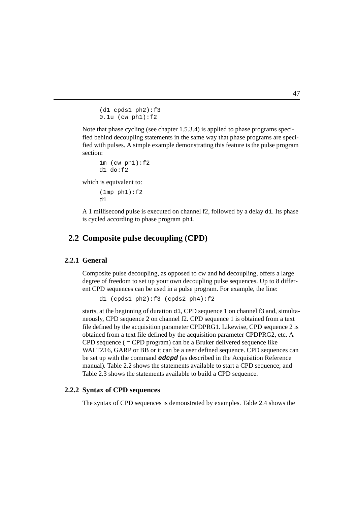```
(d1 cpds1 ph2):f30.1u (cw ph1):f2
```
fied behind decoupling statements in the same way that phase programs are speci-Note that phase cycling (see chapter [1.5.3.4](#page-22-0)) is applied to phase programs specified with pulses. A simple example demonstrating this feature is the pulse program section:

```
1m (cw ph1):f2d1 do:f2
```
which is equivalent to:

 $(1mp \phi)$ : f2  $d1$ 

A 1 millisecond pulse is executed on channel f2, followed by a delay d1. Its phase is cycled according to phase program ph1.

## **2.2 Composite pulse decoupling (CPD)**

## **2.2.1 General**

Composite pulse decoupling, as opposed to cw and hd decoupling, offers a large degree of freedom to set up your own decoupling pulse sequences. Up to 8 different CPD sequences can be used in a pulse program. For example, the line:

```
d1 (cpds1 ph2):f3 (cpds2 ph4):f2
```
starts, at the beginning of duration d1, CPD sequence 1 on channel f3 and, simultaneously, CPD sequence 2 on channel f2. CPD sequence 1 is obtained from a text file defined by the acquisition parameter CPDPRG1. Likewise, CPD sequence 2 is obtained from a text file defined by the acquisition parameter CPDPRG2, etc. A CPD sequence  $( = CPD$  program) can be a Bruker delivered sequence like WALTZ16, GARP or BB or it can be a user defined sequence. CPD sequences can be set up with the command **edcpd** (as described in the Acquisition Reference manual). [Table 2.2](#page-49-0) shows the statements available to start a CPD sequence; and [Table 2.3](#page-50-0) shows the statements available to build a CPD sequence.

## **2.2.2 Syntax of CPD sequences**

The syntax of CPD sequences is demonstrated by examples. [Table 2.4](#page-51-0) shows the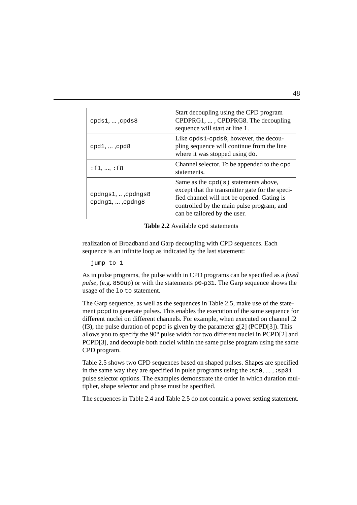| $cpds1, \ldots$ , $cpds8$                       | Start decoupling using the CPD program<br>CPDPRG1, , CPDPRG8. The decoupling<br>sequence will start at line 1.                                                                                                       |
|-------------------------------------------------|----------------------------------------------------------------------------------------------------------------------------------------------------------------------------------------------------------------------|
| $cpd1, \ldots$ , cpd8                           | Like cpds1-cpds8, however, the decou-<br>pling sequence will continue from the line<br>where it was stopped using do.                                                                                                |
| : f1, , f8                                      | Channel selector. To be appended to the cpd<br>statements.                                                                                                                                                           |
| cpdngsl,,cpdngs8<br>$cpdnq1, \ldots$ , $cpdnq8$ | Same as the $cpd(s)$ statements above,<br>except that the transmitter gate for the speci-<br>fied channel will not be opened. Gating is<br>controlled by the main pulse program, and<br>can be tailored by the user. |

**Table 2.2** Available cpd statements

<span id="page-49-0"></span>realization of Broadband and Garp decoupling with CPD sequences. Each sequence is an infinite loop as indicated by the last statement:

jump to 1

As in pulse programs, the pulse width in CPD programs can be specified as a *fixed pulse*, (e.g. 850up) or with the statements p0-p31. The Garp sequence shows the usage of the lo to statement.

The Garp sequence, as well as the sequences in [Table 2.5,](#page-51-1) make use of the statement pcpd to generate pulses. This enables the execution of the same sequence for different nuclei on different channels. For example, when executed on channel f2 (f3), the pulse duration of pcpd is given by the parameter g[2] (PCPD[3]). This allows you to specify the 90° pulse width for two different nuclei in PCPD[2] and PCPD[3], and decouple both nuclei within the same pulse program using the same CPD program.

[Table 2.5](#page-51-1) shows two CPD sequences based on shaped pulses. Shapes are specified in the same way they are specified in pulse programs using the **:**sp0, ... , **:**sp31 pulse selector options. The examples demonstrate the order in which duration multiplier, shape selector and phase must be specified.

The sequences in [Table 2.4](#page-51-0) and [Table 2.5](#page-51-1) do not contain a power setting statement.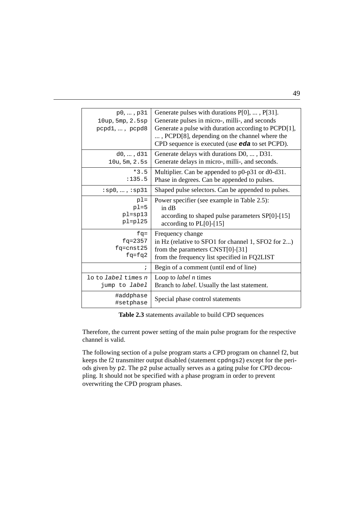| p0, , p31<br>10up, 5mp, 2.5sp<br>pcpd1, , pcpd8 | Generate pulses with durations $P[0], \ldots, P[31]$ .<br>Generate pulses in micro-, milli-, and seconds<br>Generate a pulse with duration according to PCPD[1],<br>, PCPD[8], depending on the channel where the<br>CPD sequence is executed (use eda to set PCPD). |
|-------------------------------------------------|----------------------------------------------------------------------------------------------------------------------------------------------------------------------------------------------------------------------------------------------------------------------|
| d0, , d31                                       | Generate delays with durations D0, , D31.                                                                                                                                                                                                                            |
| 10u, 5m, 2.5s                                   | Generate delays in micro-, milli-, and seconds.                                                                                                                                                                                                                      |
| $*3.5$                                          | Multiplier. Can be appended to $p0-p31$ or d $0-d31$ .                                                                                                                                                                                                               |
| : 135.5                                         | Phase in degrees. Can be appended to pulses.                                                                                                                                                                                                                         |
| $:$ sp0, , $:$ sp31                             | Shaped pulse selectors. Can be appended to pulses.                                                                                                                                                                                                                   |
| $p1 =$                                          | Power specifier (see example in Table 2.5):                                                                                                                                                                                                                          |
| $p1=5$                                          | in dB                                                                                                                                                                                                                                                                |
| $pl = sp13$                                     | according to shaped pulse parameters SP[0]-[15]                                                                                                                                                                                                                      |
| $pl=p125$                                       | according to $PL[0]-[15]$                                                                                                                                                                                                                                            |
| $f\sigma =$                                     | Frequency change                                                                                                                                                                                                                                                     |
| $fq=2357$                                       | in Hz (relative to SFO1 for channel 1, SFO2 for 2)                                                                                                                                                                                                                   |
| $fq = \text{cnst25}$                            | from the parameters $CNST[0]-[31]$                                                                                                                                                                                                                                   |
| $fq=fq2$                                        | from the frequency list specified in FQ2LIST                                                                                                                                                                                                                         |
| $\ddot{i}$                                      | Begin of a comment (until end of line)                                                                                                                                                                                                                               |
| lo to <i>label</i> times n                      | Loop to <i>label n</i> times                                                                                                                                                                                                                                         |
| jump to <i>label</i>                            | Branch to label. Usually the last statement.                                                                                                                                                                                                                         |
| #addphase<br>#setphase                          | Special phase control statements                                                                                                                                                                                                                                     |

**Table 2.3** statements available to build CPD sequences

<span id="page-50-0"></span>Therefore, the current power setting of the main pulse program for the respective channel is valid.

The following section of a pulse program starts a CPD program on channel f2, but keeps the f2 transmitter output disabled (statement cpdngs2) except for the periods given by p2. The p2 pulse actually serves as a gating pulse for CPD decoupling. It should not be specified with a phase program in order to prevent overwriting the CPD program phases.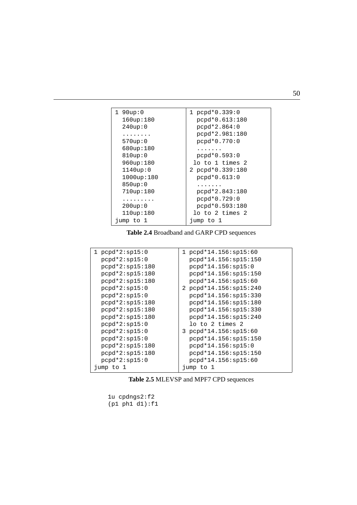| $1.90$ up:0 | $1$ pcpd*0.339:0     |
|-------------|----------------------|
| 160up:180   | pcpd*0.613:180       |
| 240up:0     | pcpd*2.864:0         |
|             | pcpd*2.981:180       |
| 570up:0     | $pcpd*0.770:0$       |
| 680up:180   | .                    |
| 810up:0     | $pcpd*0.593:0$       |
| 960up:180   | lo to 1 times 2      |
| $1140$ up:0 | 2 pcpd*0.339:180     |
| 1000up:180  | $pcpd*0.613:0$       |
| 850up:0     | $\cdots\cdots\cdots$ |
| 710up:180   | pcpd*2.843:180       |
| .           | pcpd*0.729:0         |
| 200up:0     | pcpd*0.593:180       |
| 110up:180   | lo to 2 times 2      |
| jump to 1   | jump to 1            |

**Table 2.4** Broadband and GARP CPD sequences

<span id="page-51-0"></span>

| $1$ pcpd* $2:$ sp $15:0$ | $1$ pcpd*14.156:sp15:60 |
|--------------------------|-------------------------|
| $pcpd*2:sp15:0$          | $pcpd*14.156:sp15:150$  |
| $pcpd*2:sp15:180$        | $pcpd*14.156:sp15:0$    |
| $pcpd*2:sp15:180$        | $pcpd*14.156:sp15:150$  |
| $pcpd*2:sp15:180$        | $pcpd*14.156:sp15:60$   |
| $pcpd*2:sp15:0$          | 2 pcpd*14.156:sp15:240  |
| $pcpd*2:sp15:0$          | $pcpd*14.156:sp15:330$  |
| $pcpd*2:sp15:180$        | $pcpd*14.156:sp15:180$  |
| $pcpd*2:sp15:180$        | $pcpd*14.156:sp15:330$  |
| $pcpd*2:sp15:180$        | $pcpd*14.156:sp15:240$  |
| $pcpd*2:sp15:0$          | lo to 2 times 2         |
| $pcpd*2:sp15:0$          | $3$ pcpd*14.156:sp15:60 |
| $pcpd*2:sp15:0$          | $pcpd*14.156:sp15:150$  |
| $pcpd*2:sp15:180$        | pcpd*14.156:sp15:0      |
| $pcpd*2:sp15:180$        | $pcpd*14.156:sp15:150$  |
| $pcpd*2:sp15:0$          | $pcpd*14.156:sp15:60$   |
| jump to 1                | jump to 1               |

**Table 2.5** MLEVSP and MPF7 CPD sequences

```
1u cpdngs2:f2
(p1 ph1 d1):f1
```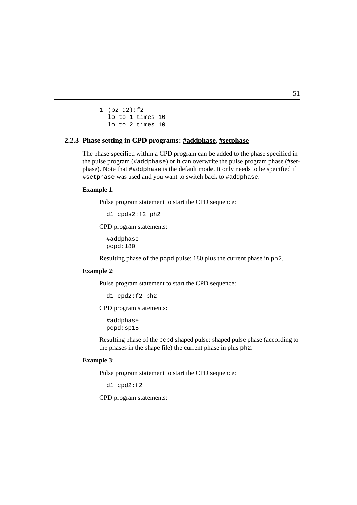```
lo to 2 times 10
1 (p2 d2):f2
  lo to 1 times 10
```
## 2.2.3 Phase setting in CPD programs: **#addphase**, **#setphase**

The phase specified within a CPD program can be added to the phase specified in the pulse program (#addphase) or it can overwrite the pulse program phase (#setphase). Note that #addphase is the default mode. It only needs to be specified if #setphase was used and you want to switch back to #addphase.

#### **Example 1**:

Pulse program statement to start the CPD sequence:

d1 cpds2:f2 ph2

CPD program statements:

#addphase pcpd:180

Resulting phase of the pcpd pulse: 180 plus the current phase in ph2.

#### **Example 2**:

Pulse program statement to start the CPD sequence:

d1 cpd2:f2 ph2

CPD program statements:

#addphase pcpd:sp15

Resulting phase of the pcpd shaped pulse: shaped pulse phase (according to the phases in the shape file) the current phase in plus ph2.

#### **Example 3**:

Pulse program statement to start the CPD sequence:

d1 cpd2:f2

CPD program statements: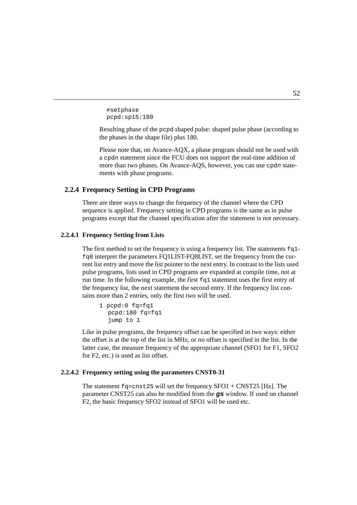```
#setphase
pcpd:sp15:180
```
the phases in the shape file) plus 180. Resulting phase of the pcpd shaped pulse: shaped pulse phase (according to

Please note that, on Avance-AQX, a phase program should not be used with a cpdn statement since the FCU does not support the real-time addition of more than two phases. On Avance-AQS, however, you can use cpdn statements with phase programs.

## **2.2.4 Frequency Setting in CPD Programs**

There are three ways to change the frequency of the channel where the CPD sequence is applied. Frequency setting in CPD programs is the same as in pulse programs except that the channel specification after the statement is not necessary.

#### **2.2.4.1 Frequency Setting from Lists**

The first method to set the frequency is using a frequency list. The statements  $fq1$ fq8 interpret the parameters FQ1LIST-FQ8LIST, set the frequency from the current list entry and move the list pointer to the next entry. In contrast to the lists used pulse programs, lists used in CPD programs are expanded at compile time, not at run time. In the following example, the first  $f \circ \mathfrak{q}$  statement uses the first entry of the frequency list, the next statement the second entry. If the frequency list contains more than 2 entries, only the first two will be used.

```
1 pcpd:0 fq=fq1
  pcpd:180 fq=fq1
  jump to 1
```
Like in pulse programs, the frequency offset can be specified in two ways: either the offset is at the top of the list in MHz, or no offset is specified in the list. In the latter case, the measure frequency of the appropriate channel (SFO1 for F1, SFO2 for F2, etc.) is used as list offset.

#### **2.2.4.2 Frequency setting using the parameters CNST0-31**

The statement  $fq=cnst25$  will set the frequency  $SFO1 + CNST25$  [Hz]. The parameter CNST25 can also be modified from the **gs** window. If used on channel F2, the basic frequency SFO2 instead of SFO1 will be used etc.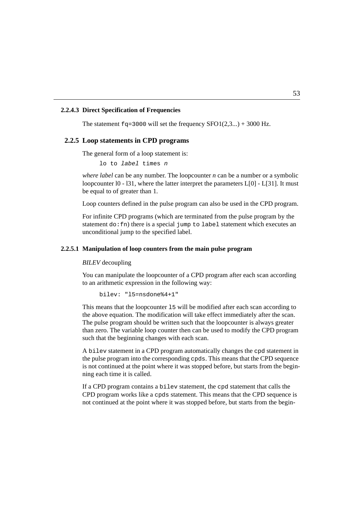#### **2.2.4.3 Direct Specification of Frequencies**

The statement  $fq=3000$  will set the frequency  $SFO1(2,3...) + 3000$  Hz.

## 2.2.5 Loop statements in CPD programs

The general form of a loop statement is:

lo to label times n

*where label* can be any number. The loopcounter *n* can be a number or a symbolic loopcounter 10 - 131, where the latter interpret the parameters  $L[0]$  -  $L[31]$ . It must be equal to of greater than 1.

Loop counters defined in the pulse program can also be used in the CPD program.

For infinite CPD programs (which are terminated from the pulse program by the statement  $d \circ f$ : fn) there is a special jump to label statement which executes an unconditional jump to the specified label.

## **2.2.5.1 Manipulation of loop counters from the main pulse program**

*BILEV* decoupling

You can manipulate the loopcounter of a CPD program after each scan according to an arithmetic expression in the following way:

bilev: "l5=nsdone%4+1"

This means that the loopcounter l5 will be modified after each scan according to the above equation. The modification will take effect immediately after the scan. The pulse program should be written such that the loopcounter is always greater than zero. The variable loop counter then can be used to modify the CPD program such that the beginning changes with each scan.

A bilev statement in a CPD program automatically changes the cpd statement in the pulse program into the corresponding cpds. This means that the CPD sequence is not continued at the point where it was stopped before, but starts from the beginning each time it is called.

If a CPD program contains a bilev statement, the cpd statement that calls the CPD program works like a cpds statement. This means that the CPD sequence is not continued at the point where it was stopped before, but starts from the begin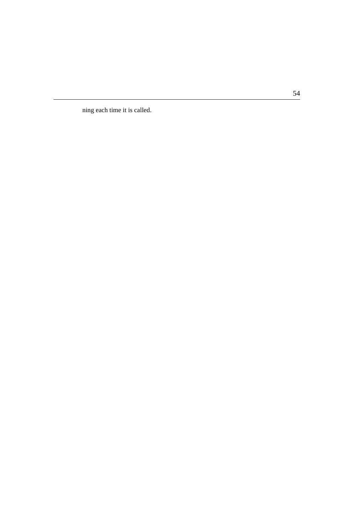ning each time it is called.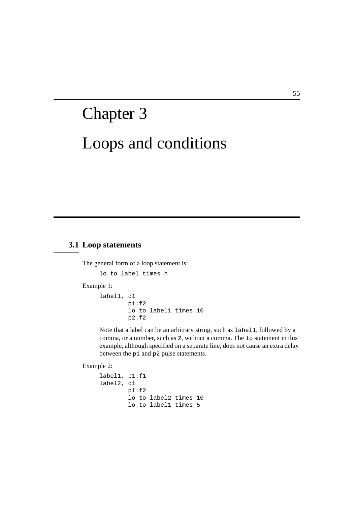# Loops and conditions Chapter 3

## **3.1 Loop statements**

The general form of a loop statement is:

lo to label times n

Example 1:

```
label1, d1
        p1:f2
        lo to label1 times 10
        p2:f2
```
Note that a label can be an arbitrary string, such as label1, followed by a comma, or a number, such as 2, without a comma. The lo statement in this example, although specified on a separate line, does not cause an extra delay between the p1 and p2 pulse statements.

Example 2:

```
label1, p1:f1
label2, d1
        p1:f2
        lo to label2 times 10
        lo to label1 times 5
```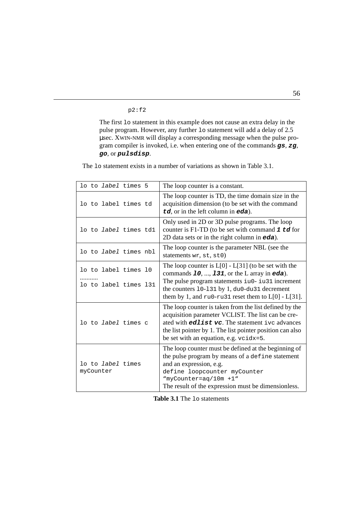p2:f2

**DONE INDEX** µsec. XWIN-NMR will display a corresponding message when the pulse prone met 15 statement in ans example about the cause an extra delay of 2.5 pulse program. However, any further 10 statement will add a delay of 2.5 The first lo statement in this example does not cause an extra delay in the gram compiler is invoked, i.e. when entering one of the commands **gs**, **zg**, **go**, or **pulsdisp**.

The 1<sup>o</sup> statement exists in a number of variations as shown in [Table 3.1](#page-57-0).

<span id="page-57-0"></span>

| lo to <i>label</i> times 5            | The loop counter is a constant.                                                                                                                                                                                                                                                |
|---------------------------------------|--------------------------------------------------------------------------------------------------------------------------------------------------------------------------------------------------------------------------------------------------------------------------------|
| lo to label times td                  | The loop counter is TD, the time domain size in the<br>acquisition dimension (to be set with the command<br>td, or in the left column in eda).                                                                                                                                 |
| lo to <i>label</i> times tdl          | Only used in 2D or 3D pulse programs. The loop<br>counter is F1-TD (to be set with command $1 \text{td}$ for<br>2D data sets or in the right column in $eda$ ).                                                                                                                |
| lo to <i>label</i> times nbl          | The loop counter is the parameter NBL (see the<br>statements wr, st, st0)                                                                                                                                                                                                      |
| lo to label times 10                  | The loop counter is $L[0]$ - $L[31]$ (to be set with the<br>commands $10, , 131$ , or the L array in eda).                                                                                                                                                                     |
| lo to label times 131                 | The pulse program statements iu0- iu31 increment<br>the counters 10-131 by 1, du0-du31 decrement<br>them by 1, and ru0-ru31 reset them to $L[0]$ - $L[31]$ .                                                                                                                   |
| lo to <i>label</i> times c            | The loop counter is taken from the list defined by the<br>acquisition parameter VCLIST. The list can be cre-<br>ated with <b>edlist vc</b> . The statement ive advances<br>the list pointer by 1. The list pointer position can also<br>be set with an equation, e.g. vcidx=5. |
| lo to <i>label</i> times<br>myCounter | The loop counter must be defined at the beginning of<br>the pulse program by means of a define statement<br>and an expression, e.g.<br>define loopcounter myCounter<br>"myCounter=aq/10m +1"<br>The result of the expression must be dimensionless.                            |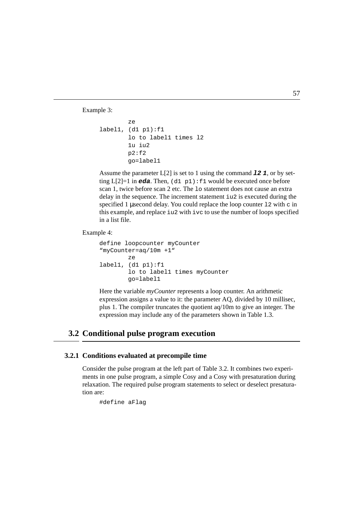Example 3:

```
lo to label1 times 12
label1, (d1 pl):f1ze
       1u iu2
       p2:f2go=label1
```
Assume the parameter  $L[2]$  is set to 1 using the command **12 1**, or by setting  $L[2]=1$  in **eda**. Then,  $(d1 \text{ p1}):f1$  would be executed once before scan 1, twice before scan 2 etc. The lo statement does not cause an extra delay in the sequence. The increment statement iu2 is executed during the specified 1 usecond delay. You could replace the loop counter 12 with  $\sigma$  in this example, and replace iu2 with ivc to use the number of loops specified in a list file.

Example 4:

```
define loopcounter myCounter
"myCounter=aq/10m +1"
        ze
label1, (d1 p1):f1
        lo to label1 times myCounter
        go=label1
```
Here the variable *myCounter* represents a loop counter. An arithmetic expression assigns a value to it: the parameter AQ, divided by 10 millisec, plus 1. The compiler truncates the quotient aq/10m to give an integer. The expression may include any of the parameters shown in [Table 1.3](#page-16-0).

# **3.2 Conditional pulse program execution**

## **3.2.1 Conditions evaluated at precompile time**

Consider the pulse program at the left part of [Table 3.2](#page-59-0). It combines two experiments in one pulse program, a simple Cosy and a Cosy with presaturation during relaxation. The required pulse program statements to select or deselect presaturation are:

```
#define aFlag
```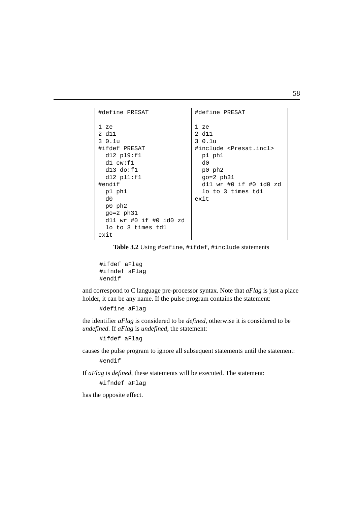| #define PRESAT         | #define PRESAT                       |
|------------------------|--------------------------------------|
|                        |                                      |
| 1 ze                   | 1 ze                                 |
| 2 d11                  | 2 d11                                |
| 3 0.1u                 | 30.1u                                |
| #ifdef PRESAT          | #include <presat.incl></presat.incl> |
| $dl2$ $pl9:fl1$        | p1 ph1                               |
| $dl$ $cw:fl$           | d0                                   |
| $d13$ $do: f1$         | p0 ph2                               |
| $dl2$ $pl1:f1$         | $qo=2$ $ph31$                        |
| #endif                 | $d11$ wr #0 if #0 id0 zd             |
| p1 ph1                 | lo to 3 times tdl                    |
| d0                     | exit                                 |
| p0 ph2                 |                                      |
| $qo=2$ $ph31$          |                                      |
| d11 wr #0 if #0 id0 zd |                                      |
| lo to 3 times tdl      |                                      |
| exit                   |                                      |

**Table 3.2** Using #define, #ifdef, #include statements

```
#ifdef aFlag
#ifndef aFlag
#endif
```
and correspond to C language pre-processor syntax. Note that *aFlag* is just a place holder, it can be any name. If the pulse program contains the statement:

#define aFlag

the identifier *aFlag* is considered to be *defined*, otherwise it is considered to be *undefined*. If *aFlag* is *undefined,* the statement:

#ifdef aFlag

causes the pulse program to ignore all subsequent statements until the statement: #endif

If *aFlag* is *defined,* these statements will be executed. The statement:

#ifndef aFlag

has the opposite effect.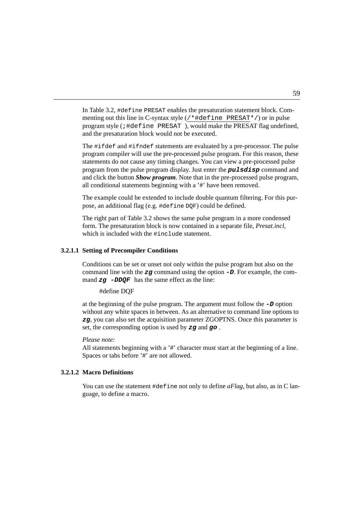$\mathop{\mathrm{program}}$  style (;  $\#\texttt{define }$  PRESAT), would make the PRESAT flag undefined, In [Table 3.2,](#page-59-0) #define PRESAT enables the presaturation statement block. Commenting out this line in C-syntax style  $(\frac{*}{#define} PRESAT*)$  or in pulse and the presaturation block would not be executed.

The #ifdef and #ifndef statements are evaluated by a pre-processor. The pulse program compiler will use the pre-processed pulse program. For this reason, these statements do not cause any timing changes. You can view a pre-processed pulse program from the pulse program display. Just enter the **pulsdisp** command and and click the button *Show program*. Note that in the pre-processed pulse program, all conditional statements beginning with a '#' have been removed.

The example could be extended to include double quantum filtering. For this purpose, an additional flag (e.g. #define DQF) could be defined.

The right part of [Table 3.2](#page-59-0) shows the same pulse program in a more condensed form. The presaturation block is now contained in a separate file, *Presat.incl*, which is included with the #include statement.

#### **3.2.1.1 Setting of Precompiler Conditions**

Conditions can be set or unset not only within the pulse program but also on the command line with the **zg** command using the option **-D**. For example, the command  $zq$  -DDQF has the same effect as the line:

#define DQF

at the beginning of the pulse program. The argument must follow the **-D** option without any white spaces in between. As an alternative to command line options to **zg**, you can also set the acquisition parameter ZGOPTNS. Once this parameter is set, the corresponding option is used by **zg** and **go** .

*Please note:*

All statements beginning with a '#' character must start at the beginning of a line. Spaces or tabs before '#' are not allowed.

#### **3.2.1.2 Macro Definitions**

You can use the statement #define not only to define *aFlag*, but also, as in C language, to define a macro.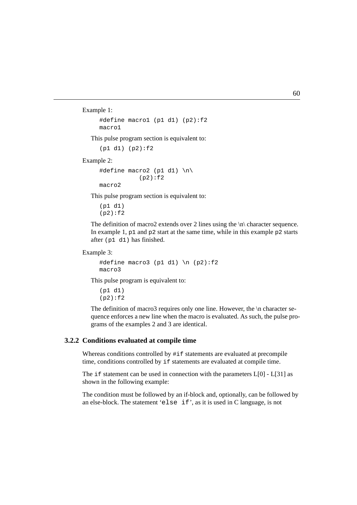Example 1:

```
#define macro1 (p1 d1) (p2):f2
macro1
```
This pulse program section is equivalent to:

(p1 d1) (p2):f2

Example 2:

```
#define macro2 (p1 d1) \n\
           (p2):f2
macro2
```
This pulse program section is equivalent to:

```
(p1 d1)
(p2):f2
```
The definition of macro2 extends over 2 lines using the  $\ln \backslash$  character sequence. In example 1,  $p1$  and  $p2$  start at the same time, while in this example  $p2$  starts after (p1 d1) has finished.

Example 3:

```
#define macro3 (p1 d1) \n (p2):f2
macro3
```
This pulse program is equivalent to:

(p1 d1)  $(p2):f2$ 

The definition of macro3 requires only one line. However, the \n character sequence enforces a new line when the macro is evaluated. As such, the pulse programs of the examples 2 and 3 are identical.

#### **3.2.2 Conditions evaluated at compile time**

Whereas conditions controlled by  $\#$  if statements are evaluated at precompile time, conditions controlled by if statements are evaluated at compile time.

The if statement can be used in connection with the parameters  $L[0]$  -  $L[31]$  as shown in the following example:

The condition must be followed by an if-block and, optionally, can be followed by an else-block. The statement 'else if', as it is used in C language, is not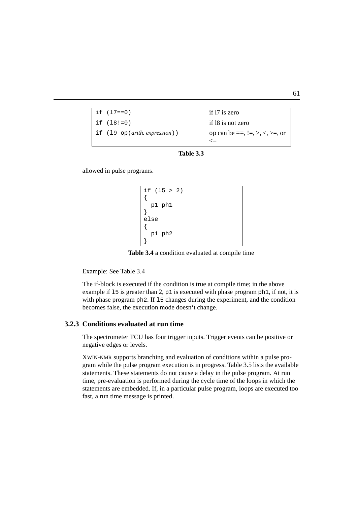| if (17==0)                              | if 17 is zero                              |
|-----------------------------------------|--------------------------------------------|
| if (18!=0)                              | if 18 is not zero                          |
| if $(19 \text{ op}(arith. expression))$ | op can be ==, $!=,$ >, $\lt$ , $\gt$ =, or |
|                                         | $\leq$ $=$                                 |



allowed in pulse programs.

```
if (l5 > 2)
{
  p1 ph1
}
else
{
  p1 ph2
}
```
**Table 3.4** a condition evaluated at compile time

<span id="page-62-0"></span>Example: See [Table 3.4](#page-62-0)

The if-block is executed if the condition is true at compile time; in the above example if 15 is greater than 2,  $p1$  is executed with phase program  $phl$ , if not, it is with phase program ph2. If 15 changes during the experiment, and the condition becomes false, the execution mode doesn't change.

## **3.2.3 Conditions evaluated at run time**

The spectrometer TCU has four trigger inputs. Trigger events can be positive or negative edges or levels.

XWIN-NMR supports branching and evaluation of conditions within a pulse program while the pulse program execution is in progress. [Table 3.5](#page-63-0) lists the available statements. These statements do not cause a delay in the pulse program. At run time, pre-evaluation is performed during the cycle time of the loops in which the statements are embedded. If, in a particular pulse program, loops are executed too fast, a run time message is printed.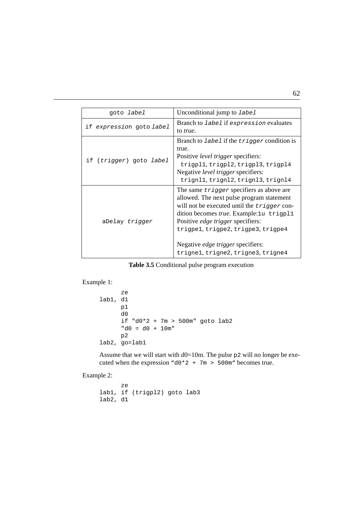| goto <i>label</i>        | Unconditional jump to label                                                                                                                                                                                                                                                                                                                                 |
|--------------------------|-------------------------------------------------------------------------------------------------------------------------------------------------------------------------------------------------------------------------------------------------------------------------------------------------------------------------------------------------------------|
| if expression goto label | Branch to <i>label</i> if expression evaluates<br>to <i>true</i> .                                                                                                                                                                                                                                                                                          |
| if (trigger) goto label  | Branch to <i>label</i> if the <i>trigger</i> condition is<br>true.<br>Positive <i>level trigger</i> specifiers:<br>trigpl1, trigpl2, trigpl3, trigpl4<br>Negative <i>level trigger</i> specifiers:<br>trignl1, trignl2, trignl3, trignl4                                                                                                                    |
| aDelay trigger           | The same <i>trigger</i> specifiers as above are<br>allowed. The next pulse program statement<br>will not be executed until the trigger con-<br>dition becomes true. Example: 1u trigp11<br>Positive <i>edge trigger</i> specifiers:<br>trigpel, trigpe2, trigpe3, trigpe4<br>Negative <i>edge trigger</i> specifiers:<br>trignel, trigne2, trigne3, trigne4 |

#### **Table 3.5** Conditional pulse program execution

```
Example 1:
```

```
ze
lab1, d1
      p1
      d0
      if "d0*2 + 7m > 500m" goto lab2
      "d0 = d0 + 10m"
      p2
lab2, go=lab1
```
Assume that we will start with  $d0=10$ m. The pulse p2 will no longer be executed when the expression "d0\*2 + 7m > 500m" becomes true.

Example 2:

ze lab1, if (trigpl2) goto lab3 lab2, d1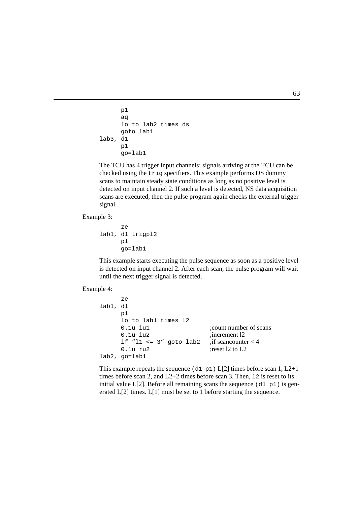```
lo to lab2 times ds
INDEX
lab3, d1
      p1
      aq
      goto lab1
      p1
      go=lab1
```
The TCU has 4 trigger input channels; signals arriving at the TCU can be checked using the trig specifiers. This example performs DS dummy scans to maintain steady state conditions as long as no positive level is detected on input channel 2. If such a level is detected, NS data acquisition scans are executed, then the pulse program again checks the external trigger signal.

Example 3:

```
ze
lab1, d1 trigpl2
      p1
      go=lab1
```
This example starts executing the pulse sequence as soon as a positive level is detected on input channel 2. After each scan, the pulse program will wait until the next trigger signal is detected.

Example 4:

```
ze
lab1, d1
     p1
     lo to lab1 times l2
     0.1u iu1 :count number of scans
     0.1u iu2 :increment l2
     if "l1 <= 3" goto lab2 ; if scancounter < 4
     0.1u ru2 :reset 12 to L2lab2, go=lab1
```
This example repeats the sequence (d1 p1)  $L[2]$  times before scan 1,  $L2+1$ times before scan 2, and  $L2+2$  times before scan 3. Then, 12 is reset to its initial value  $L[2]$ . Before all remaining scans the sequence (d1 p1) is generated L[2] times. L[1] must be set to 1 before starting the sequence.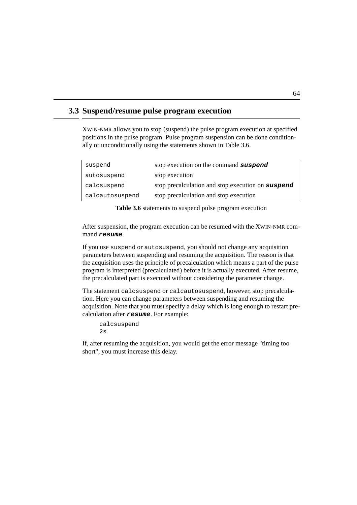## **3.3 Suspend/resume pulse program execution**

positions in the pulse program. Pulse program suspension can be done condition-XWIN-NMR allows you to stop (suspend) the pulse program execution at specified ally or unconditionally using the statements shown in [Table 3.6](#page-65-0).

| suspend         | stop execution on the command suspend             |
|-----------------|---------------------------------------------------|
| autosuspend     | stop execution                                    |
| calcsuspend     | stop precalculation and stop execution on suspend |
| calcautosuspend | stop precalculation and stop execution            |

**Table 3.6** statements to suspend pulse program execution

<span id="page-65-0"></span>After suspension, the program execution can be resumed with the XWIN-NMR command **resume**.

If you use suspend or autosuspend, you should not change any acquisition parameters between suspending and resuming the acquisition. The reason is that the acquisition uses the principle of precalculation which means a part of the pulse program is interpreted (precalculated) before it is actually executed. After resume, the precalculated part is executed without considering the parameter change.

The statement calcsuspend or calcautosuspend, however, stop precalculation. Here you can change parameters between suspending and resuming the acquisition. Note that you must specify a delay which is long enough to restart precalculation after **resume**. For example:

```
calcsuspend
2s
```
If, after resuming the acquisition, you would get the error message "timing too short", you must increase this delay.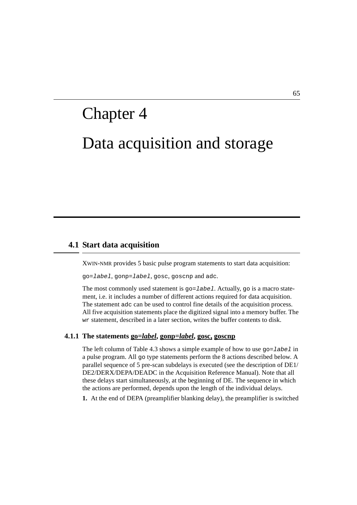# Data acquisition and storage Chapter 4

## **4.1 Start data acquisition**

XWIN-NMR provides 5 basic pulse program statements to start data acquisition:

go=label, gonp=label, gosc, goscnp and adc.

The most commonly used statement is  $qo = \text{label}$ . Actually,  $qo$  is a macro statement, i.e. it includes a number of different actions required for data acquisition. The statement adc can be used to control fine details of the acquisition process. All five acquisition statements place the digitized signal into a memory buffer. The wr statement, described in a later section, writes the buffer contents to disk.

#### **4.1.1 The statements go=***label***, gonp=***label***, gosc, goscnp**

The left column of [Table 4.3](#page-71-0) shows a simple example of how to use  $qo=label$  in a pulse program. All go type statements perform the 8 actions described below. A parallel sequence of 5 pre-scan subdelays is executed (see the description of DE1/ DE2/DERX/DEPA/DEADC in the Acquisition Reference Manual). Note that all these delays start simultaneously, at the beginning of DE. The sequence in which the actions are performed, depends upon the length of the individual delays.

**1.** At the end of DEPA (preamplifier blanking delay), the preamplifier is switched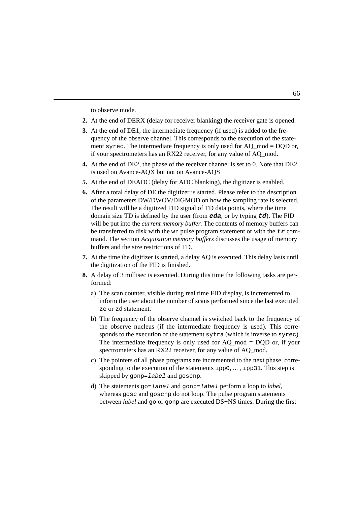to observe mode.

- **2.** At the end of DERX (delay for receiver blanking) the receiver gate is opened.
- quency of the observe channel. This corresponds to the execution of the state-**3.** At the end of DE1, the intermediate frequency (if used) is added to the frement syrec. The intermediate frequency is only used for  $AQ \mod = DQD$  or, if your spectrometers has an RX22 receiver, for any value of AQ\_mod.
- **4.** At the end of DE2, the phase of the receiver channel is set to 0. Note that DE2 is used on Avance-AQX but not on Avance-AQS
- **5.** At the end of DEADC (delay for ADC blanking), the digitizer is enabled.
- **6.** After a total delay of DE the digitizer is started. Please refer to the description of the parameters DW/DWOV/DIGMOD on how the sampling rate is selected. The result will be a digitized FID signal of TD data points, where the time domain size TD is defined by the user (from **eda**, or by typing **td**). The FID will be put into the *current memory buffer*. The contents of memory buffers can be transferred to disk with the wr pulse program statement or with the **tr** command. The section *Acquisition memory buffers* discusses the usage of memory buffers and the size restrictions of TD.
- **7.** At the time the digitizer is started, a delay AQ is executed. This delay lasts until the digitization of the FID is finished.
- <span id="page-67-3"></span><span id="page-67-2"></span><span id="page-67-1"></span><span id="page-67-0"></span>**8.** A delay of 3 millisec is executed. During this time the following tasks are performed:
	- a) The scan counter, visible during real time FID display, is incremented to inform the user about the number of scans performed since the last executed ze or zd statement.
	- b) The frequency of the observe channel is switched back to the frequency of the observe nucleus (if the intermediate frequency is used). This corresponds to the execution of the statement sytra (which is inverse to syrec). The intermediate frequency is only used for AQ mod  $=$  DQD or, if your spectrometers has an RX22 receiver, for any value of AQ mod.
	- c) The pointers of all phase programs are incremented to the next phase, corresponding to the execution of the statements ipp0, ... , ipp31. This step is skipped by gonp=label and goscnp.
	- d) The statements go=label and gonp=label perform a loop to *label*, whereas gosc and goscnp do not loop. The pulse program statements between *label* and go or gonp are executed DS+NS times. During the first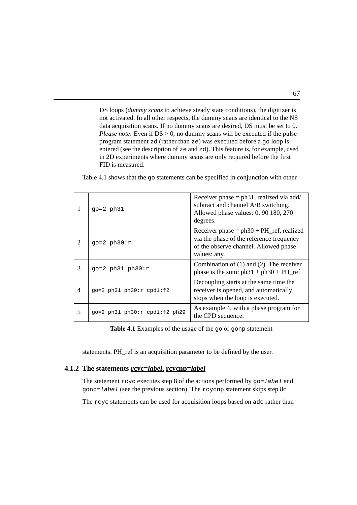program statement zd (rather than ze) was executed before a go loop is data acquisition scans. If no dummy scans are desired, DS must be set to 0. DS loops (*dummy scans* to achieve steady state conditions), the digitizer is not activated. In all other respects, the dummy scans are identical to the NS *Please note:* Even if  $DS > 0$ , no dummy scans will be executed if the pulse entered (see the description of ze and zd). This feature is, for example, used in 2D experiments where dummy scans are only required before the first FID is measured.

[Table 4.1](#page-68-0) shows that the go statements can be specified in conjunction with other

|   | $qo=2$ $ph31$                   | Receiver phase $=$ ph31, realized via add/<br>subtract and channel A/B switching.<br>Allowed phase values: 0, 90 180, 270<br>degrees.              |
|---|---------------------------------|----------------------------------------------------------------------------------------------------------------------------------------------------|
| 2 | $qo=2$ ph30: $r$                | Receiver phase $= ph30 + PH_{ref}$ , realized<br>via the phase of the reference frequency<br>of the observe channel. Allowed phase<br>values: any. |
| 3 | $go=2$ ph31 ph30: $r$           | Combination of $(1)$ and $(2)$ . The receiver<br>phase is the sum: $ph31 + ph30 + PH_{ref}$                                                        |
| 4 | $qo=2$ ph31 ph30: $r$ cpd1:f2   | Decoupling starts at the same time the<br>receiver is opened, and automatically<br>stops when the loop is executed.                                |
| 5 | $qo=2$ ph31 ph30:r cpd1:f2 ph29 | As example 4, with a phase program for<br>the CPD sequence.                                                                                        |

**Table 4.1** Examples of the usage of the go or gonp statement

<span id="page-68-0"></span>statements. PH\_ref is an acquisition parameter to be defined by the user.

#### **4.1.2 The statements rcyc=***label***, rcycnp=***label*

The statement  $r cyc$  executes step [8](#page-67-0) of the actions performed by  $go = label$  and gonp=label (see the previous section). The rcycnp statement skips step [8](#page-67-0)[c](#page-67-1).

The rcyc statements can be used for acquisition loops based on adc rather than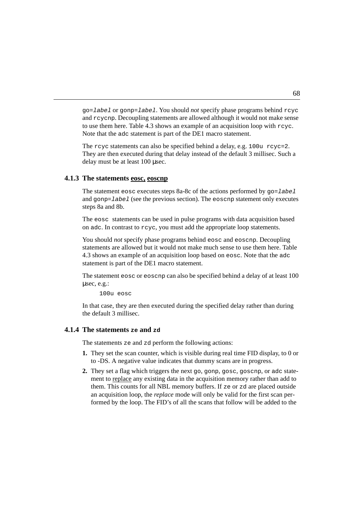to use them here. [Table 4.3](#page-71-0) shows an example of an acquisition loop with  $r c y c$ . go=label or gonp=label. You should *not* specify phase programs behind rcyc and rcycnp. Decoupling statements are allowed although it would not make sense Note that the adc statement is part of the DE1 macro statement.

The rcyc statements can also be specified behind a delay, e.g. 100u rcyc=2. They are then executed during that delay instead of the default 3 millisec. Such a delay must be at least 100 µsec.

#### **4.1.3 The statements eosc, eoscnp**

The statement eosc executes steps [8](#page-67-0)[a](#page-67-2)[-8](#page-67-0)[c](#page-67-1) of the actions performed by  $q_0 =$  label and gonp= $l$ abel (see the previous section). The eoschp statement only executes steps [8](#page-67-0)[a](#page-67-2) and [8](#page-67-0)[b.](#page-67-3)

The eosc statements can be used in pulse programs with data acquisition based on adc. In contrast to rcyc, you must add the appropriate loop statements.

You should *not* specify phase programs behind eosc and eoscnp. Decoupling statements are allowed but it would not make much sense to use them here. [Table](#page-71-0) [4.3](#page-71-0) shows an example of an acquisition loop based on eosc. Note that the adc statement is part of the DE1 macro statement.

The statement eosc or eoscnp can also be specified behind a delay of at least 100 µsec, e.g.:

100u eosc

In that case, they are then executed during the specified delay rather than during the default 3 millisec.

### **4.1.4 The statements ze and zd**

The statements ze and zd perform the following actions:

- **1.** They set the scan counter, which is visible during real time FID display, to 0 or to -DS. A negative value indicates that dummy scans are in progress.
- **2.** They set a flag which triggers the next go, gonp, gosc, goscnp, or adc statement to replace any existing data in the acquisition memory rather than add to them. This counts for all NBL memory buffers. If ze or zd are placed outside an acquisition loop, the *replace* mode will only be valid for the first scan performed by the loop. The FID's of all the scans that follow will be added to the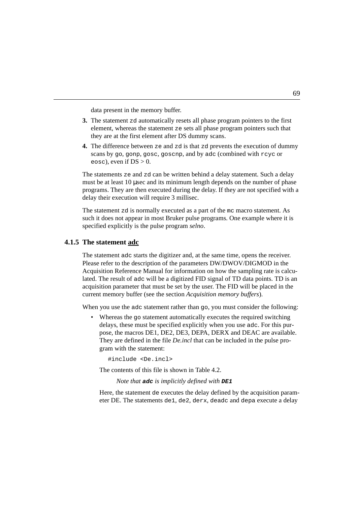data present in the memory buffer.

- they are at the first element after DS dummy scans. element, whereas the statement ze sets all phase program pointers such that **3.** The statement zd automatically resets all phase program pointers to the first
- **4.** The difference between ze and zd is that zd prevents the execution of dummy scans by go, gonp, gosc, goscnp, and by adc (combined with rcyc or eosc), even if  $DS > 0$ .

The statements ze and zd can be written behind a delay statement. Such a delay must be at least 10 µsec and its minimum length depends on the number of phase programs. They are then executed during the delay. If they are not specified with a delay their execution will require 3 millisec.

The statement zd is normally executed as a part of the mc macro statement. As such it does not appear in most Bruker pulse programs. One example where it is specified explicitly is the pulse program *selno*.

## **4.1.5 The statement adc**

The statement adc starts the digitizer and, at the same time, opens the receiver. Please refer to the description of the parameters DW/DWOV/DIGMOD in the Acquisition Reference Manual for information on how the sampling rate is calculated. The result of adc will be a digitized FID signal of TD data points. TD is an acquisition parameter that must be set by the user. The FID will be placed in the current memory buffer (see the section *Acquisition memory buffers*).

When you use the adc statement rather than go, you must consider the following:

• Whereas the go statement automatically executes the required switching delays, these must be specified explicitly when you use adc. For this purpose, the macros DE1, DE2, DE3, DEPA, DERX and DEAC are available. They are defined in the file *De.incl* that can be included in the pulse program with the statement:

#include <De.incl>

The contents of this file is shown in [Table 4.2](#page-71-1).

*Note that* **adc** *is implicitly defined with* **DE1**

Here, the statement de executes the delay defined by the acquisition parameter DE. The statements de1, de2, derx, deadc and depa execute a delay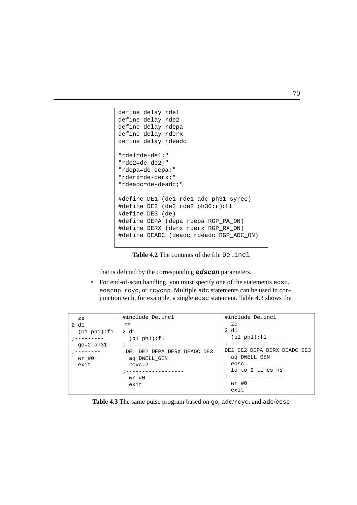```
DONE
INDEX
define delay rdeadc
define delay rdepa
define delay rde1
define delay rde2
define delay rderx
"rde1=de-de1;"
"rde2=de-de2;"
"rdepa=de-depa;"
"rderx=de-derx;"
"rdeadc=de-deadc;"
#define DE1 (de1 rde1 adc ph31 syrec)
#define DE2 (de2 rde2 ph30:r):f1
#define DE3 (de)
#define DEPA (depa rdepa RGP_PA_ON)
#define DERX (derx rderx RGP_RX_ON)
#define DEADC (deadc rdeadc RGP_ADC_ON)
```
**Table 4.2** The contents of the file De. incl

<span id="page-71-1"></span>that is defined by the corresponding **edscon** parameters.

• For end-of-scan handling, you must specify one of the statements eosc, eoscnp, rcyc, or rcycnp. Multiple adc statements can be used in conjunction with, for example, a single eosc statement. [Table 4.3](#page-71-0) shows the

| ze            | #include De.incl            | #include De.incl            |
|---------------|-----------------------------|-----------------------------|
| 2 d1          | ze.                         | ze                          |
| (p1 ph1):f1   | 2 d1                        | 2 d1                        |
|               | (p1 ph1):f1                 | (p1 ph1):f1                 |
| $qo=2$ $ph31$ |                             |                             |
|               | DE1 DE2 DEPA DERX DEADC DE3 | DE1 DE2 DEPA DERX DEADC DE3 |
| wr #0         | ag DWELL GEN                | ag DWELL GEN                |
| exit          | $rcyc=2$                    | eosc                        |
|               |                             | lo to 2 times ns            |
|               | $wr$ #0                     | --------------              |
|               | exit                        | $wr$ #0                     |
|               |                             | exit                        |

<span id="page-71-0"></span>**Table 4.3** The same pulse program based on go, adc/rcyc, and adc/eosc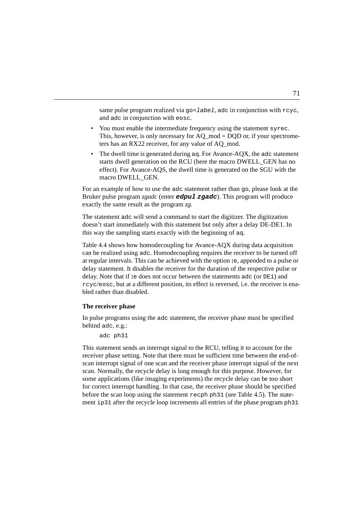<span id="page-72-13"></span><span id="page-72-4"></span>same pulse program realized via  $qo=1$ abel, adc in conjunction with rcyc, and adc in conjunction with eosc.

- **DONEY AND INDEX**<br>
ters has an RX22 receiver, for any value of AQ\_mod. • You must enable the intermediate frequency using the statement syrec. This, however, is only necessary for  $AO \text{ mod } = DOD$  or, if your spectrome-
- <span id="page-72-16"></span><span id="page-72-10"></span><span id="page-72-9"></span><span id="page-72-8"></span><span id="page-72-3"></span>• The dwell time is generated during  $a\sigma$ . For Avance-AOX, the  $a\sigma$  statement starts dwell generation on the RCU (here the macro DWELL\_GEN has no effect). For Avance-AQS, the dwell time is generated on the SGU with the macro DWELL\_GEN.

For an example of how to use the adc statement rather than go, please look at the Bruker pulse program *zgadc* (enter **edpul zgadc**). This program will produce exactly the same result as the program *zg*.

<span id="page-72-7"></span><span id="page-72-6"></span><span id="page-72-5"></span><span id="page-72-2"></span><span id="page-72-1"></span>The statement adc will send a command to start the digitizer. The digitization doesn't start immediately with this statement but only after a delay DE-DE1. In this way the sampling starts exactly with the beginning of aq.

<span id="page-72-12"></span><span id="page-72-0"></span>[Table 4.4](#page-73-0) shows how homodecoupling for Avance-AQX during data acquisition can be realized using adc. Homodecoupling requires the receiver to be turned off at regular intervals. This can be achieved with the option **:**e, appended to a pulse or delay statement. It disables the receiver for the duration of the respective pulse or delay. Note that if **:**e does not occur between the statements adc (or DE1) and rcyc/eosc, but at a different position, its effect is reversed, i.e. the receiver is enabled rather than disabled.

# <span id="page-72-17"></span><span id="page-72-11"></span>**The receiver phase**

In pulse programs using the adc statement, the receiver phase must be specified behind adc, e.g.:

```
adc ph31
```
<span id="page-72-15"></span><span id="page-72-14"></span>This statement sends an interrupt signal to the RCU, telling it to account for the receiver phase setting. Note that there must be sufficient time between the end-ofscan interrupt signal of one scan and the receiver phase interrupt signal of the next scan. Normally, the recycle delay is long enough for this purpose. However, for some applications (like imaging experiments) the recycle delay can be too short for correct interrupt handling. In that case, the receiver phase should be specified before the scan loop using the statement recph ph31 (see [Table 4.5](#page-74-0)). The statement ip31 after the recycle loop increments all entries of the phase program ph31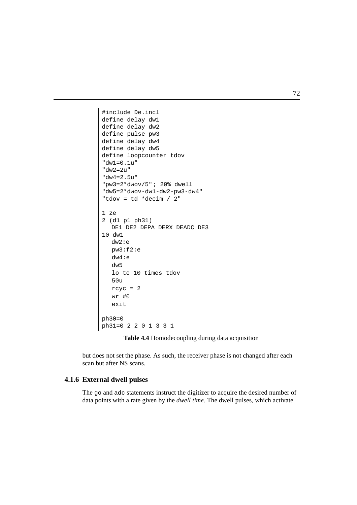```
define delay dw2
INDEX
define delay dw4
#include De.incl
define delay dw1
define pulse pw3
define delay dw5
define loopcounter tdov
"dw1=0.1u"
"dw2=2u"
"dw4=2.5u"
"pw3=2*dwov/5"; 20% dwell
"dw5=2*dwov-dw1-dw2-pw3-dw4"
"tdov = td *decim / 2"
1 ze
2 (d1 p1 ph31)
  DE1 DE2 DEPA DERX DEADC DE3
10 dw1
  dw2:e
  pw3:f2:e
  dw4:e
  dw5
  lo to 10 times tdov
   50u
  rcyc = 2wr #0
  exit
ph30=0ph31=0 2201331
```
<span id="page-73-2"></span><span id="page-73-1"></span>

<span id="page-73-0"></span>but does not set the phase. As such, the receiver phase is not changed after each scan but after NS scans.

# **4.1.6 External dwell pulses**

The go and adc statements instruct the digitizer to acquire the desired number of data points with a rate given by the *dwell time*. The dwell pulses, which activate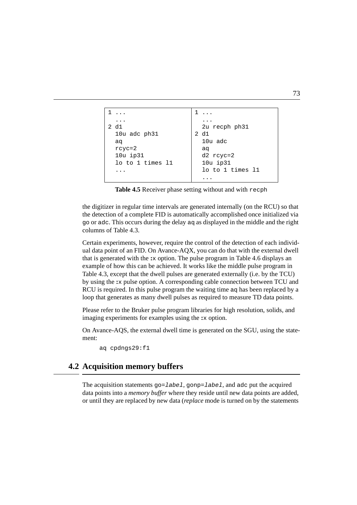```
1 ...
  ...
2 d1
  10u adc ph31
  aq
  rcyc=2
  10u ip31
  lo to 1 times l1
  ...
                          1 ...
                             ...
                            2u recph ph31
                          2 d1
                            10u adc
                            aq
                            d2 rcyc=2
                            10u ip31
                            lo to 1 times l1
                            ...
```
<span id="page-74-11"></span><span id="page-74-8"></span><span id="page-74-5"></span><span id="page-74-3"></span>**Table 4.5** Receiver phase setting without and with recph

<span id="page-74-9"></span><span id="page-74-7"></span><span id="page-74-2"></span><span id="page-74-0"></span>the digitizer in regular time intervals are generated internally (on the RCU) so that the detection of a complete FID is automatically accomplished once initialized via go or adc. This occurs during the delay aq as displayed in the middle and the right columns of [Table 4.3.](#page-71-0)

Certain experiments, however, require the control of the detection of each individual data point of an FID. On Avance-AQX, you can do that with the external dwell that is generated with the **:**x option. The pulse program in [Table 4.6](#page-75-0) displays an example of how this can be achieved. It works like the middle pulse program in [Table 4.3](#page-71-0), except that the dwell pulses are generated externally (i.e. by the TCU) by using the **:**x pulse option. A corresponding cable connection between TCU and RCU is required. In this pulse program the waiting time aq has been replaced by a loop that generates as many dwell pulses as required to measure TD data points.

<span id="page-74-1"></span>Please refer to the Bruker pulse program libraries for high resolution, solids, and imaging experiments for examples using the **:**x option.

<span id="page-74-4"></span>On Avance-AQS, the external dwell time is generated on the SGU, using the statement:

<span id="page-74-6"></span>aq cpdngs29:f1

# **4.2 Acquisition memory buffers**

<span id="page-74-10"></span>The acquisition statements  $qo=label$ ,  $qonp=label$ , and adc put the acquired data points into a *memory buffer* where they reside until new data points are added, or until they are replaced by new data (*replace* mode is turned on by the statements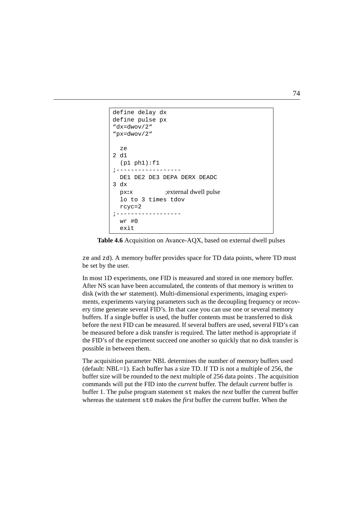```
"dx=dwov/2"
define delay dx
define pulse px
"px=dwov/2"
  ze
2 d1
  (p1 ph1):f1;------------------
  DE1 DE2 DE3 DEPA DERX DEADC
3 dx
px:x ;external dwell pulse
  lo to 3 times tdov
 rcyc=2
;------------------
  wr #0
  exit
```
<span id="page-75-0"></span>

ze and zd). A memory buffer provides space for TD data points, where TD must be set by the user.

In most 1D experiments, one FID is measured and stored in one memory buffer. After NS scan have been accumulated, the contents of that memory is written to disk (with the wr statement). Multi-dimensional experiments, imaging experiments, experiments varying parameters such as the decoupling frequency or recovery time generate several FID's. In that case you can use one or several memory buffers. If a single buffer is used, the buffer contents must be transferred to disk before the next FID can be measured. If several buffers are used, several FID's can be measured before a disk transfer is required. The latter method is appropriate if the FID's of the experiment succeed one another so quickly that no disk transfer is possible in between them.

<span id="page-75-1"></span>The acquisition parameter NBL determines the number of memory buffers used (default:  $NBL=1$ ). Each buffer has a size TD. If TD is not a multiple of 256, the buffer size will be rounded to the next multiple of 256 data points . The acquisition commands will put the FID into the *current* buffer. The default *current* buffer is buffer 1. The pulse program statement st makes the *next* buffer the current buffer whereas the statement st0 makes the *first* buffer the current buffer. When the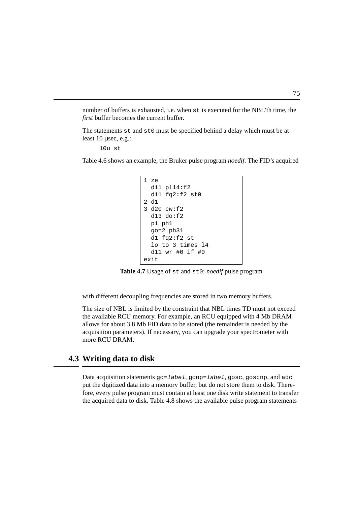number of buffers is exhausted, i.e. when st is executed for the NBL'th time, the *first* buffer becomes the current buffer.

The statements st and st0 must be specified behind a delay which must be at least 10 μsec, e.g.:

 $10u$  st

[Table 4.6](#page-75-0) shows an example, the Bruker pulse program *noedif*. The FID's acquired

```
1 ze
 d11 pl14:f2
 d11 fq2:f2 st0
2 d1
3 d20 cw:f2
 d13 do:f2
 p1 ph1
 go=2 ph31
 d1 fq2:f2 st
 lo to 3 times l4
 d11 wr #0 if #0
exit
```
<span id="page-76-9"></span><span id="page-76-5"></span><span id="page-76-1"></span>**Table 4.7** Usage of st and st0: *noedif* pulse program

<span id="page-76-0"></span>with different decoupling frequencies are stored in two memory buffers.

<span id="page-76-8"></span><span id="page-76-6"></span>The size of NBL is limited by the constraint that NBL times TD must not exceed the available RCU memory. For example, an RCU equipped with 4 Mb DRAM allows for about 3.8 Mb FID data to be stored (the remainder is needed by the acquisition parameters). If necessary, you can upgrade your spectrometer with more RCU DRAM.

# **4.3 Writing data to disk**

<span id="page-76-4"></span><span id="page-76-3"></span><span id="page-76-2"></span>Data acquisition statements go=label, gonp=label, gosc, goscnp, and adc put the digitized data into a memory buffer, but do not store them to disk. Therefore, every pulse program must contain at least one disk write statement to transfer the acquired data to disk. [Table 4.8](#page-77-0) shows the available pulse program statements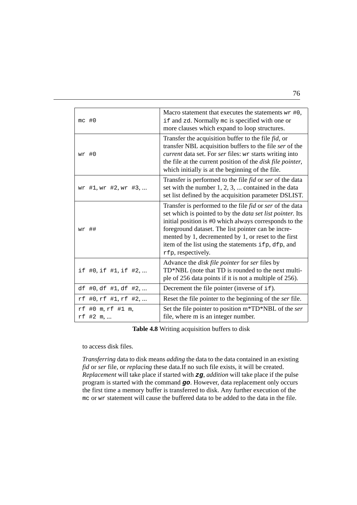<span id="page-77-5"></span><span id="page-77-3"></span>

| $mc$ #0                       | Macro statement that executes the statements $wr #0$ ,<br>if and zd. Normally me is specified with one or<br>more clauses which expand to loop structures.                                                                                                                                                                                                                                        |
|-------------------------------|---------------------------------------------------------------------------------------------------------------------------------------------------------------------------------------------------------------------------------------------------------------------------------------------------------------------------------------------------------------------------------------------------|
| $wr$ #0                       | Transfer the acquisition buffer to the file <i>fid</i> , or<br>transfer NBL acquisition buffers to the file ser of the<br>current data set. For ser files: wr starts writing into<br>the file at the current position of the <i>disk file pointer</i> ,<br>which initially is at the beginning of the file.                                                                                       |
| wr #1, wr #2, wr #3,          | Transfer is performed to the file <i>fid</i> or <i>ser</i> of the data<br>set with the number $1, 2, 3, \dots$ contained in the data<br>set list defined by the acquisition parameter DSLIST.                                                                                                                                                                                                     |
| $wr$ ##                       | Transfer is performed to the file <i>fid</i> or <i>ser</i> of the data<br>set which is pointed to by the <i>data set list pointer</i> . Its<br>initial position is #0 which always corresponds to the<br>foreground dataset. The list pointer can be incre-<br>mented by 1, decremented by 1, or reset to the first<br>item of the list using the statements if p, dfp, and<br>rfp, respectively. |
| if #0, if #1, if #2,          | Advance the disk file pointer for ser files by<br>TD*NBL (note that TD is rounded to the next multi-<br>ple of 256 data points if it is not a multiple of 256).                                                                                                                                                                                                                                   |
| df #0, df #1, df #2,          | Decrement the file pointer (inverse of if).                                                                                                                                                                                                                                                                                                                                                       |
| rf #0, rf #1, rf #2,          | Reset the file pointer to the beginning of the <i>ser</i> file.                                                                                                                                                                                                                                                                                                                                   |
| rf #0 m, rf #1 m,<br>rf #2 m, | Set the file pointer to position m*TD*NBL of the ser<br>file, where m is an integer number.                                                                                                                                                                                                                                                                                                       |

<span id="page-77-9"></span><span id="page-77-6"></span><span id="page-77-4"></span><span id="page-77-1"></span>**Table 4.8** Writing acquisition buffers to disk

<span id="page-77-7"></span><span id="page-77-2"></span><span id="page-77-0"></span>to access disk files.

<span id="page-77-8"></span>*Transferring* data to disk means *adding* the data to the data contained in an existing *fid* or *ser* file, or *replacing* these data.If no such file exists, it will be created. *Replacement* will take place if started with **zg**, *addition* will take place if the pulse program is started with the command **go**. However, data replacement only occurs the first time a memory buffer is transferred to disk. Any further execution of the mc or wr statement will cause the buffered data to be added to the data in the file.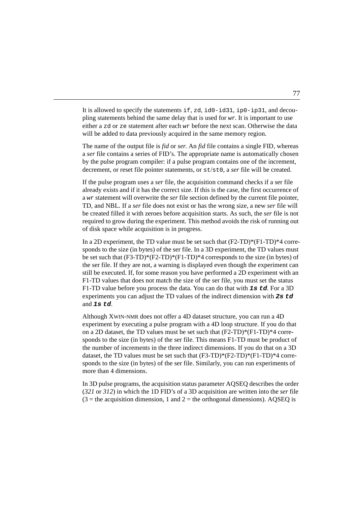<span id="page-78-5"></span><span id="page-78-4"></span><span id="page-78-3"></span>either a zd or ze statement after each wr before the next scan. Otherwise the data It is allowed to specify the statements if, zd, id0-id31, ip0-ip31, and decoupling statements behind the same delay that is used for wr. It is important to use will be added to data previously acquired in the same memory region.

<span id="page-78-7"></span><span id="page-78-2"></span>**DONE** The name of the output file is *fid* or *ser*. An *fid* file contains a single FID, whereas a *ser* file contains a series of FID's. The appropriate name is automatically chosen by the pulse program compiler: if a pulse program contains one of the increment, decrement, or reset file pointer statements, or st/st0, a *ser* file will be created.

<span id="page-78-6"></span>If the pulse program uses a *ser* file, the acquisition command checks if a ser file already exists and if it has the correct size. If this is the case, the first occurrence of a wr statement will overwrite the *ser* file section defined by the current file pointer, TD, and NBL. If a *ser* file does not exist or has the wrong size, a new *ser* file will be created filled it with zeroes before acquisition starts. As such, the *ser* file is not required to grow during the experiment. This method avoids the risk of running out of disk space while acquisition is in progress.

In a 2D experiment, the TD value must be set such that (F2-TD)\*(F1-TD)\*4 corresponds to the size (in bytes) of the ser file. In a 3D experiment, the TD values must be set such that  $(F3-TD)*(F1-TD)*4$  corresponds to the size (in bytes) of the ser file. If they are not, a warning is displayed even though the experiment can still be executed. If, for some reason you have performed a 2D experiment with an F1-TD values that does not match the size of the ser file, you must set the status F1-TD value before you process the data. You can do that with **1s td**. For a 3D experiments you can adjust the TD values of the indirect dimension with **2s td** and **1s td**.

<span id="page-78-0"></span>Although XWIN-NMR does not offer a 4D dataset structure, you can run a 4D experiment by executing a pulse program with a 4D loop structure. If you do that on a 2D dataset, the TD values must be set such that  $(F2-TD)*(F1-TD)*4$  corresponds to the size (in bytes) of the ser file. This means F1-TD must be product of the number of increments in the three indirect dimensions. If you do that on a 3D dataset, the TD values must be set such that  $(F3-TD)*(F1-TD)*4$  corresponds to the size (in bytes) of the ser file. Similarly, you can run experiments of more than 4 dimensions.

<span id="page-78-1"></span>In 3D pulse programs, the acquisition status parameter AQSEQ describes the order (*321* or *312*) in which the 1D FID's of a 3D acquisition are written into the *ser* file  $(3 =$  the acquisition dimension, 1 and 2 = the orthogonal dimensions). AQSEQ is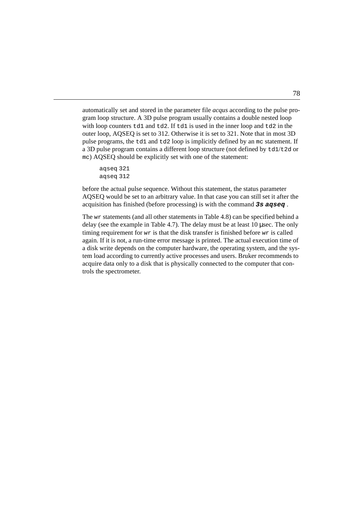pulse programs, the td1 and td2 loop is implicitly defined by an mc statement. If with loop counters  $t d1$  and  $t d2$ . If  $t d1$  is used in the inner loop and  $t d2$  in the automatically set and stored in the parameter file *acqus* according to the pulse program loop structure. A 3D pulse program usually contains a double nested loop outer loop, AQSEQ is set to 312. Otherwise it is set to 321. Note that in most 3D a 3D pulse program contains a different loop structure (not defined by td1/t2d or mc) AQSEQ should be explicitly set with one of the statement:

<span id="page-79-1"></span>aqseq 321 aqseq 312

<span id="page-79-0"></span>before the actual pulse sequence. Without this statement, the status parameter AQSEQ would be set to an arbitrary value. In that case you can still set it after the acquisition has finished (before processing) is with the command **3s aqseq** .

The wr statements (and all other statements in [Table 4.8](#page-77-0)) can be specified behind a delay (see the example in [Table 4.7](#page-76-0)). The delay must be at least 10 µsec. The only timing requirement for  $w\dot{x}$  is that the disk transfer is finished before  $w\dot{x}$  is called again. If it is not, a run-time error message is printed. The actual execution time of a disk write depends on the computer hardware, the operating system, and the system load according to currently active processes and users. Bruker recommends to acquire data only to a disk that is physically connected to the computer that controls the spectrometer.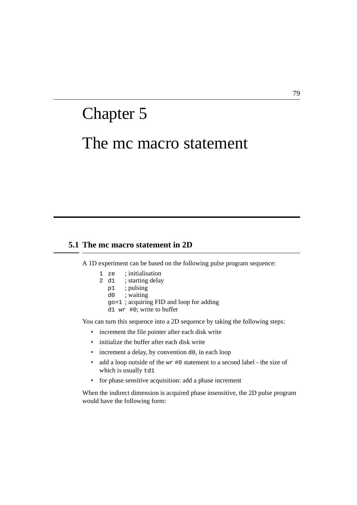# The mc macro statement Chapter 5

# **5.1 The mc macro statement in 2D**

A 1D experiment can be based on the following pulse program sequence:

- 1 ze ; initialisation
- 2 d1 ; starting delay
	- p1 ; pulsing
	- d0 ; waiting
	- go=1 ; acquiring FID and loop for adding
	- d1 wr #0; write to buffer

You can turn this sequence into a 2D sequence by taking the following steps:

- increment the file pointer after each disk write
- initialize the buffer after each disk write
- increment a delay, by convention d0, in each loop
- add a loop outside of the wr #0 statement to a second label the size of which is usually td1
- for phase sensitive acquisition: add a phase increment

When the indirect dimension is acquired phase insensitive, the 2D pulse program would have the following form: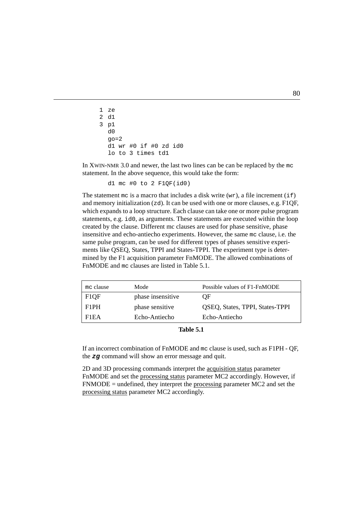```
1 ze
2 d1
3 p1
  d<sub>0</sub>qo=2d1 wr #0 if #0 zd id0
  lo to 3 times td1
```
In XWIN-NMR 3.0 and newer, the last two lines can be can be replaced by the mc statement. In the above sequence, this would take the form:

<span id="page-81-5"></span><span id="page-81-3"></span>d1 mc #0 to 2  $F1QF(id0)$ 

The statement  $mc$  is a macro that includes a disk write (wr), a file increment (if) and memory initialization (zd). It can be used with one or more clauses, e.g. F1QF, which expands to a loop structure. Each clause can take one or more pulse program statements, e.g. id0, as arguments. These statements are executed within the loop created by the clause. Different mc clauses are used for phase sensitive, phase insensitive and echo-antiecho experiments. However, the same mc clause, i.e. the same pulse program, can be used for different types of phases sensitive experiments like QSEQ, States, TPPI and States-TPPI. The experiment type is determined by the F1 acquisition parameter FnMODE. The allowed combinations of FnMODE and mc clauses are listed in [Table 5.1.](#page-81-0)

<span id="page-81-2"></span><span id="page-81-1"></span>

| mc clause | Mode              | Possible values of F1-FnMODE    |
|-----------|-------------------|---------------------------------|
| F1OF      | phase insensitive | ΟF                              |
| F1PH      | phase sensitive   | QSEQ, States, TPPI, States-TPPI |
| F1EA      | Echo-Antiecho     | Echo-Antiecho                   |

<span id="page-81-6"></span><span id="page-81-4"></span>

| Table 5.1 |  |
|-----------|--|
|-----------|--|

<span id="page-81-0"></span>If an incorrect combination of FnMODE and mc clause is used, such as F1PH - QF, the **zg** command will show an error message and quit.

2D and 3D processing commands interpret the acquisition status parameter FnMODE and set the processing status parameter MC2 accordingly. However, if  $FNMODE = undefined$ , they interpret the processing parameter  $MC2$  and set the processing status parameter MC2 accordingly.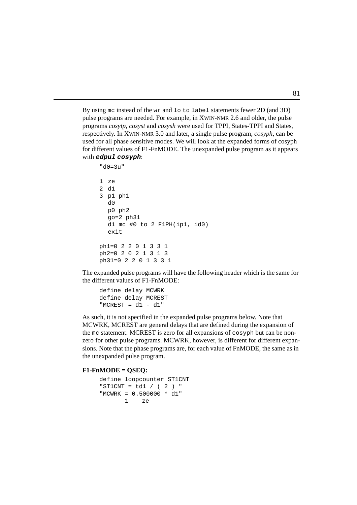used for all phase sensitive modes. We will look at the expanded forms of cosyph programs *cosytp*, *cosyst* and *cosysh* were used for TPPI, States-TPPI and States, By using mc instead of the wr and lo to label statements fewer 2D (and 3D) pulse programs are needed. For example, in XWIN-NMR 2.6 and older, the pulse respectively. In XWIN-NMR 3.0 and later, a single pulse program, *cosyph*, can be for different values of F1-FnMODE. The unexpanded pulse program as it appears with **edpul cosyph**:

```
"d0=3u"
1 ze
2 d1
3 p1 ph1
  d0
  p0 ph2
  go=2 ph31
  d1 mc #0 to 2 F1PH(ip1, id0)
  exit
ph1=02201331
ph2=02021313
ph31=02201331
```
The expanded pulse programs will have the following header which is the same for the different values of F1-FnMODE:

```
define delay MCWRK
define delay MCREST
"MCREST = d1 - d1"
```
As such, it is not specified in the expanded pulse programs below. Note that MCWRK, MCREST are general delays that are defined during the expansion of the mc statement. MCREST is zero for all expansions of cosyph but can be nonzero for other pulse programs. MCWRK, however, is different for different expansions. Note that the phase programs are, for each value of FnMODE, the same as in the unexpanded pulse program.

#### **F1-FnMODE = QSEQ:**

```
define loopcounter ST1CNT
"ST1CNT = t d1 / (2) "
"MCWRK = 0.500000 * d1"
       1 ze
```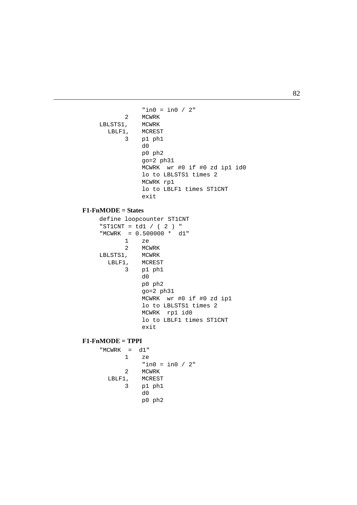```
LSTS1, MCWRK<br>LBLF1, MCRES'
       INDEX
3 p1 ph1
             "in0 = in0 / 2"2 MCWRK
LBLSTS1,
           MCREST
            d0
            p0 ph2
            go=2 ph31
            MCWRK wr #0 if #0 zd ip1 id0
             lo to LBLSTS1 times 2
            MCWRK rp1
             lo to LBLF1 times ST1CNT
            exit
```
#### **F1-FnMODE = States**

define loopcounter ST1CNT "ST1CNT =  $td1 / (2)$  " "MCWRK = 0.500000 \* d1" 1 ze 2 MCWRK LBLSTS1, MCWRK LBLF1, MCREST 3 p1 ph1 d0 p0 ph2 go=2 ph31 MCWRK wr #0 if #0 zd ip1 lo to LBLSTS1 times 2 MCWRK rp1 id0 lo to LBLF1 times ST1CNT exit

#### **F1-FnMODE = TPPI**

```
"MCWRK = d1"
      1 ze
          "in0 = in0 / 2"
      2 MCWRK
 LBLF1, MCREST
      3 p1 ph1
          d0
          p0 ph2
```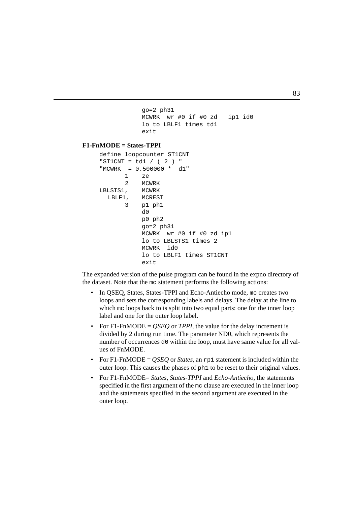```
\frac{1}{\sqrt{2}}go=2 ph31
     MCWRK wr #0 if #0 zd ip1 id0
     lo to LBLF1 times td1
     exit
```
#### $\overline{a}$ **F1-FnMODE = States-TPPI**

```
define loopcounter ST1CNT
"ST1CNT = td1 / (2) "
"MCWRK = 0.500000 * d1"
       1 ze
       2 MCWRK
LBLSTS1, MCWRK
  LBLF1, MCREST
       3 p1 ph1
           d<sub>0</sub>p0 ph2
           go=2 ph31
           MCWRK wr #0 if #0 zd ip1
           lo to LBLSTS1 times 2
           MCWRK id0
           lo to LBLF1 times ST1CNT
           exit
```
The expanded version of the pulse program can be found in the expno directory of the dataset. Note that the mc statement performs the following actions:

- In QSEQ, States, States-TPPI and Echo-Antiecho mode, mc creates two loops and sets the corresponding labels and delays. The delay at the line to which mc loops back to is split into two equal parts: one for the inner loop label and one for the outer loop label.
- For F1-FnMODE =  $QSEQ$  or *TPPI*, the value for the delay increment is divided by 2 during run time. The parameter ND0, which represents the number of occurrences d0 within the loop, must have same value for all values of FnMODE.
- For F1-FnMODE =  $QSEQ$  or *States*, an rp1 statement is included within the outer loop. This causes the phases of ph1 to be reset to their original values.
- For F1-FnMODE= *States*, *States-TPPI* and *Echo-Antiecho*, the statements specified in the first argument of the mc clause are executed in the inner loop and the statements specified in the second argument are executed in the outer loop.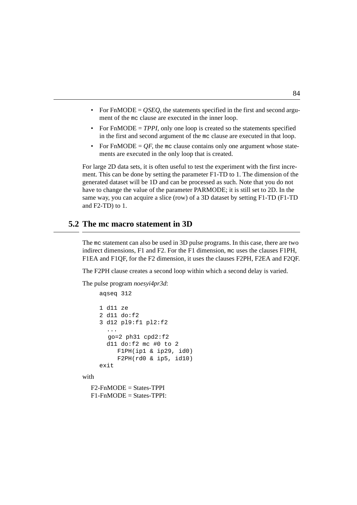- For FnMODE = *OSEO*, the statements specified in the first and second argument of the mc clause are executed in the inner loop.
- in the first and second argument of the mc clause are executed in that loop. • For  $FnMODE = TPPI$ , only one loop is created so the statements specified
- For FnMODE  $= QF$ , the mc clause contains only one argument whose statements are executed in the only loop that is created.

For large 2D data sets, it is often useful to test the experiment with the first increment. This can be done by setting the parameter F1-TD to 1. The dimension of the generated dataset will be 1D and can be processed as such. Note that you do not have to change the value of the parameter PARMODE; it is still set to 2D. In the same way, you can acquire a slice (row) of a 3D dataset by setting F1-TD (F1-TD and F2-TD) to 1.

# **5.2 The mc macro statement in 3D**

The mc statement can also be used in 3D pulse programs. In this case, there are two indirect dimensions, F1 and F2. For the F1 dimension, mc uses the clauses F1PH, F1EA and F1QF, for the F2 dimension, it uses the clauses F2PH, F2EA and F2QF.

The F2PH clause creates a second loop within which a second delay is varied.

The pulse program *noesyi4pr3d*:

```
aqseq 312
1 d11 ze
2 d11 do:f2
3 d12 pl9:f1 pl2:f2
  ...
  qo=2 ph31 cpd2:f2d11 do: f2 mc #0 to 2
     F1PH(ip1 & ip29, id0)F2PH(rd0 & ip5, id10)
exit
```
with

 $F2-FnMODE = States-TPPI$  $F1-FnMODE = States-TPPI:$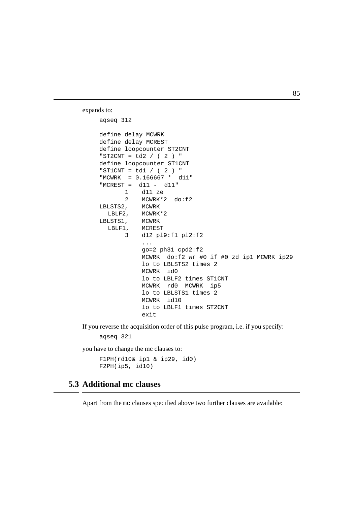expands to:

```
DONE
INDEX
define delay MCREST
aqseq 312
define delay MCWRK
define loopcounter ST2CNT
"ST2CNT = td2 / (2) "
define loopcounter ST1CNT
"ST1CNT = td1/(2)"
"MCWRK = 0.166667 * d11"
"MCREST = d11 - d11"
       1 d11 ze
       2 MCWRK*2 do:f2
LBLSTS2, MCWRK
  LBLF2, MCWRK*2
LBLSTS1, MCWRK
  LBLF1, MCREST
       3 d12 pl9:f1 pl2:f2
           ...
           qo=2 ph31 cpd2:f2MCWRK do:f2 wr #0 if #0 zd ip1 MCWRK ip29
           lo to LBLSTS2 times 2
           MCWRK id0
           lo to LBLF2 times ST1CNT
           MCWRK rd0 MCWRK ip5
           lo to LBLSTS1 times 2
           MCWRK id10
           lo to LBLF1 times ST2CNT
           exit
```
If you reverse the acquisition order of this pulse program, i.e. if you specify:

aqseq 321

you have to change the mc clauses to:

```
F1PH(rd10& ip1 & ip29, id0)
F2PH(ip5, id10)
```
# <span id="page-86-0"></span>**5.3 Additional mc clauses**

Apart from the mc clauses specified above two further clauses are available: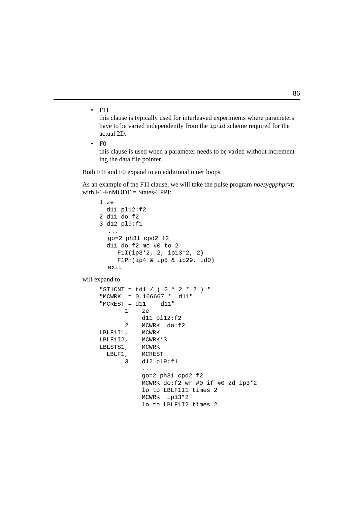<span id="page-87-1"></span> $\cdot$  F1I

have to be varied independently from the  $ip/id$  scheme required for the this clause is typically used for interleaved experiments where parameters actual 2D.

<span id="page-87-0"></span> $\bullet$  F<sub>0</sub>

this clause is used when a parameter needs to be varied without incrementing the data file pointer.

Both F1I and F0 expand to an additional inner loops.

As an example of the F1I clause, we will take the pulse program *noesygpphprxf;* with  $F1-FnMODE = States-TPPI$ 

```
1 \text{ ze}d11 pl12:f2
2 d11 do:f2
3 d12 pl9:f1
   ...
  go=2 ph31 cpd2:f2
  d11 \text{do}: f2 \text{ mc } #0 \text{ to } 2F1I(ip3*2, 2, ip13*2, 2)
      F1PH(ip4 & ip5 & ip29, id0)
   exit
```
will expand to

```
"ST1CNT = t d1 / (2 * 2 * 2) "
"MCWRK = 0.166667 * d11"
"MCREST = d11 - d11"
      1 ze
           d11 pl12:f2
      2 MCWRK do:f2
LBLF1I1, MCWRK
LBLF1I2, MCWRK*3
LBLSTS1, MCWRK
 LBLF1, MCREST
      3 d12 pl9:f1
           ...
           qo=2 ph31 cpd2:f2MCWRK do:f2 wr #0 if #0 zd ip3*2
           lo to LBLF1I1 times 2
           MCWRK ip13*2
           lo to LBLF1I2 times 2
```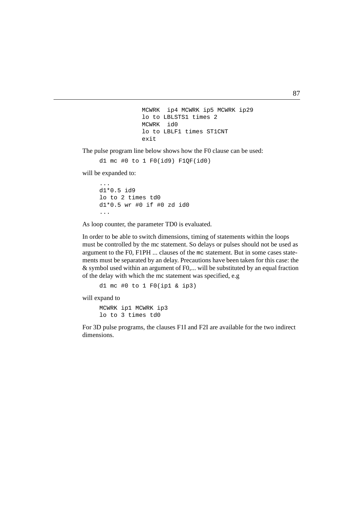```
I<sup>N</sup>
INDEX
exit
     MCWRK ip4 MCWRK ip5 MCWRK ip29
     lo to LBLSTS1 times 2
     MCWRK id0
     lo to LBLF1 times ST1CNT
```
The pulse program line below shows how the F0 clause can be used:

d1 mc #0 to 1  $FO(id9)$   $F1OF(id0)$ 

will be expanded to:

```
...
d1*0.5 id9
lo to 2 times td0
d1*0.5 wr #0 if #0 zd id0
...
```
As loop counter, the parameter TD0 is evaluated.

In order to be able to switch dimensions, timing of statements within the loops must be controlled by the mc statement. So delays or pulses should not be used as argument to the F0, F1PH ... clauses of the mc statement. But in some cases statements must be separated by an delay. Precautions have been taken for this case: the & symbol used within an argument of F0,... will be substituted by an equal fraction of the delay with which the mc statement was specified, e.g

d1 mc #0 to 1 F0(ip1 & ip3)

will expand to

MCWRK ip1 MCWRK ip3 lo to 3 times td0

For 3D pulse programs, the clauses F1I and F2I are available for the two indirect dimensions.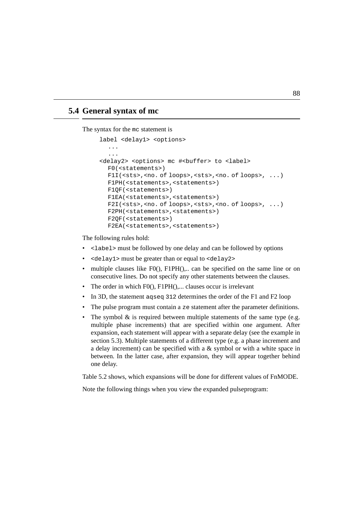# **5.4 General syntax of mc**

The syntax for the mc statement is

```
label <delay1> <options>
  ...
  ...
<delay2> <options> mc #<br/>buffer> to <label>
  F0(<statements>)
  F1I(<sts>,<no. of loops>,<sts>,<no. of loops>, ...)
  F1PH(<statements>,<statements>)
  F1QF(<statements>)
  F1EA(<statements>,<statements>)
  F2I(<sts>,<no. of loops>,<sts>,<no. of loops>, ...)
  F2PH(<statements>,<statements>)
  F2QF(<statements>)
  F2EA(<statements>,<statements>)
```
<span id="page-89-8"></span><span id="page-89-7"></span><span id="page-89-6"></span><span id="page-89-5"></span><span id="page-89-1"></span>The following rules hold:

- <label> must be followed by one delay and can be followed by options
- <delay1> must be greater than or equal to <delay2>
- multiple clauses like  $F(0)$ ,  $F1PH($ ),... can be specified on the same line or on consecutive lines. Do not specify any other statements between the clauses.
- The order in which F0(), F1PH(),... clauses occur is irrelevant
- In 3D, the statement agseg 312 determines the order of the F1 and F2 loop
- The pulse program must contain a ze statement after the parameter definitions.
- The symbol  $\&$  is required between multiple statements of the same type (e.g. multiple phase increments) that are specified within one argument. After expansion, each statement will appear with a separate delay (see the example in section [5.3](#page-86-0)). Multiple statements of a different type (e.g. a phase increment and a delay increment) can be specified with a  $\&$  symbol or with a white space in between. In the latter case, after expansion, they will appear together behind one delay.

Table [5.2](#page-90-0) shows, which expansions will be done for different values of FnMODE.

Note the following things when you view the expanded pulseprogram: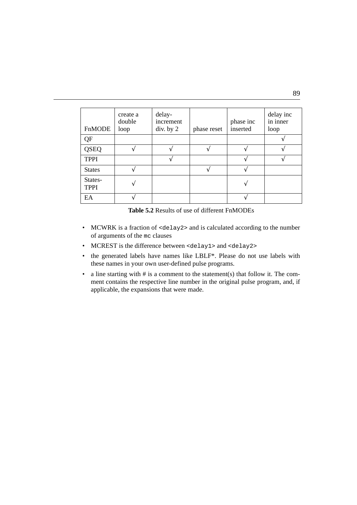| FnMODE                 | create a<br>double<br>loop | delay-<br>increment<br>div. by 2 | phase reset | phase inc<br>inserted | delay inc<br>in inner<br>loop |
|------------------------|----------------------------|----------------------------------|-------------|-----------------------|-------------------------------|
| QF                     |                            |                                  |             |                       |                               |
| QSEQ                   |                            |                                  |             |                       |                               |
| <b>TPPI</b>            |                            |                                  |             |                       |                               |
| <b>States</b>          |                            |                                  |             |                       |                               |
| States-<br><b>TPPI</b> |                            |                                  |             |                       |                               |
| EA                     |                            |                                  |             |                       |                               |

<span id="page-90-1"></span>**Table 5.2** Results of use of different FnMODEs

- <span id="page-90-3"></span><span id="page-90-0"></span>• MCWRK is a fraction of <delay2> and is calculated according to the number of arguments of the mc clauses
- <span id="page-90-2"></span>• MCREST is the difference between <delay1> and <delay2>
- the generated labels have names like LBLF\*. Please do not use labels with these names in your own user-defined pulse programs.
- a line starting with # is a comment to the statement(s) that follow it. The comment contains the respective line number in the original pulse program, and, if applicable, the expansions that were made.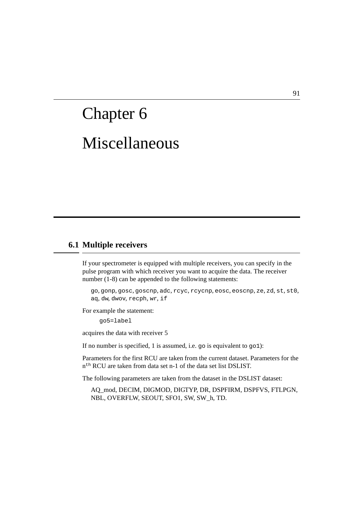# Miscellaneous Chapter 6

# <span id="page-92-2"></span>**6.1 Multiple receivers**

If your spectrometer is equipped with multiple receivers, you can specify in the pulse program with which receiver you want to acquire the data. The receiver number (1-8) can be appended to the following statements:

go, gonp, gosc, goscnp, adc, rcyc, rcycnp, eosc, eoscnp, ze, zd, st, st0, aq, dw, dwov, recph, wr, if

For example the statement:

<span id="page-92-3"></span><span id="page-92-1"></span><span id="page-92-0"></span>go5=label

acquires the data with receiver 5

If no number is specified, 1 is assumed, i.e. go is equivalent to go1):

Parameters for the first RCU are taken from the current dataset. Parameters for the n<sup>th</sup> RCU are taken from data set n-1 of the data set list DSLIST.

The following parameters are taken from the dataset in the DSLIST dataset:

AQ\_mod, DECIM, DIGMOD, DIGTYP, DR, DSPFIRM, DSPFVS, FTLPGN, NBL, OVERFLW, SEOUT, SFO1, SW, SW\_h, TD.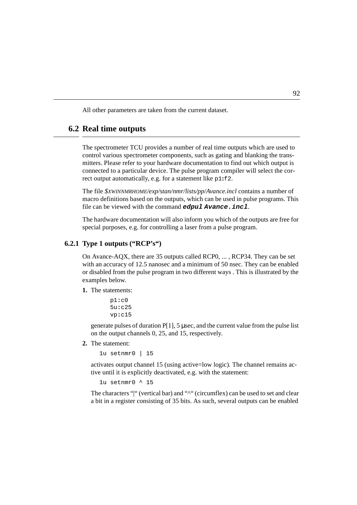<span id="page-93-6"></span>All other parameters are taken from the current dataset.

**INDEX**

# **6.2 Real time outputs**

The spectrometer TCU provides a number of real time outputs which are used to control various spectrometer components, such as gating and blanking the transmitters. Please refer to your hardware documentation to find out which output is connected to a particular device. The pulse program compiler will select the correct output automatically, e.g. for a statement like p1**:**f2.

<span id="page-93-4"></span><span id="page-93-2"></span><span id="page-93-1"></span>**DONE CONTRACTOR** 

The file *\$XWINNMRHOME/exp/stan/nmr/lists/pp/Avance.incl* contains a number of macro definitions based on the outputs, which can be used in pulse programs. This file can be viewed with the command **edpul Avance.incl**.

The hardware documentation will also inform you which of the outputs are free for special purposes, e.g. for controlling a laser from a pulse program.

# **6.2.1 Type 1 outputs ("RCP's")**

On Avance-AQX, there are 35 outputs called RCP0, ... , RCP34. They can be set with an accuracy of 12.5 nanosec and a minimum of 50 nsec. They can be enabled or disabled from the pulse program in two different ways . This is illustrated by the examples below.

**1.** The statements:

<span id="page-93-5"></span><span id="page-93-3"></span><span id="page-93-0"></span>p1**:**c0 5u**:**c25 vp**:**c15

generate pulses of duration  $P[1]$ , 5 µsec, and the current value from the pulse list on the output channels 0, 25, and 15, respectively.

**2.** The statement:

1u setnmr0 | 15

activates output channel 15 (using active=low logic). The channel remains active until it is explicitly deactivated, e.g. with the statement:

```
1u setnmr0 ^ 15
```
The characters "" (vertical bar) and "<sup> $\land$ "</sup> (circumflex) can be used to set and clear a bit in a register consisting of 35 bits. As such, several outputs can be enabled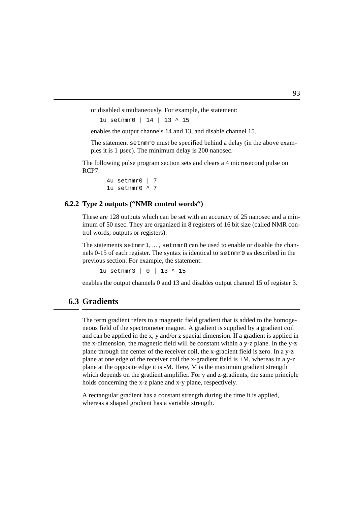or disabled simultaneously. For example, the statement:

1u setnmr0 | 14 | 13 ^ 15

enables the output channels 14 and 13, and disable channel 15.

The statement setnmr0 must be specified behind a delay (in the above examples it is 1 µsec). The minimum delay is 200 nanosec.

The following pulse program section sets and clears a 4 microsecond pulse on  $RCP7$ 

```
4u setnmr0 | 7
1u setnmr0 \land 7
```
# **6.2.2 Type 2 outputs ("NMR control words")**

These are 128 outputs which can be set with an accuracy of 25 nanosec and a minimum of 50 nsec. They are organized in 8 registers of 16 bit size (called NMR control words, outputs or registers).

The statements setnmr1, ... , setnmr8 can be used to enable or disable the channels 0-15 of each register. The syntax is identical to setnmr0 as described in the previous section. For example, the statement:

<span id="page-94-0"></span>1u setnmr3 | 0 | 13 ^ 15

enables the output channels 0 and 13 and disables output channel 15 of register 3.

# **6.3 Gradients**

The term gradient refers to a magnetic field gradient that is added to the homogeneous field of the spectrometer magnet. A gradient is supplied by a gradient coil and can be applied in the x, y and/or z spacial dimension. If a gradient is applied in the x-dimension, the magnetic field will be constant within a y-z plane. In the y-z plane through the center of the receiver coil, the x-gradient field is zero. In a y-z plane at one edge of the receiver coil the x-gradient field is +M, whereas in a y-z plane at the opposite edge it is -M. Here, M is the maximum gradient strength which depends on the gradient amplifier. For y and z-gradients, the same principle holds concerning the x-z plane and x-y plane, respectively.

<span id="page-94-3"></span><span id="page-94-2"></span><span id="page-94-1"></span>A rectangular gradient has a constant strength during the time it is applied, whereas a shaped gradient has a variable strength.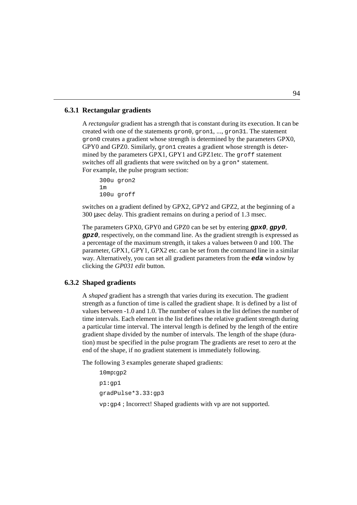# **6.3.1 Rectangular gradients**

<span id="page-95-8"></span><span id="page-95-4"></span><span id="page-95-3"></span>gron0 creates a gradient whose strength is determined by the parameters GPX0, A rectangular gradient has a strength that is constant during its execution. It is<br>created with one of the statements gron0, gron1, ..., gron31. The statement A *rectangular* gradient has a strength that is constant during its execution. It can be GPY0 and GPZ0. Similarly, gron1 creates a gradient whose strength is determined by the parameters GPX1, GPY1 and GPZ1etc. The groff statement switches off all gradients that were switched on by a gron\* statement. For example, the pulse program section:

```
300u gron2
1m
100u groff
```
switches on a gradient defined by GPX2, GPY2 and GPZ2, at the beginning of a 300 µsec delay. This gradient remains on during a period of 1.3 msec.

<span id="page-95-1"></span>The parameters GPX0, GPY0 and GPZ0 can be set by entering **gpx0**, **gpy0**, **gpz0**, respectively, on the command line. As the gradient strength is expressed as a percentage of the maximum strength, it takes a values between 0 and 100. The parameter, GPX1, GPY1, GPX2 etc. can be set from the command line in a similar way. Alternatively, you can set all gradient parameters from the **eda** window by clicking the *GP031 edit* button*.*

# **6.3.2 Shaped gradients**

<span id="page-95-5"></span>A *shaped* gradient has a strength that varies during its execution. The gradient strength as a function of time is called the gradient shape. It is defined by a list of values between -1.0 and 1.0. The number of values in the list defines the number of time intervals. Each element in the list defines the relative gradient strength during a particular time interval. The interval length is defined by the length of the entire gradient shape divided by the number of intervals. The length of the shape (duration) must be specified in the pulse program The gradients are reset to zero at the end of the shape, if no gradient statement is immediately following.

The following 3 examples generate shaped gradients:

```
10mp:gp2
p1:gp1
gradPulse*3.33:gp3
vp:gp4 ; Incorrect! Shaped gradients with vp are not supported.
```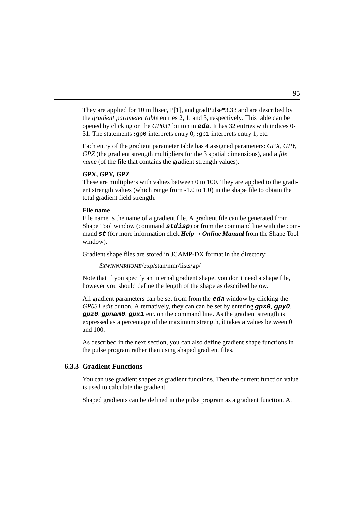<span id="page-96-1"></span>opened by clicking on the *GP031* button in **eda**. It has 32 entries with indices 0-They are applied for 10 millisec, P[1], and gradPulse\*3.33 and are described by the *gradient parameter table* entries 2, 1, and 3, respectively. This table can be 31. The statements **:**gp0 interprets entry 0, **:**gp1 interprets entry 1, etc.

<span id="page-96-0"></span>**DONE** Each entry of the gradient parameter table has 4 assigned parameters: *GPX, GPY, GPZ* (the gradient strength multipliers for the 3 spatial dimensions), and a *file name* (of the file that contains the gradient strength values).

#### <span id="page-96-5"></span>**GPX, GPY, GPZ**

These are multipliers with values between 0 to 100. They are applied to the gradient strength values (which range from -1.0 to 1.0) in the shape file to obtain the total gradient field strength.

#### <span id="page-96-3"></span>**File name**

File name is the name of a gradient file. A gradient file can be generated from Shape Tool window (command **stdisp**) or from the command line with the command  $st$  (for more information click  $Help \rightarrow Online Manual$  from the Shape Tool window).

Gradient shape files are stored in JCAMP-DX format in the directory:

```
$XWINNMRHOME/exp/stan/nmr/lists/gp/
```
Note that if you specify an internal gradient shape, you don't need a shape file, however you should define the length of the shape as described below.

<span id="page-96-2"></span>All gradient parameters can be set from from the **eda** window by clicking the *GP031 edit* button*.* Alternatively, they can can be set by entering **gpx0**, **gpy0**, **gpz0**, **gpnam0**, **gpx1** etc. on the command line. As the gradient strength is expressed as a percentage of the maximum strength, it takes a values between 0 and 100.

As described in the next section, you can also define gradient shape functions in the pulse program rather than using shaped gradient files.

# **6.3.3 Gradient Functions**

<span id="page-96-4"></span>You can use gradient shapes as gradient functions. Then the current function value is used to calculate the gradient.

Shaped gradients can be defined in the pulse program as a gradient function. At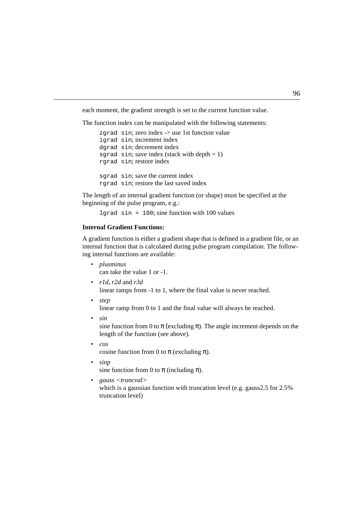each moment, the gradient strength is set to the current function value.

 $\frac{1}{2}$ The function index can be manipulated with the following statements:

```
igrad sin; increment index
zgrad sin; zero index -> use 1st function value
dgrad sin; decrement index
sgrad sin; save index (stack with depth = 1)
rgrad sin; restore index
sgrad sin; save the current index
rgrad sin; restore the last saved index
```
The length of an internal gradient function (or shape) must be specified at the beginning of the pulse program, e.g.:

<span id="page-97-4"></span>lgrad  $sin = 100$ ; sine function with 100 values

# **Internal Gradient Functions:**

A gradient function is either a gradient shape that is defined in a gradient file, or an internal function that is calculated during pulse program compilation. The following internal functions are available:

- <span id="page-97-5"></span>• *plusminus* can take the value 1 or -1.
- <span id="page-97-8"></span><span id="page-97-7"></span><span id="page-97-6"></span>• *r1d*, *r2d* and *r3d* linear ramps from -1 to 1, where the final value is never reached.
- *step* linear ramp from 0 to 1 and the final value will always be reached.
- *sin*

sine function from 0 to  $\pi$  (excluding  $\pi$ ). The angle increment depends on the length of the function (see above).

- <span id="page-97-0"></span>• *cos* cosine function from 0 to  $\pi$  (excluding  $\pi$ ).
- *sinp* sine function from 0 to  $\pi$  (including  $\pi$ ).

<span id="page-97-2"></span>• *gauss <truncval>* which is a gaussian function with truncation level (e.g. gauss2.5 for 2.5% truncation level)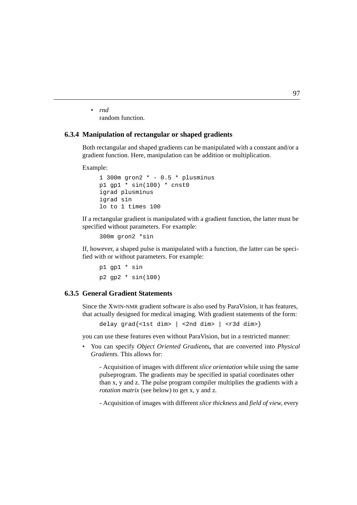• *rnd* random function.

#### **DO INDEX 6.3.4 Manipulation of rectangular or shaped gradients**

Both rectangular and shaped gradients can be manipulated with a constant and/or a gradient function. Here, manipulation can be addition or multiplication.

Example:

```
1 300m gron2 * - 0.5 * plusminus
p1 qp1 * sin(100) * cnst0
igrad plusminus
igrad sin
lo to 1 times 100
```
If a rectangular gradient is manipulated with a gradient function, the latter must be specified without parameters. For example:

<span id="page-98-2"></span><span id="page-98-1"></span>300m gron2 \*sin

If, however, a shaped pulse is manipulated with a function, the latter can be specified with or without parameters. For example:

p1 gp1 \* sin  $p2$  qp2  $*$  sin(100)

# **6.3.5 General Gradient Statements**

Since the XWIN-NMR gradient software is also used by ParaVision, it has features, that actually designed for medical imaging. With gradient statements of the form:

<span id="page-98-3"></span><span id="page-98-0"></span>delay  $qrad{ <1st$  dim> |  $<$ 2nd dim> |  $<$ r3d dim>}

you can use these features even without ParaVision, but in a restricted manner:

• You can specify *Object Oriented Gradients***,** that are converted into *Physical Gradients.* This allows for:

<span id="page-98-4"></span>- Acquisition of images with different *slice orientation* while using the same pulseprogram. The gradients may be specified in spatial coordinates other than x, y and z. The pulse program compiler multiplies the gradients with a *rotation matrix* (see below) to get x, y and z.

- Acquisition of images with different *slice thickness* and *field of view*, every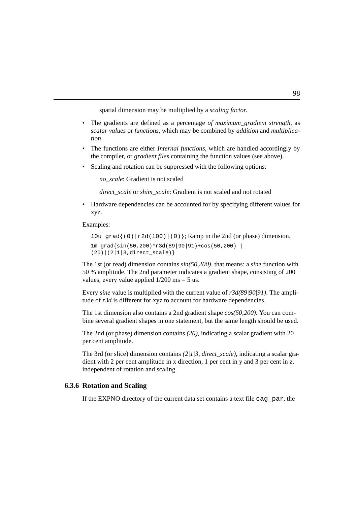spatial dimension may be multiplied by a *scaling factor*.

- Independently and defined as a percentage of *maximum* straight, as scalar values or *functions*, which may be combined by *addition* and *multiplica*-• The gradients are defined as a percentage *of maximum\_gradient strength*, as *tion*.
- The functions are either *Internal functions*, which are handled accordingly by the compiler, or *gradient files* containing the function values (see above).
- Scaling and rotation can be suppressed with the following options:

*no\_scale*: Gradient is not scaled

*direct\_scale* or *shim\_scale*: Gradient is not scaled and not rotated

• Hardware dependencies can be accounted for by specifying different values for xyz.

Examples:

```
10u grad\{(0)|r2d(100)|(0)\}; Ramp in the 2nd (or phase) dimension.
1m grad{sin(50,200)*r3d(89|90|91)+cos(50,200) |
(20)|(2|1|3,direct scale)
```
The 1st (or read) dimension contains *sin(50,200),* that means: a *sine* function with 50 % amplitude. The 2nd parameter indicates a gradient shape, consisting of 200 values, every value applied  $1/200$  ms = 5 us.

Every *sine* value is multiplied with the current value of *r3d(89|90|91)*. The amplitude of *r3d* is different for xyz to account for hardware dependencies.

The 1st dimension also contains a 2nd gradient shape *cos(50,200)*. You can combine several gradient shapes in one statement, but the same length should be used.

The 2nd (or phase) dimension contains *(20)*, indicating a scalar gradient with 20 per cent amplitude.

The 3rd (or slice) dimension contains *(2|1|3, direct\_scale)***,** indicating a scalar gradient with 2 per cent amplitude in x direction, 1 per cent in y and 3 per cent in z, independent of rotation and scaling.

# **6.3.6 Rotation and Scaling**

If the EXPNO directory of the current data set contains a text file cag\_par, the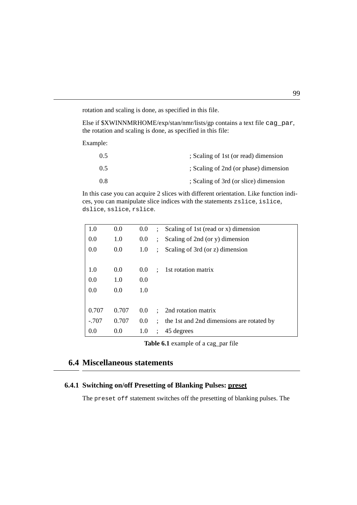rotation and scaling is done, as specified in this file.

 $EISE$  if  $\psi$ *X* WHATMANDOME/exp/stan/min/1ists/gp contarion and scaling is done, as specified in this file: Else if \$XWINNMRHOME/exp/stan/nmr/lists/gp contains a text file cag\_par,

Example:

<span id="page-100-3"></span><span id="page-100-1"></span>

| 0.5 | ; Scaling of 1st (or read) dimension  |
|-----|---------------------------------------|
| 0.5 | ; Scaling of 2nd (or phase) dimension |
| 0.8 | ; Scaling of 3rd (or slice) dimension |

<span id="page-100-2"></span>In this case you can acquire 2 slices with different orientation. Like function indices, you can manipulate slice indices with the statements zslice, islice, dslice, sslice, rslice.

| 1.0     | 0.0   | 0.0 | $\ddot{\phantom{0}}$ | Scaling of 1st (read or x) dimension      |
|---------|-------|-----|----------------------|-------------------------------------------|
| 0.0     | 1.0   | 0.0 | $\ddot{\phantom{a}}$ | Scaling of 2nd (or y) dimension           |
| 0.0     | 0.0   | 1.0 | $\ddot{\cdot}$       | Scaling of 3rd (or z) dimension           |
|         |       |     |                      |                                           |
| 1.0     | 0.0   | 0.0 | $\ddot{\phantom{a}}$ | 1st rotation matrix                       |
| 0.0     | 1.0   | 0.0 |                      |                                           |
| 0.0     | 0.0   | 1.0 |                      |                                           |
|         |       |     |                      |                                           |
| 0.707   | 0.707 | 0.0 | $\ddot{\cdot}$       | 2nd rotation matrix                       |
| $-.707$ | 0.707 | 0.0 | $\mathbf{L}$         | the 1st and 2nd dimensions are rotated by |
| 0.0     | 0.0   | 1.0 | $\ddot{\cdot}$       | 45 degrees                                |

<span id="page-100-0"></span>**Table 6.1** example of a cag\_par file

# **6.4 Miscellaneous statements**

# **6.4.1 Switching on/off Presetting of Blanking Pulses: preset**

<span id="page-100-4"></span>The preset off statement switches off the presetting of blanking pulses. The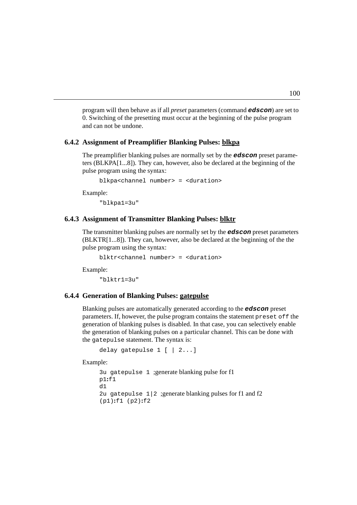<span id="page-101-5"></span>and can not be undone. program will then behave as if all *preset* parameters (command **edscon**) are set to 0. Switching of the presetting must occur at the beginning of the pulse program

# **6.4.2 Assignment of Preamplifier Blanking Pulses: blkpa**

<span id="page-101-1"></span>The preamplifier blanking pulses are normally set by the **edscon** preset parameters (BLKPA[1...8]). They can, however, also be declared at the beginning of the pulse program using the syntax:

<span id="page-101-2"></span>blkpa<channel number> = <duration>

Example:

"blkpa1=3u"

#### **6.4.3 Assignment of Transmitter Blanking Pulses: blktr**

<span id="page-101-3"></span>The transmitter blanking pulses are normally set by the **edscon** preset parameters (BLKTR[1...8]). They can, however, also be declared at the beginning of the the pulse program using the syntax:

<span id="page-101-4"></span>blktr<channel number> = <duration>

Example:

 $"$ blktr1=3 $u$ "

# **6.4.4 Generation of Blanking Pulses: gatepulse**

Blanking pulses are automatically generated according to the **edscon** preset parameters. If, however, the pulse program contains the statement preset off the generation of blanking pulses is disabled. In that case, you can selectively enable the generation of blanking pulses on a particular channel. This can be done with the gatepulse statement. The syntax is:

```
delay gatepulse 1 [ | 2...]
```
Example:

```
3u gatepulse 1 ;generate blanking pulse for f1
p1:f1
d1
2u gatepulse 1/2; generate blanking pulses for fl and f2
(p1):f1 (p2):f2
```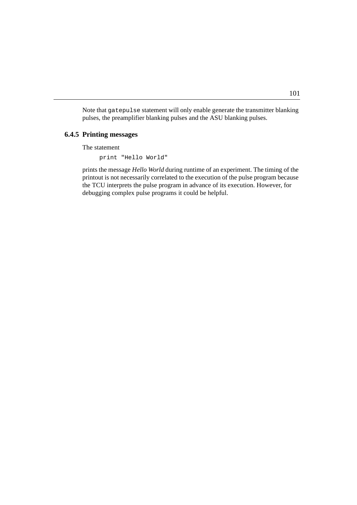Note that gatepulse statement will only enable generate the transmitter blanking pulses, the preamplifier blanking pulses and the ASU blanking pulses.

#### **INDEX 6.4.5 Printing messages**

The statement

print "Hello World"

prints the message *Hello World* during runtime of an experiment. The timing of the printout is not necessarily correlated to the execution of the pulse program because the TCU interprets the pulse program in advance of its execution. However, for debugging complex pulse programs it could be helpful.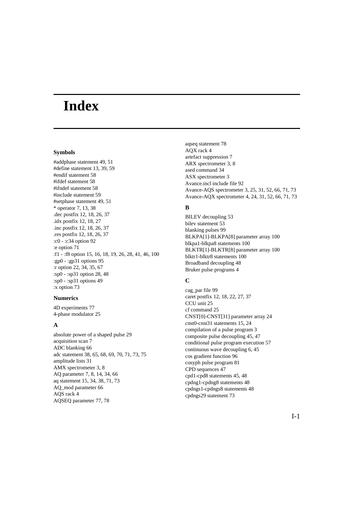# **Index**

#### **Symbols**

[#addphase statement 49,](#page-50-0) [51](#page-52-0) [#define statement 13,](#page-14-0) [39,](#page-40-0) [59](#page-60-0) [#endif statement 58](#page-59-0) [#ifdef statement 58](#page-59-1) [#ifndef statement 58](#page-59-2) [#include statement 59](#page-60-1) [#setphase statement 49,](#page-50-1) [51](#page-52-1) [\\* operator 7,](#page-8-0) [13,](#page-14-1) [38](#page-39-0) [.dec postfix 12,](#page-13-0) [18,](#page-19-0) [26,](#page-27-0) [37](#page-38-0) [.idx postfix 12,](#page-13-1) [18,](#page-19-1) [27](#page-28-0) [.inc postfix 12,](#page-13-2) [18,](#page-19-2) [26,](#page-27-1) [37](#page-38-1) [.res postfix 12,](#page-13-3) [18,](#page-19-3) [26,](#page-27-2) [37](#page-38-2) [:c0 - :c34 option 92](#page-93-0) [:e option 71](#page-72-0) [:f1 - :f8 option 15,](#page-16-0) [16,](#page-17-0) [18,](#page-19-4) [19,](#page-20-0) [26,](#page-27-3) [28,](#page-29-0) [41,](#page-42-0) [46,](#page-47-0) [100](#page-101-0) [:gp0 - :gp31 options 95](#page-96-0) [:r option 22,](#page-23-0) [34,](#page-35-0) [35,](#page-36-0) [67](#page-68-0) [:sp0 - :sp31 option 28,](#page-29-1) [48](#page-49-0) [:sp0 - :sp31 options 49](#page-50-2) [:x option 73](#page-74-1)

#### **Numerics**

[4D experiments 77](#page-78-0) [4-phase modulator 25](#page-26-0)

# **A**

[absolute power of a shaped pulse 29](#page-30-0) [acquisition scan 7](#page-8-1) [ADC blanking 66](#page-67-0) [adc statement 38,](#page-39-1) [65,](#page-66-0) [68,](#page-69-0) [69,](#page-70-0) [70,](#page-71-1) [71,](#page-72-1) [73,](#page-74-2) [75](#page-76-1) [amplitude lists 31](#page-32-0) [AMX spectrometer 3,](#page-4-0) [8](#page-9-0) [AQ parameter 7,](#page-8-2) [8,](#page-9-1) [14,](#page-15-0) [34,](#page-35-1) [66](#page-67-1) [aq statement 15,](#page-16-1) [34,](#page-35-2) [38,](#page-39-2) [71,](#page-72-2) [73](#page-74-3) [AQ\\_mod parameter 66](#page-67-2) [AQS rack 4](#page-5-0) [AQSEQ parameter 77,](#page-78-1) [78](#page-79-0)

[aqseq statement 78](#page-79-1) [AQX rack 4](#page-5-1) [artefact suppression 7](#page-8-3) [ARX spectrometer 3,](#page-4-1) [8](#page-9-2) [ased command 34](#page-35-3) [ASX spectrometer 3](#page-4-2) [Avance.incl include file 92](#page-93-1) [Avance-AQS spectrometer 3,](#page-4-3) [25,](#page-26-1) [31,](#page-32-1) [52,](#page-53-0) [66,](#page-67-3) [71,](#page-72-3) [73](#page-74-4) [Avance-AQX spectrometer 4,](#page-5-2) [24,](#page-25-0) [31,](#page-32-2) [52,](#page-53-1) [66,](#page-67-4) [71,](#page-72-4) [73](#page-74-5)

# **B**

[BILEV decoupling 53](#page-54-0) [bilev statement 53](#page-54-1) [blanking pulses 99](#page-100-0) [BLKPA\[1\]-BLKPA\[8\] parameter array 100](#page-101-1) [blkpa1-blkpa8 statements 100](#page-101-2) [BLKTR\[1\]-BLKTR\[8\] parameter array 100](#page-101-3) [blktr1-blktr8 statements 100](#page-101-4) [Broadband decoupling 48](#page-49-1) [Bruker pulse programs 4](#page-5-3)

## **C**

[cag\\_par file 99](#page-100-1) [caret postfix 12,](#page-13-4) [18,](#page-19-5) [22,](#page-23-1) [27,](#page-28-1) [37](#page-38-3) [CCU unit 25](#page-26-2) [cf command 25](#page-26-3) [CNST\[0\]-CNST\[31\] parameter array 24](#page-25-1) [cnst0-cnst31 statements 15,](#page-16-2) [24](#page-25-2) [compilation of a pulse program 3](#page-4-4) [composite pulse decoupling 45,](#page-46-0) [47](#page-48-0) [conditional pulse program execution 57](#page-58-0) [continuous wave decoupling 6,](#page-7-0) [45](#page-46-1) [cos gradient function 96](#page-97-0) [cosyph pulse program 81](#page-82-0) [CPD sequences 47](#page-48-1) [cpd1-cpd8 statements 45,](#page-46-2) [48](#page-49-2) [cpdng1-cpdng8 statements 48](#page-49-3) [cpdngs1-cpdngs8 statements 48](#page-49-4) [cpdngs29 statement 73](#page-74-6)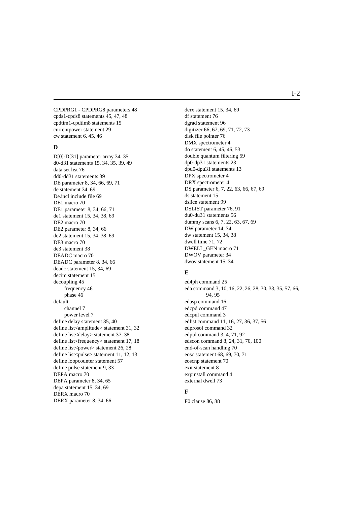[CPDPRG1 - CPDPRG8 parameters 48](#page-49-5) [cpds1-cpds8 statements 45,](#page-46-3) [47,](#page-48-2) [48](#page-49-6) [cpdtim1-cpdtim8 statements 15](#page-16-3) [currentpower statement 29](#page-30-1) [cw statement 6,](#page-7-1) [45,](#page-46-4) 46

#### **D**

[D\[0\]-D\[31\] parameter array 34,](#page-35-4) [35](#page-36-1) [d0-d31 statements 15,](#page-16-4) [34,](#page-35-5) [35,](#page-36-2) [39,](#page-40-1) [49](#page-50-3) [data set list 76](#page-77-1) [dd0-dd31 statements 39](#page-40-2) [DE parameter 8,](#page-9-3) [34,](#page-35-6) [66,](#page-67-5) [69,](#page-70-1) [71](#page-72-5) [de statement 34,](#page-35-7) [69](#page-70-2) [De.incl include file 69](#page-70-3) [DE1 macro 70](#page-71-2) [DE1 parameter 8,](#page-9-4) [34,](#page-35-8) [66,](#page-67-6) [71](#page-72-6) [de1 statement 15,](#page-16-5) [34,](#page-35-9) [38,](#page-39-3) [69](#page-70-4) [DE2 macro 70](#page-71-3) [DE2 parameter 8,](#page-9-5) [34,](#page-35-10) [66](#page-67-7) [de2 statement 15,](#page-16-6) [34,](#page-35-11) [38,](#page-39-4) [69](#page-70-5) [DE3 macro 70](#page-71-4) [de3 statement 38](#page-39-5) [DEADC macro 70](#page-71-5) [DEADC parameter 8,](#page-9-6) [34,](#page-35-12) [66](#page-67-8) [deadc statement 15,](#page-16-7) [34,](#page-35-13) [69](#page-70-6) [decim statement 15](#page-16-8) [decoupling 45](#page-46-5) [frequency 46](#page-47-2) [phase 46](#page-47-3) default [channel 7](#page-8-4) [power level 7](#page-8-5) [define delay statement 35,](#page-36-3) [40](#page-41-0) [define list<amplitude> statement 31,](#page-32-3) [32](#page-33-0) [define list<delay> statement 37,](#page-38-4) [38](#page-39-6) [define list<frequency> statement 17,](#page-18-0) [18](#page-19-6) [define list<power> statement 26,](#page-27-4) [28](#page-29-2) [define list<pulse> statement 11,](#page-12-0) [12,](#page-13-5) [13](#page-14-2) [define loopcounter statement 57](#page-58-1) [define pulse statement 9,](#page-10-0) [33](#page-34-0) [DEPA macro 70](#page-71-6) [DEPA parameter 8,](#page-9-7) [34,](#page-35-14) [65](#page-66-1) [depa statement 15,](#page-16-9) [34,](#page-35-15) [69](#page-70-7) [DERX macro 70](#page-71-7) [DERX parameter 8,](#page-9-8) [34,](#page-35-16) [66](#page-67-9)

**DONE** [derx statement 15,](#page-16-10) [34,](#page-35-17) [69](#page-70-8) [df statement 76](#page-77-2) [dgrad statement 96](#page-97-1) [digitizer 66,](#page-67-10) [67,](#page-68-1) [69,](#page-70-9) [71,](#page-72-7) [72,](#page-73-1) [73](#page-74-7) [disk file pointer 76](#page-77-3) [DMX spectrometer 4](#page-5-4) [do statement 6,](#page-7-2) [45,](#page-46-6) [46,](#page-47-4) [53](#page-54-2) [double quantum filtering 59](#page-60-2) [dp0-dp31 statements 23](#page-24-0) [dpu0-dpu31 statements 13](#page-14-3) [DPX spectrometer 4](#page-5-5) [DRX spectrometer 4](#page-5-6) [DS parameter 6,](#page-7-3) [7,](#page-8-6) [22,](#page-23-2) [63,](#page-64-0) [66,](#page-67-11) [67,](#page-68-2) [69](#page-70-10) [ds statement 15](#page-16-11) [dslice statement 99](#page-100-2) [DSLIST parameter 76,](#page-77-4) [91](#page-92-0) [du0-du31 statements 56](#page-57-0) [dummy scans 6,](#page-7-4) [7,](#page-8-7) [22,](#page-23-3) [63,](#page-64-1) [67,](#page-68-3) [69](#page-70-11) [DW parameter 14,](#page-15-1) [34](#page-35-18) [dw statement 15,](#page-16-12) [34,](#page-35-19) [38](#page-39-7) [dwell time 71,](#page-72-8) [72](#page-73-2) [DWELL\\_GEN macro 71](#page-72-9) [DWOV parameter 34](#page-35-20) [dwov statement 15,](#page-16-13) [34](#page-35-21)

#### **E**

[ed4ph command 25](#page-26-4) [eda command 3,](#page-4-5) [10,](#page-11-0) [16,](#page-17-1) [22,](#page-23-4) [26,](#page-27-5) [28,](#page-29-3) [30,](#page-31-0) [33,](#page-34-1) [35,](#page-36-4) [57,](#page-58-2) [66,](#page-67-12) [94,](#page-95-0) [95](#page-96-1) [edasp command 16](#page-17-2) [edcpd command 47](#page-48-3) [edcpul command 3](#page-4-6) [edlist command 11,](#page-12-1) [16,](#page-17-3) [27,](#page-28-2) [36,](#page-37-0) [37,](#page-38-5) [56](#page-57-1) [edprosol command 32](#page-33-1) [edpul command 3,](#page-4-7) [4,](#page-5-7) [71,](#page-72-10) [92](#page-93-2) [edscon command 8,](#page-9-9) [24,](#page-25-3) [31,](#page-32-4) [70,](#page-71-8) [100](#page-101-5) [end-of-scan handling 70](#page-71-9) [eosc statement 68,](#page-69-1) [69,](#page-70-12) [70,](#page-71-10) [71](#page-72-11) [eoscnp statement 70](#page-71-11) [exit statement 8](#page-9-10) [expinstall command 4](#page-5-8) [external dwell 73](#page-74-8)

#### **F**

[F0 clause 86,](#page-87-0) [88](#page-89-0)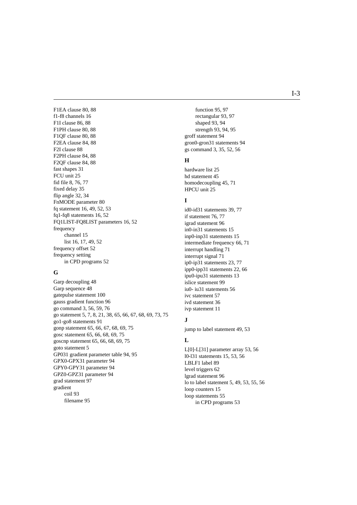[F1EA clause 80,](#page-81-1) [88](#page-89-1) [f1-f8 channels 16](#page-17-4) [F1I clause 86,](#page-87-1) 88 [F1PH clause 80,](#page-81-2) 88 [F1QF clause 80,](#page-81-3) 88 [F2EA clause 84,](#page-85-0) 88 [F2I clause 88](#page-89-6) [F2PH clause 84,](#page-85-1) [88](#page-89-7) [F2QF clause 84,](#page-85-2) [88](#page-89-8) [fast shapes 31](#page-32-5) [FCU unit 25](#page-26-5) [fid file 8,](#page-9-11) [76,](#page-77-5) [77](#page-78-2) [fixed delay 35](#page-36-5) [flip angle 32,](#page-33-2) [34](#page-35-22) [FnMODE parameter 80](#page-81-4) [fq statement 16,](#page-17-5) [49,](#page-50-4) [52,](#page-53-2) [53](#page-54-3) [fq1-fq8 statements 16,](#page-17-6) [52](#page-53-3) [FQ1LIST-FQ8LIST parameters 16,](#page-17-7) [52](#page-53-4) frequency [channel 15](#page-16-14) [list 16,](#page-17-8) [17,](#page-18-1) [49,](#page-50-5) [52](#page-53-5) [frequency offset 52](#page-53-6) frequency setting [in CPD programs 52](#page-53-7)

## **G**

[Garp decoupling 48](#page-49-7) [Garp sequence 48](#page-49-8) [gatepulse statement 100](#page-101-6) [gauss gradient function 96](#page-97-2) [go command 3,](#page-4-8) [56,](#page-57-2) [59,](#page-60-3) [76](#page-77-6) [go statement 5,](#page-6-0) [7,](#page-8-8) [8,](#page-9-12) [21,](#page-22-0) [38,](#page-39-8) [65,](#page-66-2) [66,](#page-67-13) [67,](#page-68-4) [68,](#page-69-2) [69,](#page-70-13) [73,](#page-74-9) [75](#page-76-2) [go1-go8 statements 91](#page-92-1) [gonp statement 65,](#page-66-3) [66,](#page-67-14) [67,](#page-68-5) [68,](#page-69-3) [69,](#page-70-14) [75](#page-76-3) [gosc statement 65,](#page-66-4) [66,](#page-67-15) [68,](#page-69-4) [69,](#page-70-15) [75](#page-76-4) [goscnp statement 65,](#page-66-5) [66,](#page-67-16) [68,](#page-69-5) [69,](#page-70-16) [75](#page-76-5) [goto statement 5](#page-6-1) [GP031 gradient parameter table 94,](#page-95-1) [95](#page-96-2) [GPX0-GPX31 parameter 94](#page-95-2) [GPY0-GPY31 parameter 94](#page-95-3) [GPZ0-GPZ31 parameter 94](#page-95-4) [grad statement 97](#page-98-0) gradient [coil 93](#page-94-0) [filename 95](#page-96-3)

**DONE** [function 95,](#page-96-4) [97](#page-98-1) [rectangular 93,](#page-94-1) [97](#page-98-2) [shaped 93,](#page-94-2) [94](#page-95-5) [strength 93,](#page-94-3) [94,](#page-95-6) [95](#page-96-5) [groff statement 94](#page-95-7) [gron0-gron31 statements 94](#page-95-8) [gs command 3,](#page-4-9) [35,](#page-36-6) [52,](#page-53-8) [56](#page-57-3)

#### **H**

[hardware list 25](#page-26-6) [hd statement 45](#page-46-7) [homodecoupling 45,](#page-46-8) [71](#page-72-12) [HPCU unit 25](#page-26-7)

## **I**

[id0-id31 statements 39,](#page-40-3) [77](#page-78-3) [if statement 76,](#page-77-7) [77](#page-78-4) [igrad statement 96](#page-97-3) [in0-in31 statements 15](#page-16-15) [inp0-inp31 statements 15](#page-16-16) [intermediate frequency 66,](#page-67-17) [71](#page-72-13) [interrupt handling 71](#page-72-14) [interrupt signal 71](#page-72-15) [ip0-ip31 statements 23,](#page-24-1) [77](#page-78-5) [ipp0-ipp31 statements 22,](#page-23-5) [66](#page-67-18) [ipu0-ipu31 statements 13](#page-14-4) [islice statement 99](#page-100-3) [iu0- iu31 statements 56](#page-57-4) [ivc statement 57](#page-58-3) [ivd statement 36](#page-37-1) [ivp statement 11](#page-12-2)

#### **J**

[jump to label statement 49,](#page-50-6) [53](#page-54-4)

## **L**

[L\[0\]-L\[31\] parameter array 53,](#page-54-5) [56](#page-57-5) [l0-l31 statements 15,](#page-16-17) [53,](#page-54-6) [56](#page-57-6) [LBLF1 label 89](#page-90-1) [level triggers 62](#page-63-0) [lgrad statement 96](#page-97-4) [lo to label statement 5,](#page-6-2) [49,](#page-50-7) [53,](#page-54-7) [55,](#page-56-0) [56](#page-57-7) [loop counters 15](#page-16-18) [loop statements 55](#page-56-1) [in CPD programs 53](#page-54-8)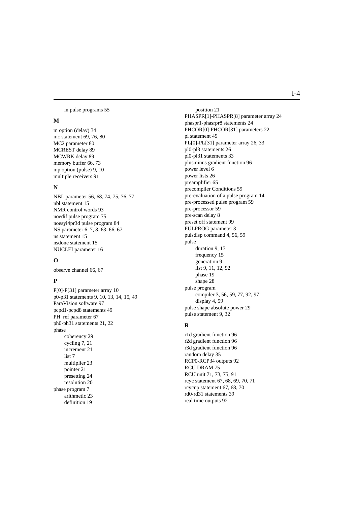[in pulse programs 55](#page-56-2)

#### **M**

[m option \(delay\) 34](#page-35-23) [mc statement 69,](#page-70-17) [76, 8](#page-77-8)0 [MC2 parameter 80](#page-81-6) [MCREST delay 89](#page-90-2) [MCWRK delay 89](#page-90-3) [memory buffer 66,](#page-67-19) [73](#page-74-10) [mp option \(pulse\) 9,](#page-10-1) [10](#page-11-1) [multiple receivers 91](#page-92-2)

#### **N**

[NBL parameter 56,](#page-57-8) [68,](#page-69-6) [74,](#page-75-1) [75,](#page-76-6) [76,](#page-77-9) [77](#page-78-6) [nbl statement 15](#page-16-19) [NMR control words 93](#page-94-4) [noedif pulse program 75](#page-76-7) [noesyi4pr3d pulse program 84](#page-85-3) [NS parameter 6,](#page-7-5) [7,](#page-8-9) [8,](#page-9-13) [63,](#page-64-2) [66,](#page-67-20) [67](#page-68-6) [ns statement 15](#page-16-20) [nsdone statement 15](#page-16-21) [NUCLEI parameter 16](#page-17-9)

#### **O**

[observe channel 66,](#page-67-21) [67](#page-68-7)

#### **P**

[P\[0\]-P\[31\] parameter array 10](#page-11-2) [p0-p31 statements 9,](#page-10-2) [10,](#page-11-3) [13,](#page-14-5) [14,](#page-15-2) [15,](#page-16-22) [49](#page-50-8) [ParaVision software 97](#page-98-3) [pcpd1-pcpd8 statements 49](#page-50-9) PH ref parameter 67 [ph0-ph31 statements 21,](#page-22-1) [22](#page-23-6) phase [coherency 29](#page-30-2) [cycling 7,](#page-8-10) [21](#page-22-2) [increment 21](#page-22-3) [list 7](#page-8-11) [multiplier 23](#page-24-2) [pointer 21](#page-22-4) [presetting 24](#page-25-4) [resolution 20](#page-21-0) [phase program 7](#page-8-12) [arithmetic 23](#page-24-3) [definition 19](#page-20-1)

**DONE** [position 21](#page-22-5) [PHASPR\[1\]-PHASPR\[8\] parameter array 24](#page-25-5) [phaspr1-phasrpr8 statements 24](#page-25-6) [PHCOR\[0\]-PHCOR\[31\] parameters 22](#page-23-7) [pl statement 49](#page-50-10) [PL\[0\]-PL\[31\] parameter array 26,](#page-27-6) [33](#page-34-2) [pl0-pl3 statements 26](#page-27-7) [pl0-pl31 statements 33](#page-34-3) [plusminus gradient function 96](#page-97-5) [power level 6](#page-7-6) [power lists 26](#page-27-8) [preamplifier 65](#page-66-6) [precompiler Conditions 59](#page-60-4) [pre-evaluation of a pulse program 14](#page-15-3) [pre-processed pulse program 59](#page-60-5) [pre-processor 59](#page-60-6) [pre-scan delay 8](#page-9-14) [preset off statement 99](#page-100-4) [PULPROG parameter 3](#page-4-10) [pulsdisp command 4,](#page-5-9) [56,](#page-57-9) [59](#page-60-7) pulse [duration 9,](#page-10-3) [13](#page-14-6) [frequency 15](#page-16-23) [generation 9](#page-10-4) [list 9,](#page-10-5) [11,](#page-12-3) [12,](#page-13-6) [92](#page-93-3) [phase 19](#page-20-2) [shape 28](#page-29-4) pulse program [compiler 3,](#page-4-11) [56,](#page-57-10) [59,](#page-60-8) [77,](#page-78-7) [92,](#page-93-4) [97](#page-98-4) [display 4,](#page-5-10) [59](#page-60-9) [pulse shape absolute power 29](#page-30-3) [pulse statement 9,](#page-10-6) [32](#page-33-3)

#### **R**

[r1d gradient function 96](#page-97-6) [r2d gradient function 96](#page-97-7) [r3d gradient function 96](#page-97-8) [random delay 35](#page-36-7) [RCP0-RCP34 outputs 92](#page-93-5) [RCU DRAM 75](#page-76-8) [RCU unit 71,](#page-72-16) [73,](#page-74-11) [75,](#page-76-9) [91](#page-92-3) [rcyc statement 67,](#page-68-9) [68,](#page-69-7) [69,](#page-70-18) [70,](#page-71-12) [71](#page-72-17) [rcycnp statement 67,](#page-68-10) [68,](#page-69-8) [70](#page-71-13) [rd0-rd31 statements 39](#page-40-4) [real time outputs 92](#page-93-6)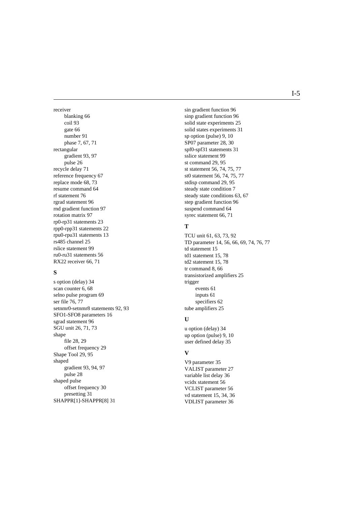receiver [blanking 66](#page-67-0) [coil 93](#page-94-0) gate 66 [number 91](#page-92-0) [phase 7,](#page-8-0) [67,](#page-68-0) 71 rectangular [gradient 93,](#page-94-1) [97](#page-98-0) [pulse 26](#page-27-0) [recycle delay 71](#page-72-1) [reference frequency 67](#page-68-1) [replace mode 68,](#page-69-0) [73](#page-74-0) [resume command 64](#page-65-0) [rf statement 76](#page-77-0) [rgrad statement 96](#page-97-0) [rnd gradient function 97](#page-98-1) [rotation matrix 97](#page-98-2) [rp0-rp31 statements 23](#page-24-0) [rpp0-rpp31 statements 22](#page-23-0) [rpu0-rpu31 statements 13](#page-14-0) [rs485 channel 25](#page-26-0) [rslice statement 99](#page-100-0) [ru0-ru31 statements 56](#page-57-0) [RX22 receiver 66,](#page-67-2) [71](#page-72-2)

## **S**

[s option \(delay\) 34](#page-35-0) [scan counter 6,](#page-7-0) [68](#page-69-1) [selno pulse program 69](#page-70-0) [ser file 76,](#page-77-1) [77](#page-78-0) [setnmr0-setnmr8 statements 92,](#page-93-0) [93](#page-94-2) [SFO1-SFO8 parameters 16](#page-17-0) [sgrad statement 96](#page-97-1) [SGU unit 26,](#page-27-1) [71,](#page-72-3) [73](#page-74-1) shape [file 28,](#page-29-0) [29](#page-30-0) [offset frequency 29](#page-30-1) [Shape Tool 29,](#page-30-2) [95](#page-96-0) shaped [gradient 93,](#page-94-3) [94,](#page-95-0) [97](#page-98-3) [pulse 28](#page-29-1) shaped pulse [offset frequency 30](#page-31-0) [presetting 31](#page-32-0) [SHAPPR\[1\]-SHAPPR\[8\] 31](#page-32-1)

**DONE** [sin gradient function 96](#page-97-2) [sinp gradient function 96](#page-97-3) [solid state experiments 25](#page-26-1) [solid states experiments 31](#page-32-2) [sp option \(pulse\) 9,](#page-10-0) [10](#page-11-0) [SP07 parameter 28,](#page-29-2) [30](#page-31-1) [spf0-spf31 statements 31](#page-32-3) [sslice statement 99](#page-100-1) [st command 29,](#page-30-3) [95](#page-96-1) [st statement 56,](#page-57-1) [74,](#page-75-0) [75,](#page-76-0) [77](#page-78-1) [st0 statement 56,](#page-57-2) [74,](#page-75-1) [75,](#page-76-1) [77](#page-78-2) [stdisp command 29,](#page-30-4) [95](#page-96-2) [steady state condition 7](#page-8-1) [steady state conditions 63,](#page-64-0) [67](#page-68-2) [step gradient function 96](#page-97-4) [suspend command 64](#page-65-1) [syrec statement 66,](#page-67-3) [71](#page-72-4)

### **T**

[TCU unit 61,](#page-62-0) [63,](#page-64-1) [73,](#page-74-2) [92](#page-93-1) [TD parameter 14,](#page-15-0) [56,](#page-57-3) [66,](#page-67-4) [69,](#page-70-1) [74,](#page-75-2) [76,](#page-77-2) [77](#page-78-3) [td statement 15](#page-16-0) [td1 statement 15,](#page-16-1) [78](#page-79-0) [td2 statement 15,](#page-16-2) [78](#page-79-1) [tr command 8,](#page-9-0) [66](#page-67-5) [transistorized amplifiers 25](#page-26-2) trigger [events 61](#page-62-1) [inputs 61](#page-62-2) [specifiers 62](#page-63-0) [tube amplifiers 25](#page-26-3)

#### **U**

[u option \(delay\) 34](#page-35-1) [up option \(pulse\) 9,](#page-10-1) [10](#page-11-1) [user defined delay 35](#page-36-0)

### **V**

[V9 parameter 35](#page-36-1) [VALIST parameter 27](#page-28-0) [variable list delay 36](#page-37-0) [vcidx statement 56](#page-57-4) [VCLIST parameter 56](#page-57-5) [vd statement 15,](#page-16-3) [34,](#page-35-2) [36](#page-37-1) [VDLIST parameter 36](#page-37-2)